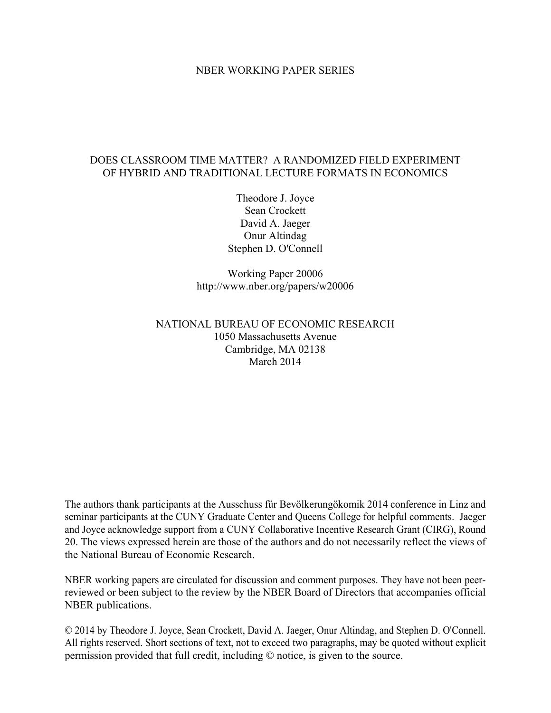### NBER WORKING PAPER SERIES

## DOES CLASSROOM TIME MATTER? A RANDOMIZED FIELD EXPERIMENT OF HYBRID AND TRADITIONAL LECTURE FORMATS IN ECONOMICS

Theodore J. Joyce Sean Crockett David A. Jaeger Onur Altindag Stephen D. O'Connell

Working Paper 20006 http://www.nber.org/papers/w20006

## NATIONAL BUREAU OF ECONOMIC RESEARCH 1050 Massachusetts Avenue Cambridge, MA 02138 March 2014

The authors thank participants at the Ausschuss für Bevölkerungökomik 2014 conference in Linz and seminar participants at the CUNY Graduate Center and Queens College for helpful comments. Jaeger and Joyce acknowledge support from a CUNY Collaborative Incentive Research Grant (CIRG), Round 20. The views expressed herein are those of the authors and do not necessarily reflect the views of the National Bureau of Economic Research.

NBER working papers are circulated for discussion and comment purposes. They have not been peerreviewed or been subject to the review by the NBER Board of Directors that accompanies official NBER publications.

© 2014 by Theodore J. Joyce, Sean Crockett, David A. Jaeger, Onur Altindag, and Stephen D. O'Connell. All rights reserved. Short sections of text, not to exceed two paragraphs, may be quoted without explicit permission provided that full credit, including © notice, is given to the source.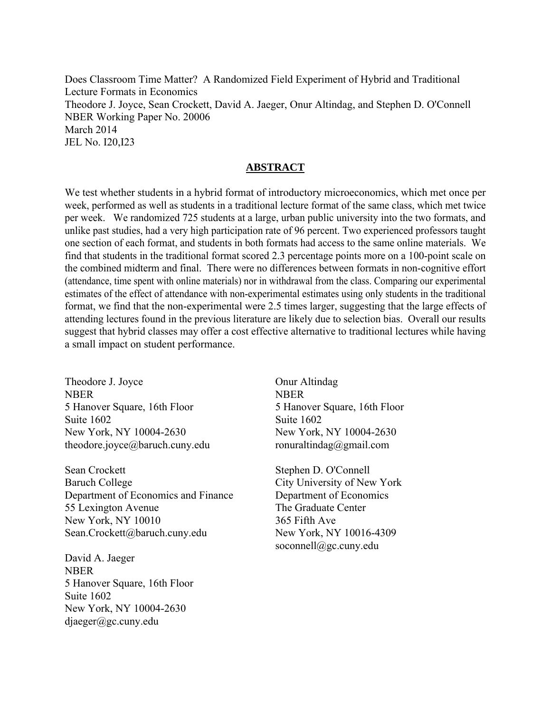Does Classroom Time Matter? A Randomized Field Experiment of Hybrid and Traditional Lecture Formats in Economics Theodore J. Joyce, Sean Crockett, David A. Jaeger, Onur Altindag, and Stephen D. O'Connell NBER Working Paper No. 20006 March 2014 JEL No. I20,I23

## **ABSTRACT**

We test whether students in a hybrid format of introductory microeconomics, which met once per week, performed as well as students in a traditional lecture format of the same class, which met twice per week. We randomized 725 students at a large, urban public university into the two formats, and unlike past studies, had a very high participation rate of 96 percent. Two experienced professors taught one section of each format, and students in both formats had access to the same online materials. We find that students in the traditional format scored 2.3 percentage points more on a 100-point scale on the combined midterm and final. There were no differences between formats in non-cognitive effort (attendance, time spent with online materials) nor in withdrawal from the class. Comparing our experimental estimates of the effect of attendance with non-experimental estimates using only students in the traditional format, we find that the non-experimental were 2.5 times larger, suggesting that the large effects of attending lectures found in the previous literature are likely due to selection bias. Overall our results suggest that hybrid classes may offer a cost effective alternative to traditional lectures while having a small impact on student performance.

Theodore J. Joyce NBER 5 Hanover Square, 16th Floor Suite 1602 New York, NY 10004-2630 theodore.joyce@baruch.cuny.edu

Sean Crockett Baruch College Department of Economics and Finance 55 Lexington Avenue New York, NY 10010 Sean.Crockett@baruch.cuny.edu

David A. Jaeger NBER 5 Hanover Square, 16th Floor Suite 1602 New York, NY 10004-2630 djaeger@gc.cuny.edu

Onur Altindag NBER 5 Hanover Square, 16th Floor Suite 1602 New York, NY 10004-2630 ronuraltindag@gmail.com

Stephen D. O'Connell City University of New York Department of Economics The Graduate Center 365 Fifth Ave New York, NY 10016-4309 soconnell@gc.cuny.edu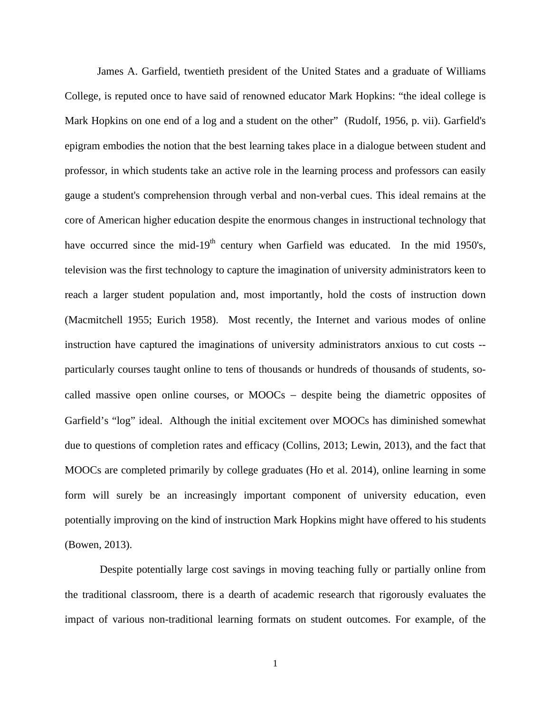James A. Garfield, twentieth president of the United States and a graduate of Williams College, is reputed once to have said of renowned educator Mark Hopkins: "the ideal college is Mark Hopkins on one end of a log and a student on the other" (Rudolf, 1956, p. vii). Garfield's epigram embodies the notion that the best learning takes place in a dialogue between student and professor, in which students take an active role in the learning process and professors can easily gauge a student's comprehension through verbal and non-verbal cues. This ideal remains at the core of American higher education despite the enormous changes in instructional technology that have occurred since the mid-19<sup>th</sup> century when Garfield was educated. In the mid 1950's, television was the first technology to capture the imagination of university administrators keen to reach a larger student population and, most importantly, hold the costs of instruction down (Macmitchell 1955; Eurich 1958). Most recently, the Internet and various modes of online instruction have captured the imaginations of university administrators anxious to cut costs - particularly courses taught online to tens of thousands or hundreds of thousands of students, socalled massive open online courses, or MOOCs − despite being the diametric opposites of Garfield's "log" ideal. Although the initial excitement over MOOCs has diminished somewhat due to questions of completion rates and efficacy (Collins, 2013; Lewin, 2013), and the fact that MOOCs are completed primarily by college graduates (Ho et al. 2014), online learning in some form will surely be an increasingly important component of university education, even potentially improving on the kind of instruction Mark Hopkins might have offered to his students (Bowen, 2013).

 Despite potentially large cost savings in moving teaching fully or partially online from the traditional classroom, there is a dearth of academic research that rigorously evaluates the impact of various non-traditional learning formats on student outcomes. For example, of the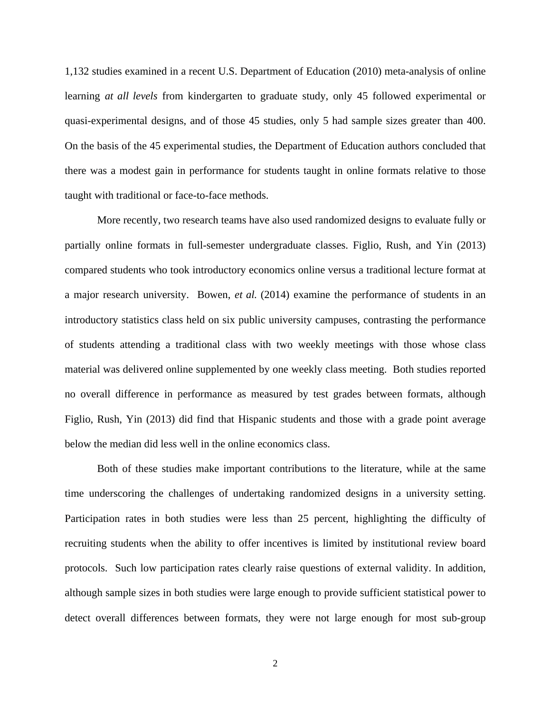1,132 studies examined in a recent U.S. Department of Education (2010) meta-analysis of online learning *at all levels* from kindergarten to graduate study, only 45 followed experimental or quasi-experimental designs, and of those 45 studies, only 5 had sample sizes greater than 400. On the basis of the 45 experimental studies, the Department of Education authors concluded that there was a modest gain in performance for students taught in online formats relative to those taught with traditional or face-to-face methods.

More recently, two research teams have also used randomized designs to evaluate fully or partially online formats in full-semester undergraduate classes. Figlio, Rush, and Yin (2013) compared students who took introductory economics online versus a traditional lecture format at a major research university. Bowen, *et al.* (2014) examine the performance of students in an introductory statistics class held on six public university campuses, contrasting the performance of students attending a traditional class with two weekly meetings with those whose class material was delivered online supplemented by one weekly class meeting. Both studies reported no overall difference in performance as measured by test grades between formats, although Figlio, Rush, Yin (2013) did find that Hispanic students and those with a grade point average below the median did less well in the online economics class.

Both of these studies make important contributions to the literature, while at the same time underscoring the challenges of undertaking randomized designs in a university setting. Participation rates in both studies were less than 25 percent, highlighting the difficulty of recruiting students when the ability to offer incentives is limited by institutional review board protocols. Such low participation rates clearly raise questions of external validity. In addition, although sample sizes in both studies were large enough to provide sufficient statistical power to detect overall differences between formats, they were not large enough for most sub-group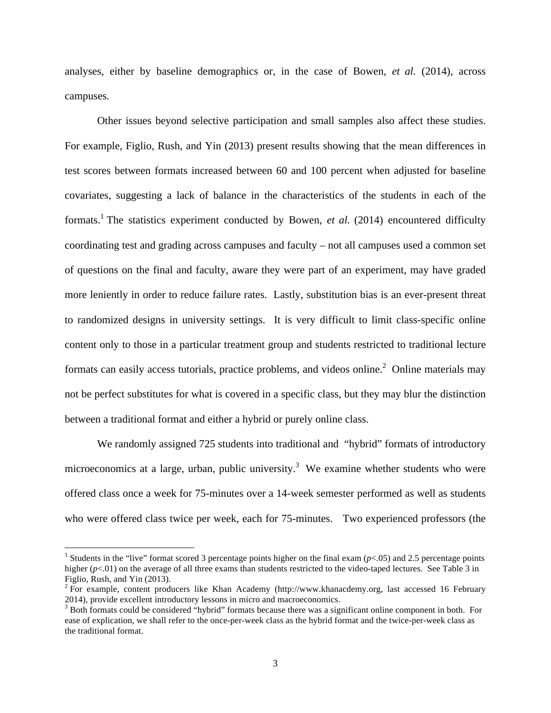analyses, either by baseline demographics or, in the case of Bowen, *et al.* (2014), across campuses.

Other issues beyond selective participation and small samples also affect these studies. For example, Figlio, Rush, and Yin (2013) present results showing that the mean differences in test scores between formats increased between 60 and 100 percent when adjusted for baseline covariates, suggesting a lack of balance in the characteristics of the students in each of the formats.<sup>1</sup> The statistics experiment conducted by Bowen, *et al.* (2014) encountered difficulty coordinating test and grading across campuses and faculty – not all campuses used a common set of questions on the final and faculty, aware they were part of an experiment, may have graded more leniently in order to reduce failure rates. Lastly, substitution bias is an ever-present threat to randomized designs in university settings. It is very difficult to limit class-specific online content only to those in a particular treatment group and students restricted to traditional lecture formats can easily access tutorials, practice problems, and videos online.<sup>2</sup> Online materials may not be perfect substitutes for what is covered in a specific class, but they may blur the distinction between a traditional format and either a hybrid or purely online class.

We randomly assigned 725 students into traditional and "hybrid" formats of introductory microeconomics at a large, urban, public university.<sup>3</sup> We examine whether students who were offered class once a week for 75-minutes over a 14-week semester performed as well as students who were offered class twice per week, each for 75-minutes. Two experienced professors (the

1

<sup>&</sup>lt;sup>1</sup> Students in the "live" format scored 3 percentage points higher on the final exam  $(p<.05)$  and 2.5 percentage points higher  $(p<.01)$  on the average of all three exams than students restricted to the video-taped lectures. See Table 3 in Figlio, Rush, and Yin (2013).

 $2 \text{ For example, content producers like Khan Academy (<http://www.khanacdemy.org>, last accessed 16 February$ 2014), provide excellent introductory lessons in micro and macroeconomics.

 $3$  Both formats could be considered "hybrid" formats because there was a significant online component in both. For ease of explication, we shall refer to the once-per-week class as the hybrid format and the twice-per-week class as the traditional format.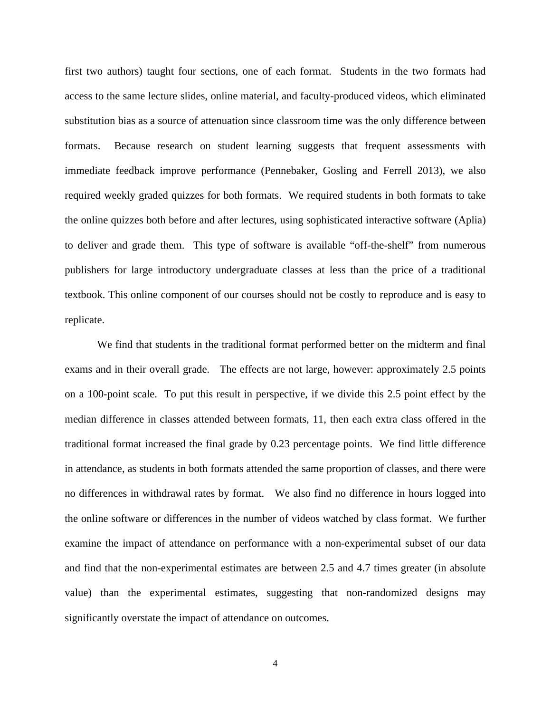first two authors) taught four sections, one of each format. Students in the two formats had access to the same lecture slides, online material, and faculty-produced videos, which eliminated substitution bias as a source of attenuation since classroom time was the only difference between formats. Because research on student learning suggests that frequent assessments with immediate feedback improve performance (Pennebaker, Gosling and Ferrell 2013), we also required weekly graded quizzes for both formats. We required students in both formats to take the online quizzes both before and after lectures, using sophisticated interactive software (Aplia) to deliver and grade them. This type of software is available "off-the-shelf" from numerous publishers for large introductory undergraduate classes at less than the price of a traditional textbook. This online component of our courses should not be costly to reproduce and is easy to replicate.

We find that students in the traditional format performed better on the midterm and final exams and in their overall grade. The effects are not large, however: approximately 2.5 points on a 100-point scale. To put this result in perspective, if we divide this 2.5 point effect by the median difference in classes attended between formats, 11, then each extra class offered in the traditional format increased the final grade by 0.23 percentage points. We find little difference in attendance, as students in both formats attended the same proportion of classes, and there were no differences in withdrawal rates by format. We also find no difference in hours logged into the online software or differences in the number of videos watched by class format. We further examine the impact of attendance on performance with a non-experimental subset of our data and find that the non-experimental estimates are between 2.5 and 4.7 times greater (in absolute value) than the experimental estimates, suggesting that non-randomized designs may significantly overstate the impact of attendance on outcomes.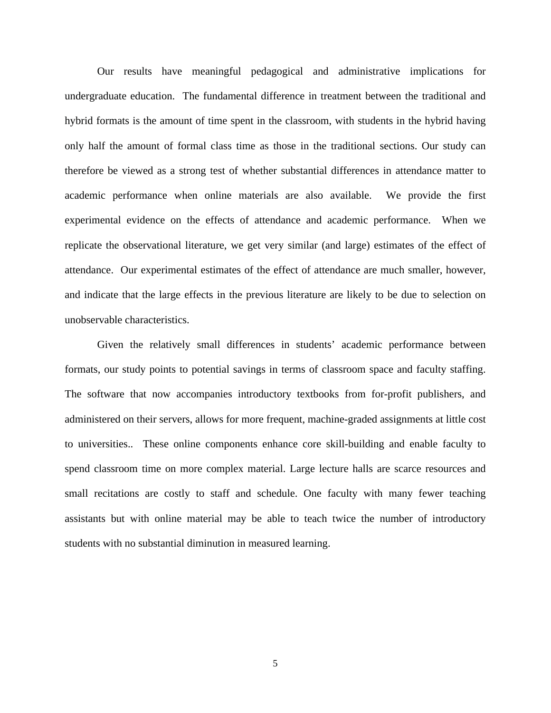Our results have meaningful pedagogical and administrative implications for undergraduate education. The fundamental difference in treatment between the traditional and hybrid formats is the amount of time spent in the classroom, with students in the hybrid having only half the amount of formal class time as those in the traditional sections. Our study can therefore be viewed as a strong test of whether substantial differences in attendance matter to academic performance when online materials are also available. We provide the first experimental evidence on the effects of attendance and academic performance. When we replicate the observational literature, we get very similar (and large) estimates of the effect of attendance. Our experimental estimates of the effect of attendance are much smaller, however, and indicate that the large effects in the previous literature are likely to be due to selection on unobservable characteristics.

Given the relatively small differences in students' academic performance between formats, our study points to potential savings in terms of classroom space and faculty staffing. The software that now accompanies introductory textbooks from for-profit publishers, and administered on their servers, allows for more frequent, machine-graded assignments at little cost to universities.. These online components enhance core skill-building and enable faculty to spend classroom time on more complex material. Large lecture halls are scarce resources and small recitations are costly to staff and schedule. One faculty with many fewer teaching assistants but with online material may be able to teach twice the number of introductory students with no substantial diminution in measured learning.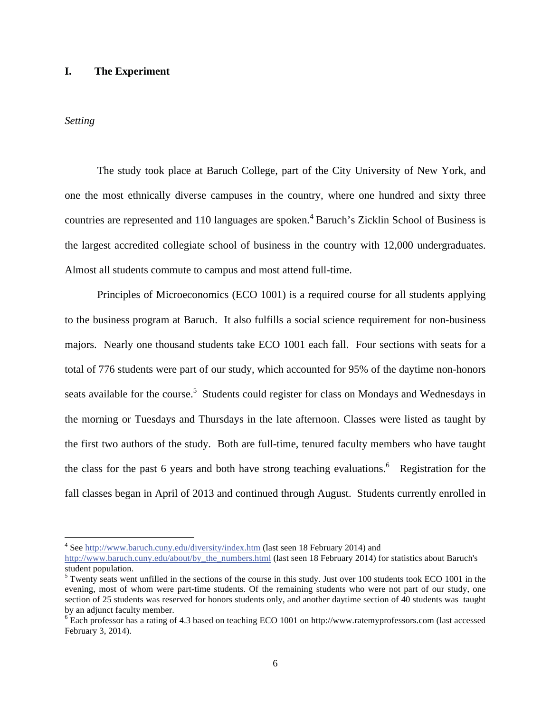### **I. The Experiment**

### *Setting*

 $\overline{a}$ 

The study took place at Baruch College, part of the City University of New York, and one the most ethnically diverse campuses in the country, where one hundred and sixty three countries are represented and 110 languages are spoken.<sup>4</sup> Baruch's Zicklin School of Business is the largest accredited collegiate school of business in the country with 12,000 undergraduates. Almost all students commute to campus and most attend full-time.

Principles of Microeconomics (ECO 1001) is a required course for all students applying to the business program at Baruch. It also fulfills a social science requirement for non-business majors. Nearly one thousand students take ECO 1001 each fall. Four sections with seats for a total of 776 students were part of our study, which accounted for 95% of the daytime non-honors seats available for the course.<sup>5</sup> Students could register for class on Mondays and Wednesdays in the morning or Tuesdays and Thursdays in the late afternoon. Classes were listed as taught by the first two authors of the study. Both are full-time, tenured faculty members who have taught the class for the past 6 years and both have strong teaching evaluations.<sup>6</sup> Registration for the fall classes began in April of 2013 and continued through August. Students currently enrolled in

<sup>&</sup>lt;sup>4</sup> See http://www.baruch.cuny.edu/diversity/index.htm (last seen 18 February 2014) and http://www.baruch.cuny.edu/about/by\_the\_numbers.html (last seen 18 February 2014) for statistics about Baruch's student population.

 $5$  Twenty seats went unfilled in the sections of the course in this study. Just over 100 students took ECO 1001 in the evening, most of whom were part-time students. Of the remaining students who were not part of our study, one section of 25 students was reserved for honors students only, and another daytime section of 40 students was taught by an adjunct faculty member.

<sup>&</sup>lt;sup>6</sup> Each professor has a rating of 4.3 based on teaching ECO 1001 on http://www.ratemyprofessors.com (last accessed February 3, 2014).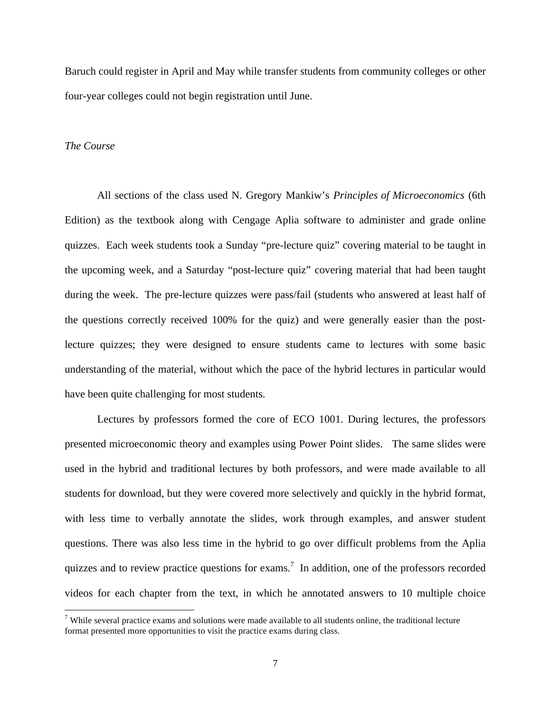Baruch could register in April and May while transfer students from community colleges or other four-year colleges could not begin registration until June.

### *The Course*

1

All sections of the class used N. Gregory Mankiw's *Principles of Microeconomics* (6th Edition) as the textbook along with Cengage Aplia software to administer and grade online quizzes. Each week students took a Sunday "pre-lecture quiz" covering material to be taught in the upcoming week, and a Saturday "post-lecture quiz" covering material that had been taught during the week. The pre-lecture quizzes were pass/fail (students who answered at least half of the questions correctly received 100% for the quiz) and were generally easier than the postlecture quizzes; they were designed to ensure students came to lectures with some basic understanding of the material, without which the pace of the hybrid lectures in particular would have been quite challenging for most students.

Lectures by professors formed the core of ECO 1001. During lectures, the professors presented microeconomic theory and examples using Power Point slides. The same slides were used in the hybrid and traditional lectures by both professors, and were made available to all students for download, but they were covered more selectively and quickly in the hybrid format, with less time to verbally annotate the slides, work through examples, and answer student questions. There was also less time in the hybrid to go over difficult problems from the Aplia quizzes and to review practice questions for exams.<sup>7</sup> In addition, one of the professors recorded videos for each chapter from the text, in which he annotated answers to 10 multiple choice

<sup>&</sup>lt;sup>7</sup> While several practice exams and solutions were made available to all students online, the traditional lecture format presented more opportunities to visit the practice exams during class.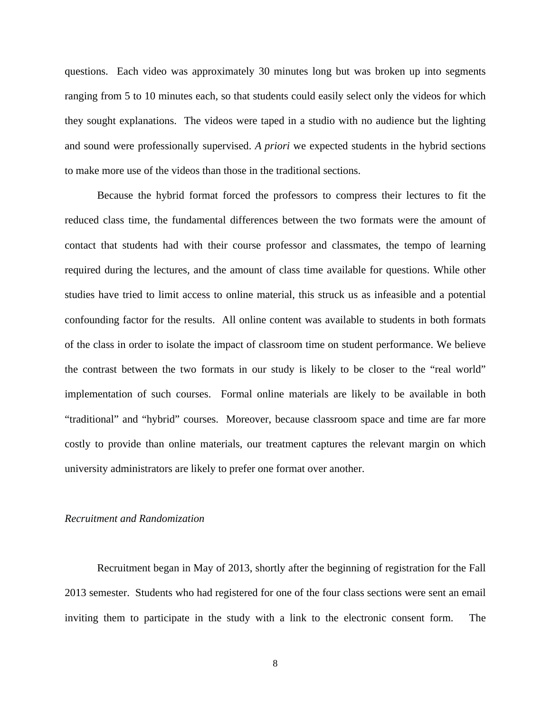questions. Each video was approximately 30 minutes long but was broken up into segments ranging from 5 to 10 minutes each, so that students could easily select only the videos for which they sought explanations. The videos were taped in a studio with no audience but the lighting and sound were professionally supervised. *A priori* we expected students in the hybrid sections to make more use of the videos than those in the traditional sections.

Because the hybrid format forced the professors to compress their lectures to fit the reduced class time, the fundamental differences between the two formats were the amount of contact that students had with their course professor and classmates, the tempo of learning required during the lectures, and the amount of class time available for questions. While other studies have tried to limit access to online material, this struck us as infeasible and a potential confounding factor for the results. All online content was available to students in both formats of the class in order to isolate the impact of classroom time on student performance. We believe the contrast between the two formats in our study is likely to be closer to the "real world" implementation of such courses. Formal online materials are likely to be available in both "traditional" and "hybrid" courses. Moreover, because classroom space and time are far more costly to provide than online materials, our treatment captures the relevant margin on which university administrators are likely to prefer one format over another.

### *Recruitment and Randomization*

Recruitment began in May of 2013, shortly after the beginning of registration for the Fall 2013 semester. Students who had registered for one of the four class sections were sent an email inviting them to participate in the study with a link to the electronic consent form. The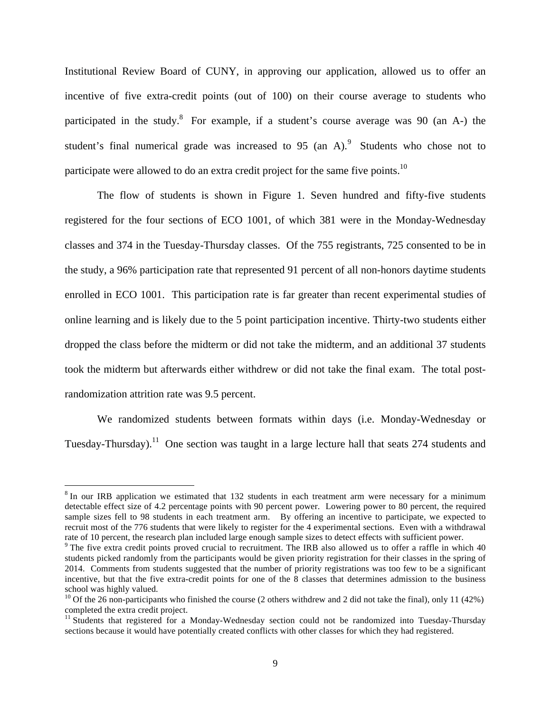Institutional Review Board of CUNY, in approving our application, allowed us to offer an incentive of five extra-credit points (out of 100) on their course average to students who participated in the study.<sup>8</sup> For example, if a student's course average was 90 (an A-) the student's final numerical grade was increased to  $95$  (an A).<sup>9</sup> Students who chose not to participate were allowed to do an extra credit project for the same five points.<sup>10</sup>

The flow of students is shown in Figure 1. Seven hundred and fifty-five students registered for the four sections of ECO 1001, of which 381 were in the Monday-Wednesday classes and 374 in the Tuesday-Thursday classes. Of the 755 registrants, 725 consented to be in the study, a 96% participation rate that represented 91 percent of all non-honors daytime students enrolled in ECO 1001. This participation rate is far greater than recent experimental studies of online learning and is likely due to the 5 point participation incentive. Thirty-two students either dropped the class before the midterm or did not take the midterm, and an additional 37 students took the midterm but afterwards either withdrew or did not take the final exam. The total postrandomization attrition rate was 9.5 percent.

We randomized students between formats within days (i.e. Monday-Wednesday or Tuesday-Thursday).<sup>11</sup> One section was taught in a large lecture hall that seats 274 students and

 $\overline{a}$ 

 $8$  In our IRB application we estimated that 132 students in each treatment arm were necessary for a minimum detectable effect size of 4.2 percentage points with 90 percent power. Lowering power to 80 percent, the required sample sizes fell to 98 students in each treatment arm. By offering an incentive to participate, we expected to recruit most of the 776 students that were likely to register for the 4 experimental sections. Even with a withdrawal rate of 10 percent, the research plan included large enough sample sizes to detect effects with sufficient power.

<sup>&</sup>lt;sup>9</sup> The five extra credit points proved crucial to recruitment. The IRB also allowed us to offer a raffle in which 40 students picked randomly from the participants would be given priority registration for their classes in the spring of 2014. Comments from students suggested that the number of priority registrations was too few to be a significant incentive, but that the five extra-credit points for one of the 8 classes that determines admission to the business school was highly valued.

<sup>&</sup>lt;sup>10</sup> Of the 26 non-participants who finished the course (2 others withdrew and 2 did not take the final), only 11 (42%) completed the extra credit project.

<sup>&</sup>lt;sup>11</sup> Students that registered for a Monday-Wednesday section could not be randomized into Tuesday-Thursday sections because it would have potentially created conflicts with other classes for which they had registered.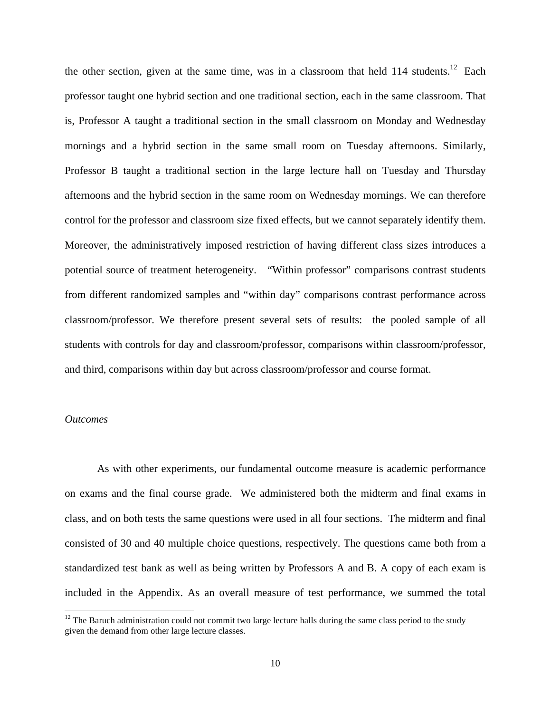the other section, given at the same time, was in a classroom that held  $114$  students.<sup>12</sup> Each professor taught one hybrid section and one traditional section, each in the same classroom. That is, Professor A taught a traditional section in the small classroom on Monday and Wednesday mornings and a hybrid section in the same small room on Tuesday afternoons. Similarly, Professor B taught a traditional section in the large lecture hall on Tuesday and Thursday afternoons and the hybrid section in the same room on Wednesday mornings. We can therefore control for the professor and classroom size fixed effects, but we cannot separately identify them. Moreover, the administratively imposed restriction of having different class sizes introduces a potential source of treatment heterogeneity. "Within professor" comparisons contrast students from different randomized samples and "within day" comparisons contrast performance across classroom/professor. We therefore present several sets of results: the pooled sample of all students with controls for day and classroom/professor, comparisons within classroom/professor, and third, comparisons within day but across classroom/professor and course format.

### *Outcomes*

1

As with other experiments, our fundamental outcome measure is academic performance on exams and the final course grade. We administered both the midterm and final exams in class, and on both tests the same questions were used in all four sections. The midterm and final consisted of 30 and 40 multiple choice questions, respectively. The questions came both from a standardized test bank as well as being written by Professors A and B. A copy of each exam is included in the Appendix. As an overall measure of test performance, we summed the total

 $12$  The Baruch administration could not commit two large lecture halls during the same class period to the study given the demand from other large lecture classes.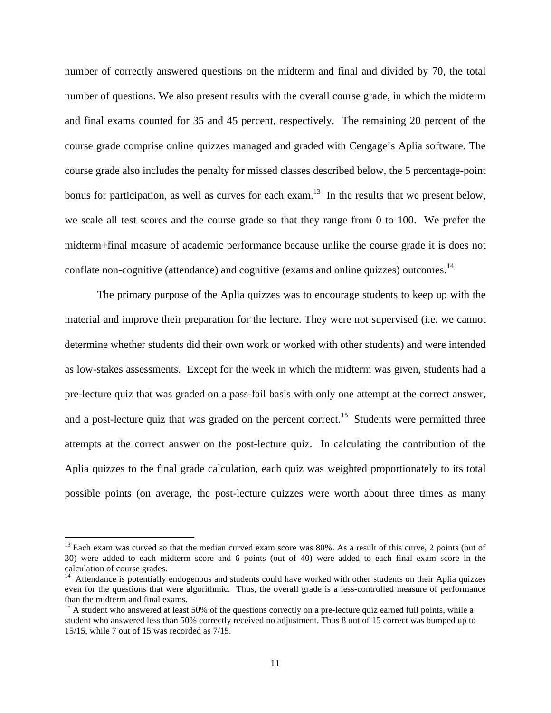number of correctly answered questions on the midterm and final and divided by 70, the total number of questions. We also present results with the overall course grade, in which the midterm and final exams counted for 35 and 45 percent, respectively. The remaining 20 percent of the course grade comprise online quizzes managed and graded with Cengage's Aplia software. The course grade also includes the penalty for missed classes described below, the 5 percentage-point bonus for participation, as well as curves for each exam.<sup>13</sup> In the results that we present below, we scale all test scores and the course grade so that they range from 0 to 100. We prefer the midterm+final measure of academic performance because unlike the course grade it is does not conflate non-cognitive (attendance) and cognitive (exams and online quizzes) outcomes.<sup>14</sup>

The primary purpose of the Aplia quizzes was to encourage students to keep up with the material and improve their preparation for the lecture. They were not supervised (i.e. we cannot determine whether students did their own work or worked with other students) and were intended as low-stakes assessments. Except for the week in which the midterm was given, students had a pre-lecture quiz that was graded on a pass-fail basis with only one attempt at the correct answer, and a post-lecture quiz that was graded on the percent correct.<sup>15</sup> Students were permitted three attempts at the correct answer on the post-lecture quiz. In calculating the contribution of the Aplia quizzes to the final grade calculation, each quiz was weighted proportionately to its total possible points (on average, the post-lecture quizzes were worth about three times as many

<u>.</u>

 $13$  Each exam was curved so that the median curved exam score was 80%. As a result of this curve, 2 points (out of 30) were added to each midterm score and 6 points (out of 40) were added to each final exam score in the calculation of course grades.

<sup>&</sup>lt;sup>14</sup> Attendance is potentially endogenous and students could have worked with other students on their Aplia quizzes even for the questions that were algorithmic. Thus, the overall grade is a less-controlled measure of performance than the midterm and final exams.

 $15$  A student who answered at least 50% of the questions correctly on a pre-lecture quiz earned full points, while a student who answered less than 50% correctly received no adjustment. Thus 8 out of 15 correct was bumped up to 15/15, while 7 out of 15 was recorded as 7/15.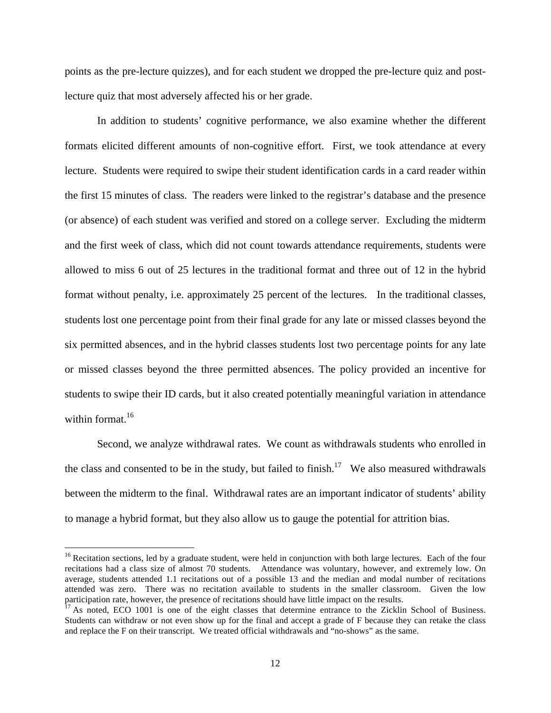points as the pre-lecture quizzes), and for each student we dropped the pre-lecture quiz and postlecture quiz that most adversely affected his or her grade.

 In addition to students' cognitive performance, we also examine whether the different formats elicited different amounts of non-cognitive effort. First, we took attendance at every lecture. Students were required to swipe their student identification cards in a card reader within the first 15 minutes of class. The readers were linked to the registrar's database and the presence (or absence) of each student was verified and stored on a college server. Excluding the midterm and the first week of class, which did not count towards attendance requirements, students were allowed to miss 6 out of 25 lectures in the traditional format and three out of 12 in the hybrid format without penalty, i.e. approximately 25 percent of the lectures. In the traditional classes, students lost one percentage point from their final grade for any late or missed classes beyond the six permitted absences, and in the hybrid classes students lost two percentage points for any late or missed classes beyond the three permitted absences. The policy provided an incentive for students to swipe their ID cards, but it also created potentially meaningful variation in attendance within format  $16$ 

 Second, we analyze withdrawal rates. We count as withdrawals students who enrolled in the class and consented to be in the study, but failed to finish.<sup>17</sup> We also measured withdrawals between the midterm to the final. Withdrawal rates are an important indicator of students' ability to manage a hybrid format, but they also allow us to gauge the potential for attrition bias.

1

<sup>&</sup>lt;sup>16</sup> Recitation sections, led by a graduate student, were held in conjunction with both large lectures. Each of the four recitations had a class size of almost 70 students. Attendance was voluntary, however, and extremely low. On average, students attended 1.1 recitations out of a possible 13 and the median and modal number of recitations attended was zero. There was no recitation available to students in the smaller classroom. Given the low participation rate, however, the presence of recitations should have little impact on the results.

 $\hat{p}$ <sup>17</sup> As noted, ECO 1001 is one of the eight classes that determine entrance to the Zicklin School of Business. Students can withdraw or not even show up for the final and accept a grade of F because they can retake the class and replace the F on their transcript. We treated official withdrawals and "no-shows" as the same.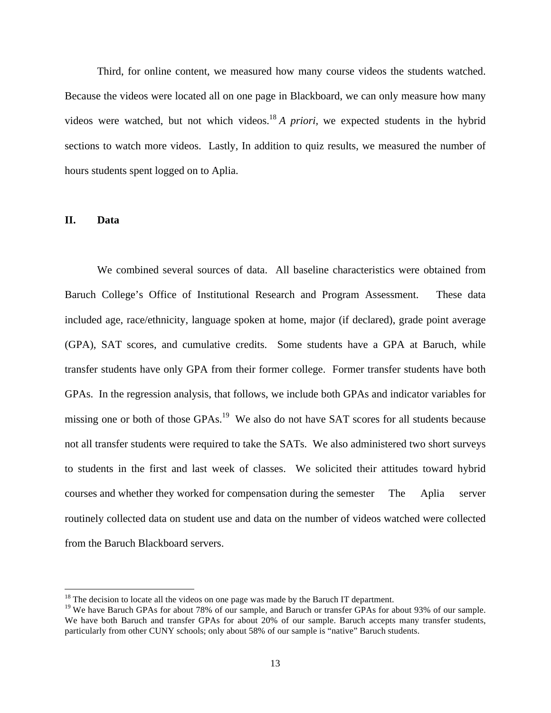Third, for online content, we measured how many course videos the students watched. Because the videos were located all on one page in Blackboard, we can only measure how many videos were watched, but not which videos.18 *A priori,* we expected students in the hybrid sections to watch more videos. Lastly, In addition to quiz results, we measured the number of hours students spent logged on to Aplia.

### **II. Data**

<u>.</u>

 We combined several sources of data. All baseline characteristics were obtained from Baruch College's Office of Institutional Research and Program Assessment. These data included age, race/ethnicity, language spoken at home, major (if declared), grade point average (GPA), SAT scores, and cumulative credits. Some students have a GPA at Baruch, while transfer students have only GPA from their former college. Former transfer students have both GPAs. In the regression analysis, that follows, we include both GPAs and indicator variables for missing one or both of those GPAs.<sup>19</sup> We also do not have SAT scores for all students because not all transfer students were required to take the SATs. We also administered two short surveys to students in the first and last week of classes. We solicited their attitudes toward hybrid courses and whether they worked for compensation during the semester The Aplia server routinely collected data on student use and data on the number of videos watched were collected from the Baruch Blackboard servers.

 $18$ <sup>18</sup> The decision to locate all the videos on one page was made by the Baruch IT department.

<sup>&</sup>lt;sup>19</sup> We have Baruch GPAs for about 78% of our sample, and Baruch or transfer GPAs for about 93% of our sample. We have both Baruch and transfer GPAs for about 20% of our sample. Baruch accepts many transfer students, particularly from other CUNY schools; only about 58% of our sample is "native" Baruch students.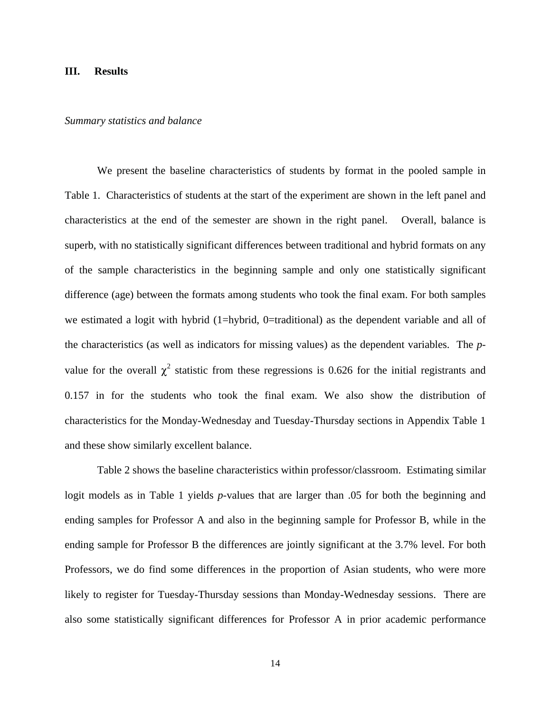### **III. Results**

#### *Summary statistics and balance*

 We present the baseline characteristics of students by format in the pooled sample in Table 1. Characteristics of students at the start of the experiment are shown in the left panel and characteristics at the end of the semester are shown in the right panel. Overall, balance is superb, with no statistically significant differences between traditional and hybrid formats on any of the sample characteristics in the beginning sample and only one statistically significant difference (age) between the formats among students who took the final exam. For both samples we estimated a logit with hybrid (1=hybrid, 0=traditional) as the dependent variable and all of the characteristics (as well as indicators for missing values) as the dependent variables. The *p*value for the overall  $\chi^2$  statistic from these regressions is 0.626 for the initial registrants and 0.157 in for the students who took the final exam. We also show the distribution of characteristics for the Monday-Wednesday and Tuesday-Thursday sections in Appendix Table 1 and these show similarly excellent balance.

 Table 2 shows the baseline characteristics within professor/classroom. Estimating similar logit models as in Table 1 yields *p-*values that are larger than .05 for both the beginning and ending samples for Professor A and also in the beginning sample for Professor B, while in the ending sample for Professor B the differences are jointly significant at the 3.7% level. For both Professors, we do find some differences in the proportion of Asian students, who were more likely to register for Tuesday-Thursday sessions than Monday-Wednesday sessions. There are also some statistically significant differences for Professor A in prior academic performance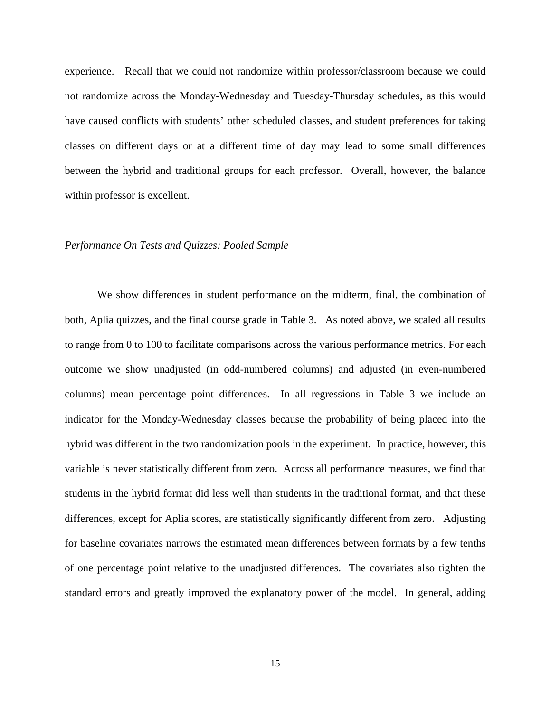experience. Recall that we could not randomize within professor/classroom because we could not randomize across the Monday-Wednesday and Tuesday-Thursday schedules, as this would have caused conflicts with students' other scheduled classes, and student preferences for taking classes on different days or at a different time of day may lead to some small differences between the hybrid and traditional groups for each professor. Overall, however, the balance within professor is excellent.

#### *Performance On Tests and Quizzes: Pooled Sample*

 We show differences in student performance on the midterm, final, the combination of both, Aplia quizzes, and the final course grade in Table 3. As noted above, we scaled all results to range from 0 to 100 to facilitate comparisons across the various performance metrics. For each outcome we show unadjusted (in odd-numbered columns) and adjusted (in even-numbered columns) mean percentage point differences. In all regressions in Table 3 we include an indicator for the Monday-Wednesday classes because the probability of being placed into the hybrid was different in the two randomization pools in the experiment. In practice, however, this variable is never statistically different from zero. Across all performance measures, we find that students in the hybrid format did less well than students in the traditional format, and that these differences, except for Aplia scores, are statistically significantly different from zero. Adjusting for baseline covariates narrows the estimated mean differences between formats by a few tenths of one percentage point relative to the unadjusted differences. The covariates also tighten the standard errors and greatly improved the explanatory power of the model. In general, adding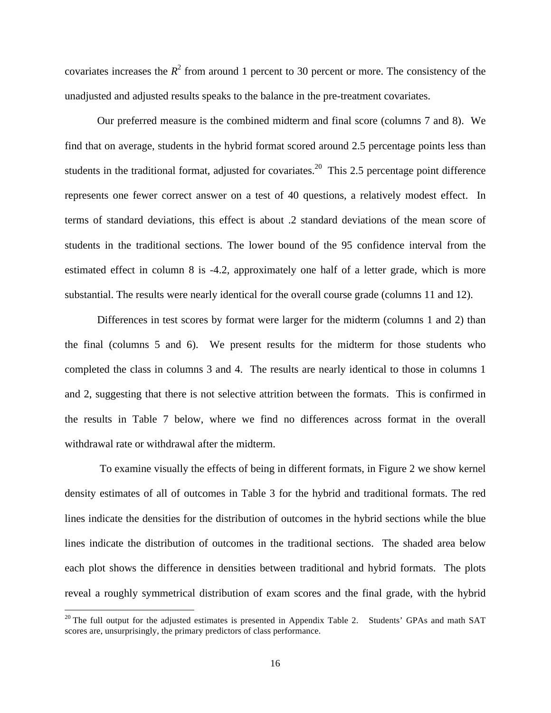covariates increases the  $R^2$  from around 1 percent to 30 percent or more. The consistency of the unadjusted and adjusted results speaks to the balance in the pre-treatment covariates.

Our preferred measure is the combined midterm and final score (columns 7 and 8). We find that on average, students in the hybrid format scored around 2.5 percentage points less than students in the traditional format, adjusted for covariates.<sup>20</sup> This 2.5 percentage point difference represents one fewer correct answer on a test of 40 questions, a relatively modest effect. In terms of standard deviations, this effect is about .2 standard deviations of the mean score of students in the traditional sections. The lower bound of the 95 confidence interval from the estimated effect in column 8 is -4.2, approximately one half of a letter grade, which is more substantial. The results were nearly identical for the overall course grade (columns 11 and 12).

Differences in test scores by format were larger for the midterm (columns 1 and 2) than the final (columns 5 and 6). We present results for the midterm for those students who completed the class in columns 3 and 4. The results are nearly identical to those in columns 1 and 2, suggesting that there is not selective attrition between the formats. This is confirmed in the results in Table 7 below, where we find no differences across format in the overall withdrawal rate or withdrawal after the midterm.

 To examine visually the effects of being in different formats, in Figure 2 we show kernel density estimates of all of outcomes in Table 3 for the hybrid and traditional formats. The red lines indicate the densities for the distribution of outcomes in the hybrid sections while the blue lines indicate the distribution of outcomes in the traditional sections. The shaded area below each plot shows the difference in densities between traditional and hybrid formats. The plots reveal a roughly symmetrical distribution of exam scores and the final grade, with the hybrid

 $\overline{a}$ 

 $20$  The full output for the adjusted estimates is presented in Appendix Table 2. Students' GPAs and math SAT scores are, unsurprisingly, the primary predictors of class performance.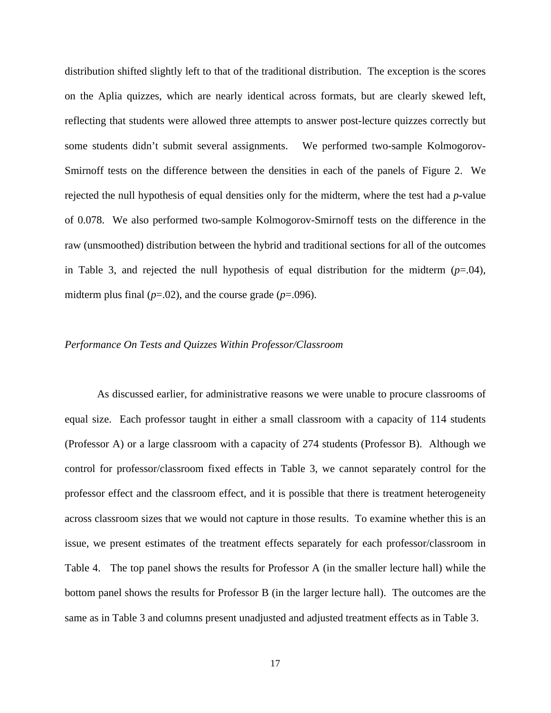distribution shifted slightly left to that of the traditional distribution. The exception is the scores on the Aplia quizzes, which are nearly identical across formats, but are clearly skewed left, reflecting that students were allowed three attempts to answer post-lecture quizzes correctly but some students didn't submit several assignments. We performed two-sample Kolmogorov-Smirnoff tests on the difference between the densities in each of the panels of Figure 2. We rejected the null hypothesis of equal densities only for the midterm, where the test had a *p*-value of 0.078. We also performed two-sample Kolmogorov-Smirnoff tests on the difference in the raw (unsmoothed) distribution between the hybrid and traditional sections for all of the outcomes in Table 3, and rejected the null hypothesis of equal distribution for the midterm  $(p=0.04)$ , midterm plus final  $(p=.02)$ , and the course grade  $(p=.096)$ .

### *Performance On Tests and Quizzes Within Professor/Classroom*

As discussed earlier, for administrative reasons we were unable to procure classrooms of equal size. Each professor taught in either a small classroom with a capacity of 114 students (Professor A) or a large classroom with a capacity of 274 students (Professor B). Although we control for professor/classroom fixed effects in Table 3, we cannot separately control for the professor effect and the classroom effect, and it is possible that there is treatment heterogeneity across classroom sizes that we would not capture in those results. To examine whether this is an issue, we present estimates of the treatment effects separately for each professor/classroom in Table 4. The top panel shows the results for Professor A (in the smaller lecture hall) while the bottom panel shows the results for Professor B (in the larger lecture hall). The outcomes are the same as in Table 3 and columns present unadjusted and adjusted treatment effects as in Table 3.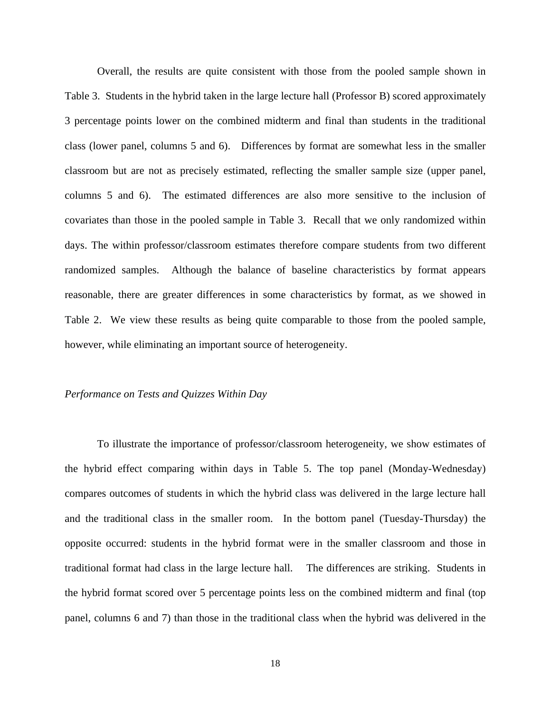Overall, the results are quite consistent with those from the pooled sample shown in Table 3. Students in the hybrid taken in the large lecture hall (Professor B) scored approximately 3 percentage points lower on the combined midterm and final than students in the traditional class (lower panel, columns 5 and 6). Differences by format are somewhat less in the smaller classroom but are not as precisely estimated, reflecting the smaller sample size (upper panel, columns 5 and 6). The estimated differences are also more sensitive to the inclusion of covariates than those in the pooled sample in Table 3. Recall that we only randomized within days. The within professor/classroom estimates therefore compare students from two different randomized samples. Although the balance of baseline characteristics by format appears reasonable, there are greater differences in some characteristics by format, as we showed in Table 2. We view these results as being quite comparable to those from the pooled sample, however, while eliminating an important source of heterogeneity.

### *Performance on Tests and Quizzes Within Day*

 To illustrate the importance of professor/classroom heterogeneity, we show estimates of the hybrid effect comparing within days in Table 5. The top panel (Monday-Wednesday) compares outcomes of students in which the hybrid class was delivered in the large lecture hall and the traditional class in the smaller room. In the bottom panel (Tuesday-Thursday) the opposite occurred: students in the hybrid format were in the smaller classroom and those in traditional format had class in the large lecture hall. The differences are striking. Students in the hybrid format scored over 5 percentage points less on the combined midterm and final (top panel, columns 6 and 7) than those in the traditional class when the hybrid was delivered in the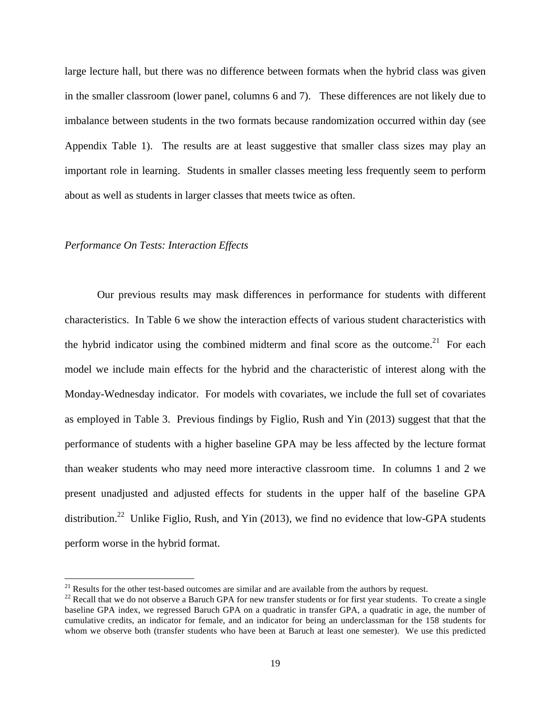large lecture hall, but there was no difference between formats when the hybrid class was given in the smaller classroom (lower panel, columns 6 and 7). These differences are not likely due to imbalance between students in the two formats because randomization occurred within day (see Appendix Table 1). The results are at least suggestive that smaller class sizes may play an important role in learning. Students in smaller classes meeting less frequently seem to perform about as well as students in larger classes that meets twice as often.

### *Performance On Tests: Interaction Effects*

 $\overline{a}$ 

 Our previous results may mask differences in performance for students with different characteristics. In Table 6 we show the interaction effects of various student characteristics with the hybrid indicator using the combined midterm and final score as the outcome.<sup>21</sup> For each model we include main effects for the hybrid and the characteristic of interest along with the Monday-Wednesday indicator. For models with covariates, we include the full set of covariates as employed in Table 3. Previous findings by Figlio, Rush and Yin (2013) suggest that that the performance of students with a higher baseline GPA may be less affected by the lecture format than weaker students who may need more interactive classroom time. In columns 1 and 2 we present unadjusted and adjusted effects for students in the upper half of the baseline GPA distribution.<sup>22</sup> Unlike Figlio, Rush, and Yin (2013), we find no evidence that low-GPA students perform worse in the hybrid format.

 $21$  Results for the other test-based outcomes are similar and are available from the authors by request.

 $22$  Recall that we do not observe a Baruch GPA for new transfer students or for first year students. To create a single baseline GPA index, we regressed Baruch GPA on a quadratic in transfer GPA, a quadratic in age, the number of cumulative credits, an indicator for female, and an indicator for being an underclassman for the 158 students for whom we observe both (transfer students who have been at Baruch at least one semester). We use this predicted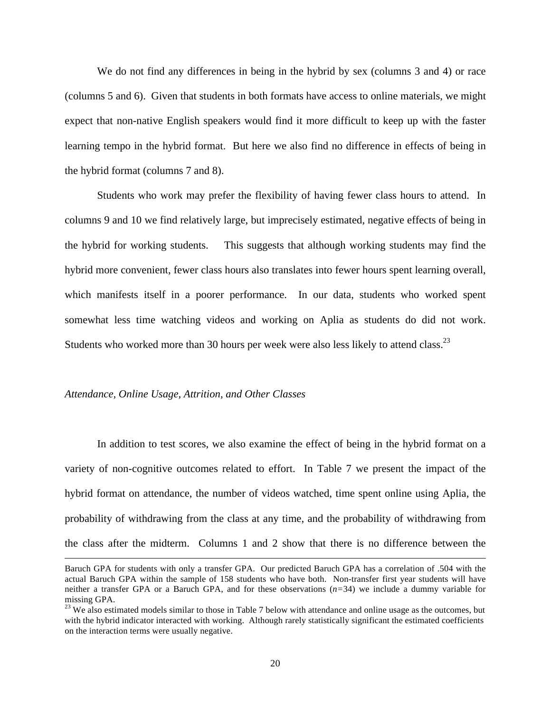We do not find any differences in being in the hybrid by sex (columns 3 and 4) or race (columns 5 and 6). Given that students in both formats have access to online materials, we might expect that non-native English speakers would find it more difficult to keep up with the faster learning tempo in the hybrid format. But here we also find no difference in effects of being in the hybrid format (columns 7 and 8).

Students who work may prefer the flexibility of having fewer class hours to attend. In columns 9 and 10 we find relatively large, but imprecisely estimated, negative effects of being in the hybrid for working students. This suggests that although working students may find the hybrid more convenient, fewer class hours also translates into fewer hours spent learning overall, which manifests itself in a poorer performance. In our data, students who worked spent somewhat less time watching videos and working on Aplia as students do did not work. Students who worked more than 30 hours per week were also less likely to attend class.<sup>23</sup>

### *Attendance, Online Usage, Attrition, and Other Classes*

 $\overline{a}$ 

 In addition to test scores, we also examine the effect of being in the hybrid format on a variety of non-cognitive outcomes related to effort. In Table 7 we present the impact of the hybrid format on attendance, the number of videos watched, time spent online using Aplia, the probability of withdrawing from the class at any time, and the probability of withdrawing from the class after the midterm. Columns 1 and 2 show that there is no difference between the

Baruch GPA for students with only a transfer GPA. Our predicted Baruch GPA has a correlation of .504 with the actual Baruch GPA within the sample of 158 students who have both. Non-transfer first year students will have neither a transfer GPA or a Baruch GPA, and for these observations (*n=*34) we include a dummy variable for missing GPA.<br><sup>23</sup> We also estimated models similar to those in Table 7 below with attendance and online usage as the outcomes, but

with the hybrid indicator interacted with working. Although rarely statistically significant the estimated coefficients on the interaction terms were usually negative.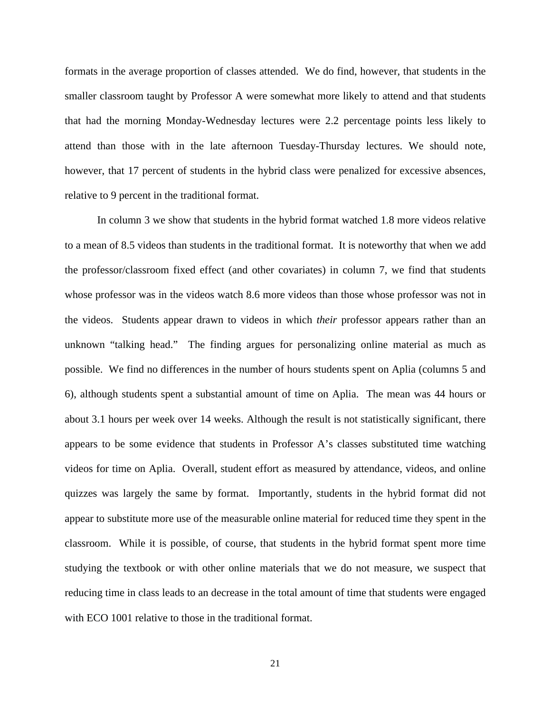formats in the average proportion of classes attended. We do find, however, that students in the smaller classroom taught by Professor A were somewhat more likely to attend and that students that had the morning Monday-Wednesday lectures were 2.2 percentage points less likely to attend than those with in the late afternoon Tuesday-Thursday lectures. We should note, however, that 17 percent of students in the hybrid class were penalized for excessive absences, relative to 9 percent in the traditional format.

In column 3 we show that students in the hybrid format watched 1.8 more videos relative to a mean of 8.5 videos than students in the traditional format. It is noteworthy that when we add the professor/classroom fixed effect (and other covariates) in column 7, we find that students whose professor was in the videos watch 8.6 more videos than those whose professor was not in the videos. Students appear drawn to videos in which *their* professor appears rather than an unknown "talking head." The finding argues for personalizing online material as much as possible. We find no differences in the number of hours students spent on Aplia (columns 5 and 6), although students spent a substantial amount of time on Aplia. The mean was 44 hours or about 3.1 hours per week over 14 weeks. Although the result is not statistically significant, there appears to be some evidence that students in Professor A's classes substituted time watching videos for time on Aplia. Overall, student effort as measured by attendance, videos, and online quizzes was largely the same by format. Importantly, students in the hybrid format did not appear to substitute more use of the measurable online material for reduced time they spent in the classroom. While it is possible, of course, that students in the hybrid format spent more time studying the textbook or with other online materials that we do not measure, we suspect that reducing time in class leads to an decrease in the total amount of time that students were engaged with ECO 1001 relative to those in the traditional format.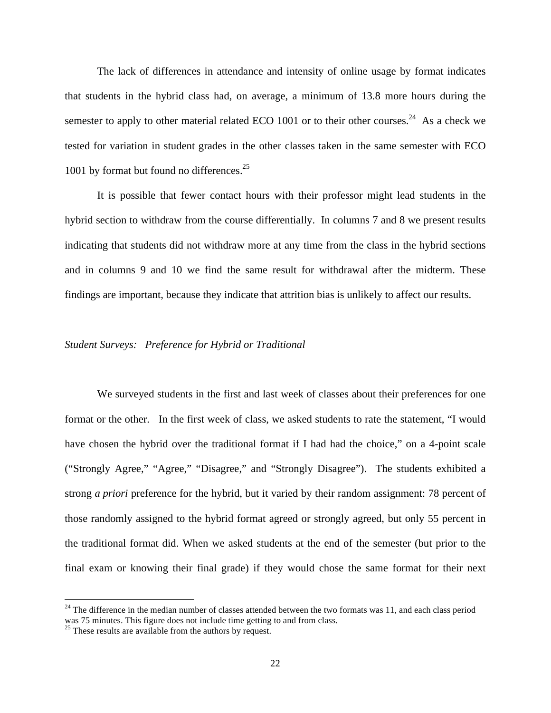The lack of differences in attendance and intensity of online usage by format indicates that students in the hybrid class had, on average, a minimum of 13.8 more hours during the semester to apply to other material related ECO 1001 or to their other courses.<sup>24</sup> As a check we tested for variation in student grades in the other classes taken in the same semester with ECO 1001 by format but found no differences.<sup>25</sup>

It is possible that fewer contact hours with their professor might lead students in the hybrid section to withdraw from the course differentially. In columns 7 and 8 we present results indicating that students did not withdraw more at any time from the class in the hybrid sections and in columns 9 and 10 we find the same result for withdrawal after the midterm. These findings are important, because they indicate that attrition bias is unlikely to affect our results.

### *Student Surveys: Preference for Hybrid or Traditional*

 We surveyed students in the first and last week of classes about their preferences for one format or the other. In the first week of class, we asked students to rate the statement, "I would have chosen the hybrid over the traditional format if I had had the choice," on a 4-point scale ("Strongly Agree," "Agree," "Disagree," and "Strongly Disagree"). The students exhibited a strong *a priori* preference for the hybrid, but it varied by their random assignment: 78 percent of those randomly assigned to the hybrid format agreed or strongly agreed, but only 55 percent in the traditional format did. When we asked students at the end of the semester (but prior to the final exam or knowing their final grade) if they would chose the same format for their next

 $\overline{a}$ 

 $^{24}$  The difference in the median number of classes attended between the two formats was 11, and each class period was 75 minutes. This figure does not include time getting to and from class.

 $25$  These results are available from the authors by request.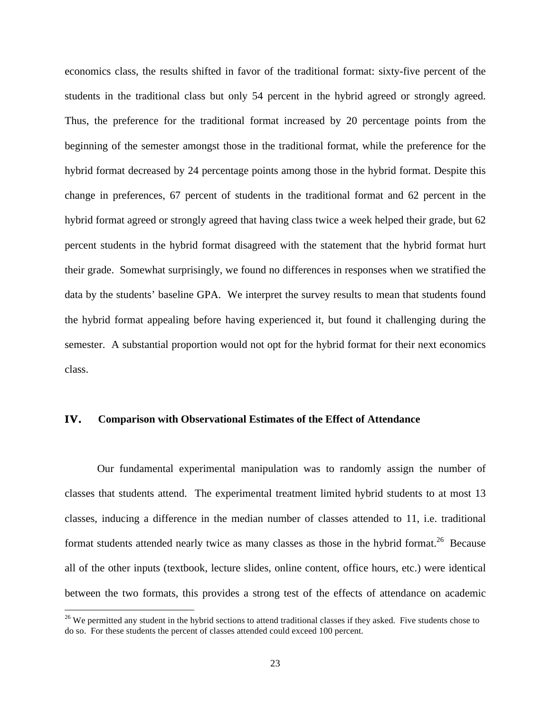economics class, the results shifted in favor of the traditional format: sixty-five percent of the students in the traditional class but only 54 percent in the hybrid agreed or strongly agreed. Thus, the preference for the traditional format increased by 20 percentage points from the beginning of the semester amongst those in the traditional format, while the preference for the hybrid format decreased by 24 percentage points among those in the hybrid format. Despite this change in preferences, 67 percent of students in the traditional format and 62 percent in the hybrid format agreed or strongly agreed that having class twice a week helped their grade, but 62 percent students in the hybrid format disagreed with the statement that the hybrid format hurt their grade. Somewhat surprisingly, we found no differences in responses when we stratified the data by the students' baseline GPA. We interpret the survey results to mean that students found the hybrid format appealing before having experienced it, but found it challenging during the semester. A substantial proportion would not opt for the hybrid format for their next economics class.

### **IV. Comparison with Observational Estimates of the Effect of Attendance**

 Our fundamental experimental manipulation was to randomly assign the number of classes that students attend. The experimental treatment limited hybrid students to at most 13 classes, inducing a difference in the median number of classes attended to 11, i.e. traditional format students attended nearly twice as many classes as those in the hybrid format.<sup>26</sup> Because all of the other inputs (textbook, lecture slides, online content, office hours, etc.) were identical between the two formats, this provides a strong test of the effects of attendance on academic

 $\overline{a}$ 

 $26$  We permitted any student in the hybrid sections to attend traditional classes if they asked. Five students chose to do so. For these students the percent of classes attended could exceed 100 percent.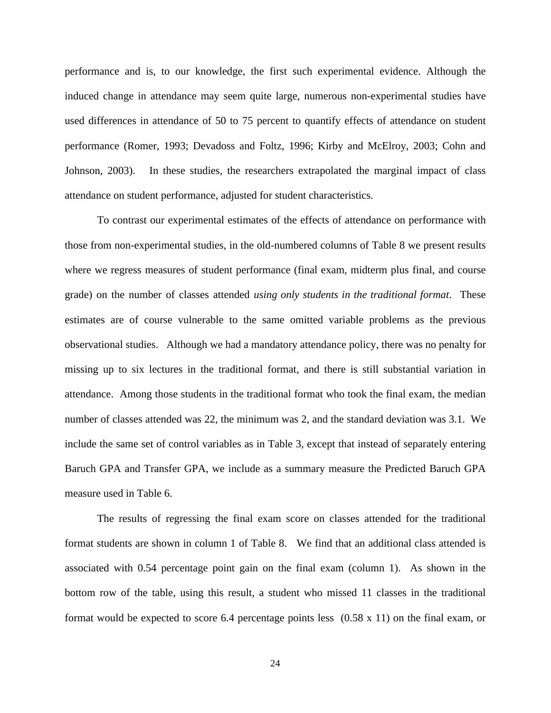performance and is, to our knowledge, the first such experimental evidence. Although the induced change in attendance may seem quite large, numerous non-experimental studies have used differences in attendance of 50 to 75 percent to quantify effects of attendance on student performance (Romer, 1993; Devadoss and Foltz, 1996; Kirby and McElroy, 2003; Cohn and Johnson, 2003). In these studies, the researchers extrapolated the marginal impact of class attendance on student performance, adjusted for student characteristics.

To contrast our experimental estimates of the effects of attendance on performance with those from non-experimental studies, in the old-numbered columns of Table 8 we present results where we regress measures of student performance (final exam, midterm plus final, and course grade) on the number of classes attended *using only students in the traditional format*. These estimates are of course vulnerable to the same omitted variable problems as the previous observational studies. Although we had a mandatory attendance policy, there was no penalty for missing up to six lectures in the traditional format, and there is still substantial variation in attendance. Among those students in the traditional format who took the final exam, the median number of classes attended was 22, the minimum was 2, and the standard deviation was 3.1. We include the same set of control variables as in Table 3, except that instead of separately entering Baruch GPA and Transfer GPA, we include as a summary measure the Predicted Baruch GPA measure used in Table 6.

 The results of regressing the final exam score on classes attended for the traditional format students are shown in column 1 of Table 8. We find that an additional class attended is associated with 0.54 percentage point gain on the final exam (column 1). As shown in the bottom row of the table, using this result, a student who missed 11 classes in the traditional format would be expected to score 6.4 percentage points less (0.58 x 11) on the final exam, or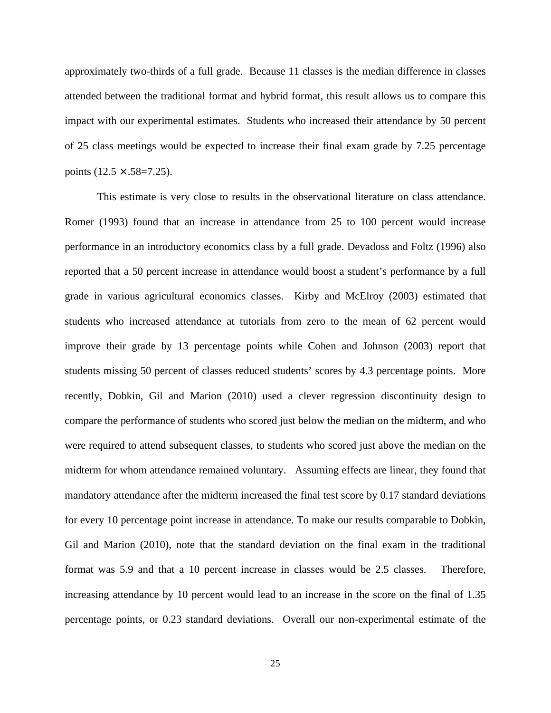approximately two-thirds of a full grade. Because 11 classes is the median difference in classes attended between the traditional format and hybrid format, this result allows us to compare this impact with our experimental estimates. Students who increased their attendance by 50 percent of 25 class meetings would be expected to increase their final exam grade by 7.25 percentage points  $(12.5 \times .58=7.25)$ .

This estimate is very close to results in the observational literature on class attendance. Romer (1993) found that an increase in attendance from 25 to 100 percent would increase performance in an introductory economics class by a full grade. Devadoss and Foltz (1996) also reported that a 50 percent increase in attendance would boost a student's performance by a full grade in various agricultural economics classes. Kirby and McElroy (2003) estimated that students who increased attendance at tutorials from zero to the mean of 62 percent would improve their grade by 13 percentage points while Cohen and Johnson (2003) report that students missing 50 percent of classes reduced students' scores by 4.3 percentage points. More recently, Dobkin, Gil and Marion (2010) used a clever regression discontinuity design to compare the performance of students who scored just below the median on the midterm, and who were required to attend subsequent classes, to students who scored just above the median on the midterm for whom attendance remained voluntary. Assuming effects are linear, they found that mandatory attendance after the midterm increased the final test score by 0.17 standard deviations for every 10 percentage point increase in attendance. To make our results comparable to Dobkin, Gil and Marion (2010), note that the standard deviation on the final exam in the traditional format was 5.9 and that a 10 percent increase in classes would be 2.5 classes. Therefore, increasing attendance by 10 percent would lead to an increase in the score on the final of 1.35 percentage points, or 0.23 standard deviations. Overall our non-experimental estimate of the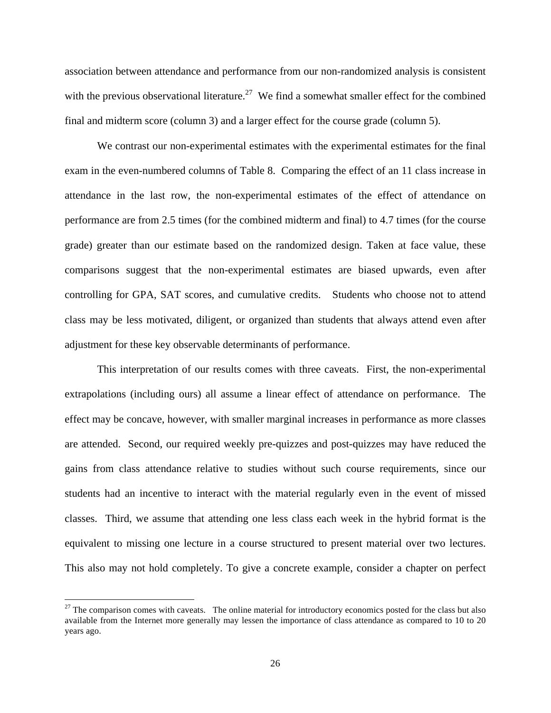association between attendance and performance from our non-randomized analysis is consistent with the previous observational literature.<sup>27</sup> We find a somewhat smaller effect for the combined final and midterm score (column 3) and a larger effect for the course grade (column 5).

 We contrast our non-experimental estimates with the experimental estimates for the final exam in the even-numbered columns of Table 8. Comparing the effect of an 11 class increase in attendance in the last row, the non-experimental estimates of the effect of attendance on performance are from 2.5 times (for the combined midterm and final) to 4.7 times (for the course grade) greater than our estimate based on the randomized design. Taken at face value, these comparisons suggest that the non-experimental estimates are biased upwards, even after controlling for GPA, SAT scores, and cumulative credits. Students who choose not to attend class may be less motivated, diligent, or organized than students that always attend even after adjustment for these key observable determinants of performance.

This interpretation of our results comes with three caveats. First, the non-experimental extrapolations (including ours) all assume a linear effect of attendance on performance. The effect may be concave, however, with smaller marginal increases in performance as more classes are attended. Second, our required weekly pre-quizzes and post-quizzes may have reduced the gains from class attendance relative to studies without such course requirements, since our students had an incentive to interact with the material regularly even in the event of missed classes. Third, we assume that attending one less class each week in the hybrid format is the equivalent to missing one lecture in a course structured to present material over two lectures. This also may not hold completely. To give a concrete example, consider a chapter on perfect

 $\overline{a}$ 

 $27$  The comparison comes with caveats. The online material for introductory economics posted for the class but also available from the Internet more generally may lessen the importance of class attendance as compared to 10 to 20 years ago.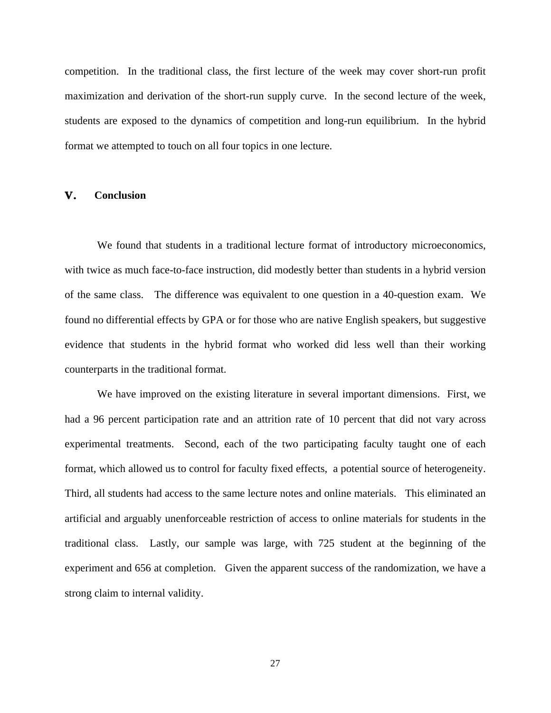competition. In the traditional class, the first lecture of the week may cover short-run profit maximization and derivation of the short-run supply curve. In the second lecture of the week, students are exposed to the dynamics of competition and long-run equilibrium. In the hybrid format we attempted to touch on all four topics in one lecture.

## **V. Conclusion**

We found that students in a traditional lecture format of introductory microeconomics, with twice as much face-to-face instruction, did modestly better than students in a hybrid version of the same class. The difference was equivalent to one question in a 40-question exam. We found no differential effects by GPA or for those who are native English speakers, but suggestive evidence that students in the hybrid format who worked did less well than their working counterparts in the traditional format.

 We have improved on the existing literature in several important dimensions. First, we had a 96 percent participation rate and an attrition rate of 10 percent that did not vary across experimental treatments. Second, each of the two participating faculty taught one of each format, which allowed us to control for faculty fixed effects, a potential source of heterogeneity. Third, all students had access to the same lecture notes and online materials. This eliminated an artificial and arguably unenforceable restriction of access to online materials for students in the traditional class. Lastly, our sample was large, with 725 student at the beginning of the experiment and 656 at completion. Given the apparent success of the randomization, we have a strong claim to internal validity.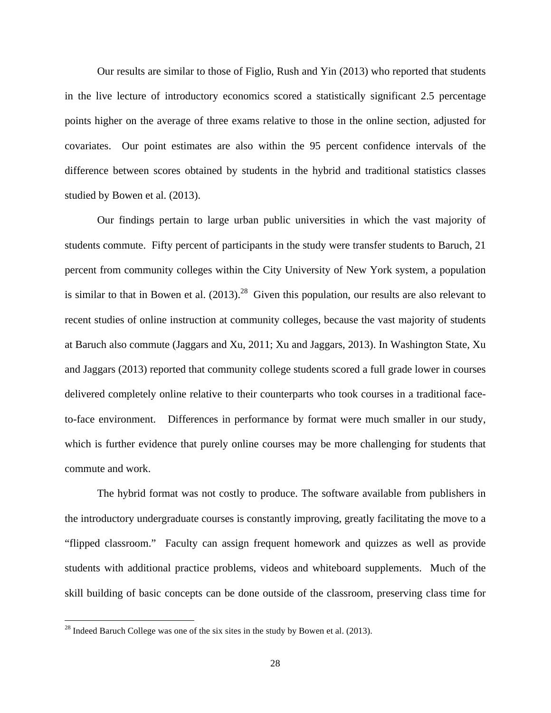Our results are similar to those of Figlio, Rush and Yin (2013) who reported that students in the live lecture of introductory economics scored a statistically significant 2.5 percentage points higher on the average of three exams relative to those in the online section, adjusted for covariates. Our point estimates are also within the 95 percent confidence intervals of the difference between scores obtained by students in the hybrid and traditional statistics classes studied by Bowen et al. (2013).

 Our findings pertain to large urban public universities in which the vast majority of students commute. Fifty percent of participants in the study were transfer students to Baruch, 21 percent from community colleges within the City University of New York system, a population is similar to that in Bowen et al.  $(2013)$ <sup>28</sup> Given this population, our results are also relevant to recent studies of online instruction at community colleges, because the vast majority of students at Baruch also commute (Jaggars and Xu, 2011; Xu and Jaggars, 2013). In Washington State, Xu and Jaggars (2013) reported that community college students scored a full grade lower in courses delivered completely online relative to their counterparts who took courses in a traditional faceto-face environment. Differences in performance by format were much smaller in our study, which is further evidence that purely online courses may be more challenging for students that commute and work.

 The hybrid format was not costly to produce. The software available from publishers in the introductory undergraduate courses is constantly improving, greatly facilitating the move to a "flipped classroom." Faculty can assign frequent homework and quizzes as well as provide students with additional practice problems, videos and whiteboard supplements. Much of the skill building of basic concepts can be done outside of the classroom, preserving class time for

<u>.</u>

 $^{28}$  Indeed Baruch College was one of the six sites in the study by Bowen et al. (2013).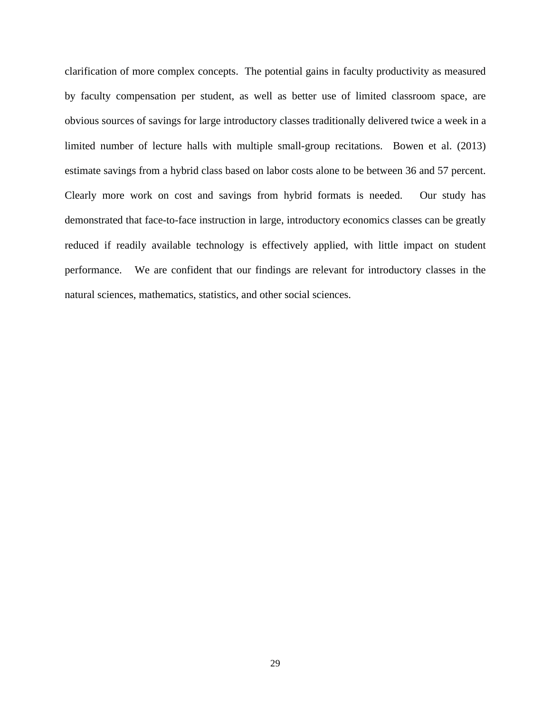clarification of more complex concepts. The potential gains in faculty productivity as measured by faculty compensation per student, as well as better use of limited classroom space, are obvious sources of savings for large introductory classes traditionally delivered twice a week in a limited number of lecture halls with multiple small-group recitations. Bowen et al. (2013) estimate savings from a hybrid class based on labor costs alone to be between 36 and 57 percent. Clearly more work on cost and savings from hybrid formats is needed. Our study has demonstrated that face-to-face instruction in large, introductory economics classes can be greatly reduced if readily available technology is effectively applied, with little impact on student performance. We are confident that our findings are relevant for introductory classes in the natural sciences, mathematics, statistics, and other social sciences.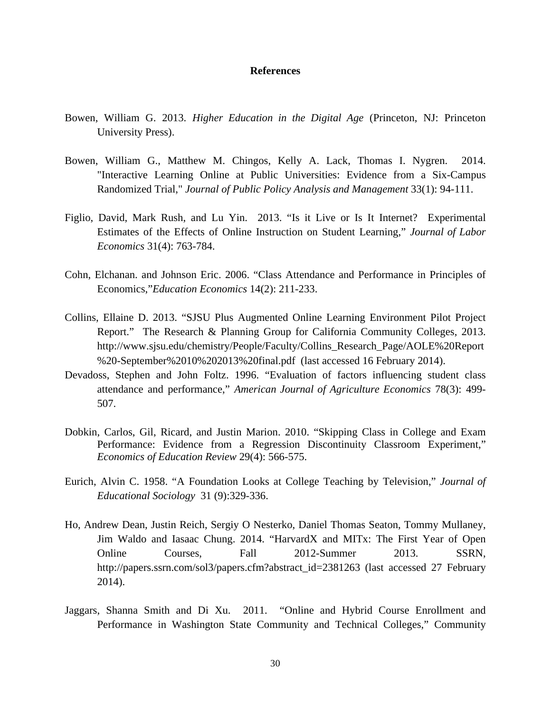### **References**

- Bowen, William G. 2013. *Higher Education in the Digital Age* (Princeton, NJ: Princeton University Press).
- Bowen, William G., Matthew M. Chingos, Kelly A. Lack, Thomas I. Nygren. 2014. "Interactive Learning Online at Public Universities: Evidence from a Six-Campus Randomized Trial," *Journal of Public Policy Analysis and Management* 33(1): 94-111.
- Figlio, David, Mark Rush, and Lu Yin. 2013. "Is it Live or Is It Internet? Experimental Estimates of the Effects of Online Instruction on Student Learning," *Journal of Labor Economics* 31(4): 763-784.
- Cohn, Elchanan. and Johnson Eric. 2006. "Class Attendance and Performance in Principles of Economics,"*Education Economics* 14(2): 211-233.
- Collins, Ellaine D. 2013. "SJSU Plus Augmented Online Learning Environment Pilot Project Report." The Research & Planning Group for California Community Colleges, 2013. http://www.sjsu.edu/chemistry/People/Faculty/Collins\_Research\_Page/AOLE%20Report %20-September%2010%202013%20final.pdf (last accessed 16 February 2014).
- Devadoss, Stephen and John Foltz. 1996. "Evaluation of factors influencing student class attendance and performance," *American Journal of Agriculture Economics* 78(3): 499- 507.
- Dobkin, Carlos, Gil, Ricard, and Justin Marion. 2010. "Skipping Class in College and Exam Performance: Evidence from a Regression Discontinuity Classroom Experiment," *Economics of Education Review* 29(4): 566-575.
- Eurich, Alvin C. 1958. "A Foundation Looks at College Teaching by Television," *Journal of Educational Sociology* 31 (9):329-336.
- Ho, Andrew Dean, Justin Reich, Sergiy O Nesterko, Daniel Thomas Seaton, Tommy Mullaney, Jim Waldo and Iasaac Chung. 2014. "HarvardX and MITx: The First Year of Open Online Courses, Fall 2012-Summer 2013. SSRN, http://papers.ssrn.com/sol3/papers.cfm?abstract\_id=2381263 (last accessed 27 February 2014).
- Jaggars, Shanna Smith and Di Xu. 2011. "Online and Hybrid Course Enrollment and Performance in Washington State Community and Technical Colleges," Community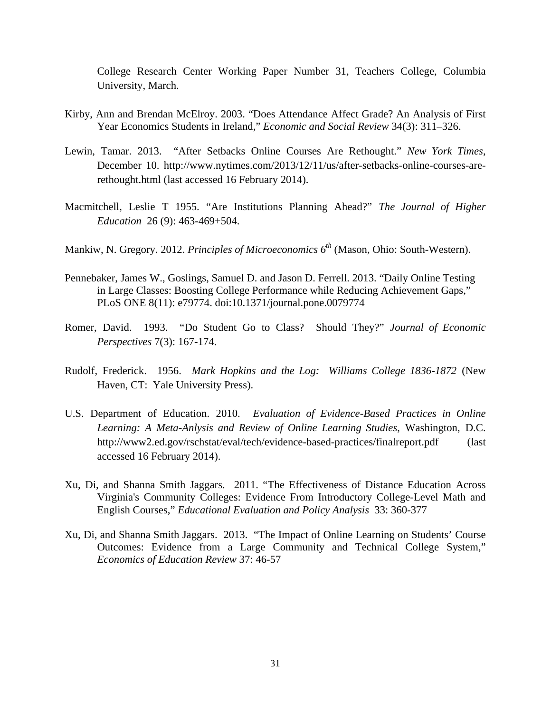College Research Center Working Paper Number 31, Teachers College, Columbia University, March.

- Kirby, Ann and Brendan McElroy. 2003. "Does Attendance Affect Grade? An Analysis of First Year Economics Students in Ireland," *Economic and Social Review* 34(3): 311–326.
- Lewin, Tamar. 2013. "After Setbacks Online Courses Are Rethought." *New York Times*, December 10. http://www.nytimes.com/2013/12/11/us/after-setbacks-online-courses-arerethought.html (last accessed 16 February 2014).
- Macmitchell, Leslie T 1955. "Are Institutions Planning Ahead?" *The Journal of Higher Education* 26 (9): 463-469+504.
- Mankiw, N. Gregory. 2012. *Principles of Microeconomics 6th* (Mason, Ohio: South-Western).
- Pennebaker, James W., Goslings, Samuel D. and Jason D. Ferrell. 2013. "Daily Online Testing in Large Classes: Boosting College Performance while Reducing Achievement Gaps," PLoS ONE 8(11): e79774. doi:10.1371/journal.pone.0079774
- Romer, David. 1993. "Do Student Go to Class? Should They?" *Journal of Economic Perspectives* 7(3): 167-174.
- Rudolf, Frederick. 1956. *Mark Hopkins and the Log: Williams College 1836-1872* (New Haven, CT: Yale University Press).
- U.S. Department of Education. 2010. *Evaluation of Evidence-Based Practices in Online Learning: A Meta-Anlysis and Review of Online Learning Studies*, Washington, D.C. http://www2.ed.gov/rschstat/eval/tech/evidence-based-practices/finalreport.pdf (last accessed 16 February 2014).
- Xu, Di, and Shanna Smith Jaggars. 2011. "The Effectiveness of Distance Education Across Virginia's Community Colleges: Evidence From Introductory College-Level Math and English Courses," *Educational Evaluation and Policy Analysis* 33: 360-377
- Xu, Di, and Shanna Smith Jaggars. 2013. "The Impact of Online Learning on Students' Course Outcomes: Evidence from a Large Community and Technical College System," *Economics of Education Review* 37: 46-57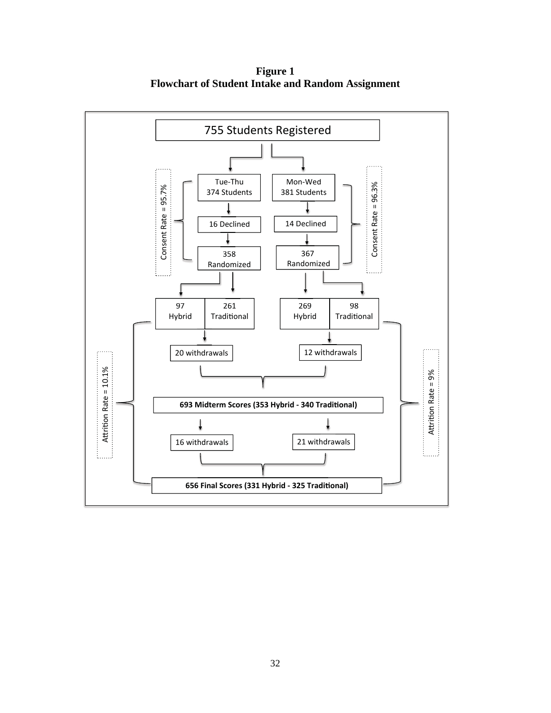**Figure 1 Flowchart of Student Intake and Random Assignment** 

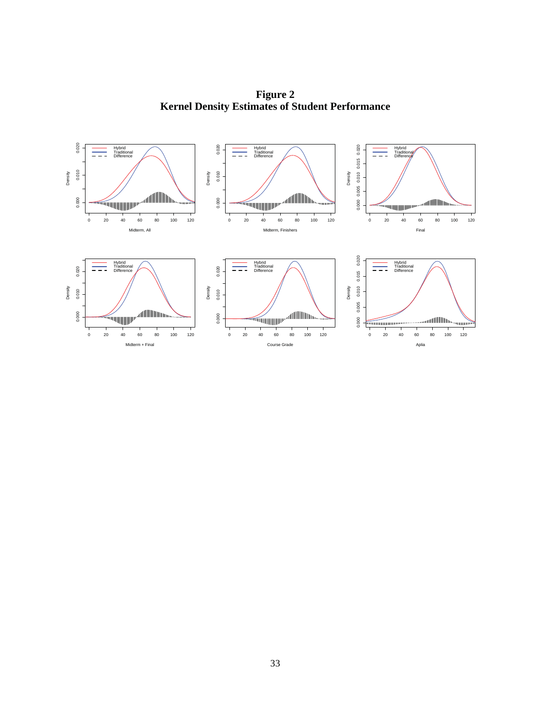**Figure 2 Kernel Density Estimates of Student Performance** 

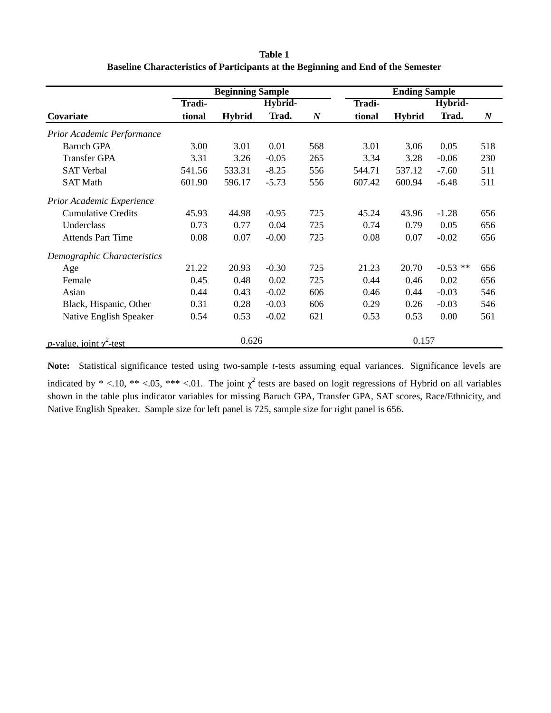| Table 1                                                                           |
|-----------------------------------------------------------------------------------|
| Baseline Characteristics of Participants at the Beginning and End of the Semester |

|                                         |        | <b>Beginning Sample</b> |         |                  |        | <b>Ending Sample</b> |            |                  |
|-----------------------------------------|--------|-------------------------|---------|------------------|--------|----------------------|------------|------------------|
|                                         | Tradi- |                         | Hybrid- |                  | Tradi- |                      | Hybrid-    |                  |
| Covariate                               | tional | <b>Hybrid</b>           | Trad.   | $\boldsymbol{N}$ | tional | <b>Hybrid</b>        | Trad.      | $\boldsymbol{N}$ |
| Prior Academic Performance              |        |                         |         |                  |        |                      |            |                  |
| <b>Baruch GPA</b>                       | 3.00   | 3.01                    | 0.01    | 568              | 3.01   | 3.06                 | 0.05       | 518              |
| <b>Transfer GPA</b>                     | 3.31   | 3.26                    | $-0.05$ | 265              | 3.34   | 3.28                 | $-0.06$    | 230              |
| <b>SAT Verbal</b>                       | 541.56 | 533.31                  | $-8.25$ | 556              | 544.71 | 537.12               | $-7.60$    | 511              |
| <b>SAT Math</b>                         | 601.90 | 596.17                  | $-5.73$ | 556              | 607.42 | 600.94               | $-6.48$    | 511              |
| Prior Academic Experience               |        |                         |         |                  |        |                      |            |                  |
| <b>Cumulative Credits</b>               | 45.93  | 44.98                   | $-0.95$ | 725              | 45.24  | 43.96                | $-1.28$    | 656              |
| Underclass                              | 0.73   | 0.77                    | 0.04    | 725              | 0.74   | 0.79                 | 0.05       | 656              |
| <b>Attends Part Time</b>                | 0.08   | 0.07                    | $-0.00$ | 725              | 0.08   | 0.07                 | $-0.02$    | 656              |
| Demographic Characteristics             |        |                         |         |                  |        |                      |            |                  |
| Age                                     | 21.22  | 20.93                   | $-0.30$ | 725              | 21.23  | 20.70                | $-0.53$ ** | 656              |
| Female                                  | 0.45   | 0.48                    | 0.02    | 725              | 0.44   | 0.46                 | 0.02       | 656              |
| Asian                                   | 0.44   | 0.43                    | $-0.02$ | 606              | 0.46   | 0.44                 | $-0.03$    | 546              |
| Black, Hispanic, Other                  | 0.31   | 0.28                    | $-0.03$ | 606              | 0.29   | 0.26                 | $-0.03$    | 546              |
| Native English Speaker                  | 0.54   | 0.53                    | $-0.02$ | 621              | 0.53   | 0.53                 | 0.00       | 561              |
| <i>p</i> -value, joint $\gamma^2$ -test |        | 0.626                   |         |                  |        | 0.157                |            |                  |

**Note:** Statistical significance tested using two-sample *t*-tests assuming equal variances. Significance levels are indicated by  $* < 0.10$ ,  $** < 0.05$ ,  $** < 0.01$ . The joint  $\chi^2$  tests are based on logit regressions of Hybrid on all variables shown in the table plus indicator variables for missing Baruch GPA, Transfer GPA, SAT scores, Race/Ethnicity, and Native English Speaker. Sample size for left panel is 725, sample size for right panel is 656.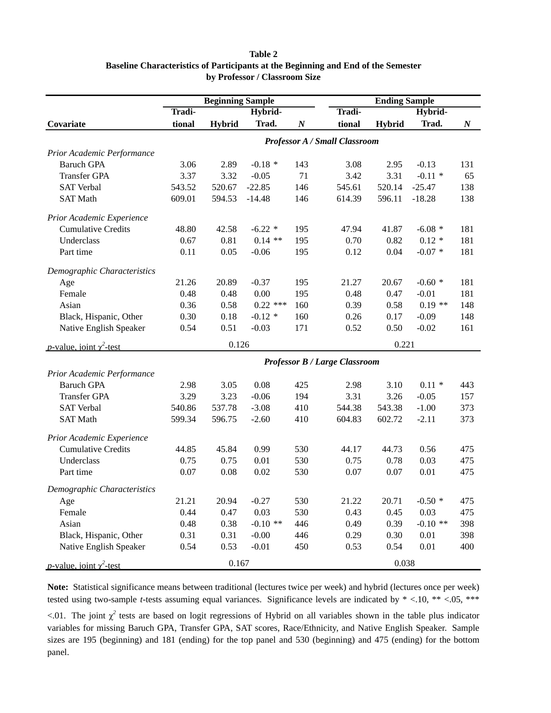#### **Table 2**

### **Baseline Characteristics of Participants at the Beginning and End of the Semester by Professor / Classroom Size**

|                                         |        | <b>Beginning Sample</b> |            |                  |                                      | <b>Ending Sample</b> |            |                  |
|-----------------------------------------|--------|-------------------------|------------|------------------|--------------------------------------|----------------------|------------|------------------|
|                                         | Tradi- |                         | Hybrid-    |                  | <b>Tradi-</b>                        |                      | Hybrid-    |                  |
| Covariate                               | tional | <b>Hybrid</b>           | Trad.      | $\boldsymbol{N}$ | tional                               | <b>Hybrid</b>        | Trad.      | $\boldsymbol{N}$ |
|                                         |        |                         |            |                  | <b>Professor A / Small Classroom</b> |                      |            |                  |
| Prior Academic Performance              |        |                         |            |                  |                                      |                      |            |                  |
| <b>Baruch GPA</b>                       | 3.06   | 2.89                    | $-0.18*$   | 143              | 3.08                                 | 2.95                 | $-0.13$    | 131              |
| <b>Transfer GPA</b>                     | 3.37   | 3.32                    | $-0.05$    | 71               | 3.42                                 | 3.31                 | $-0.11$ *  | 65               |
| <b>SAT Verbal</b>                       | 543.52 | 520.67                  | $-22.85$   | 146              | 545.61                               | 520.14               | $-25.47$   | 138              |
| <b>SAT Math</b>                         | 609.01 | 594.53                  | $-14.48$   | 146              | 614.39                               | 596.11               | $-18.28$   | 138              |
| Prior Academic Experience               |        |                         |            |                  |                                      |                      |            |                  |
| <b>Cumulative Credits</b>               | 48.80  | 42.58                   | $-6.22$ *  | 195              | 47.94                                | 41.87                | $-6.08*$   | 181              |
| Underclass                              | 0.67   | 0.81                    | $0.14$ **  | 195              | 0.70                                 | 0.82                 | $0.12*$    | 181              |
| Part time                               | 0.11   | 0.05                    | $-0.06$    | 195              | 0.12                                 | 0.04                 | $-0.07*$   | 181              |
| Demographic Characteristics             |        |                         |            |                  |                                      |                      |            |                  |
| Age                                     | 21.26  | 20.89                   | $-0.37$    | 195              | 21.27                                | 20.67                | $-0.60*$   | 181              |
| Female                                  | 0.48   | 0.48                    | 0.00       | 195              | 0.48                                 | 0.47                 | $-0.01$    | 181              |
| Asian                                   | 0.36   | 0.58                    | $0.22$ *** | 160              | 0.39                                 | 0.58                 | $0.19**$   | 148              |
| Black, Hispanic, Other                  | 0.30   | 0.18                    | $-0.12$ *  | 160              | 0.26                                 | 0.17                 | $-0.09$    | 148              |
| Native English Speaker                  | 0.54   | 0.51                    | $-0.03$    | 171              | 0.52                                 | 0.50                 | $-0.02$    | 161              |
| <i>p</i> -value, joint $\gamma^2$ -test |        | 0.126                   |            |                  |                                      | 0.221                |            |                  |
|                                         |        |                         |            |                  | <b>Professor B / Large Classroom</b> |                      |            |                  |
| Prior Academic Performance              |        |                         |            |                  |                                      |                      |            |                  |
| <b>Baruch GPA</b>                       | 2.98   | 3.05                    | 0.08       | 425              | 2.98                                 | 3.10                 | $0.11 *$   | 443              |
| <b>Transfer GPA</b>                     | 3.29   | 3.23                    | $-0.06$    | 194              | 3.31                                 | 3.26                 | $-0.05$    | 157              |
| <b>SAT Verbal</b>                       | 540.86 | 537.78                  | $-3.08$    | 410              | 544.38                               | 543.38               | $-1.00$    | 373              |
| <b>SAT Math</b>                         | 599.34 | 596.75                  | $-2.60$    | 410              | 604.83                               | 602.72               | $-2.11$    | 373              |
| Prior Academic Experience               |        |                         |            |                  |                                      |                      |            |                  |
| <b>Cumulative Credits</b>               | 44.85  | 45.84                   | 0.99       | 530              | 44.17                                | 44.73                | 0.56       | 475              |
| Underclass                              | 0.75   | 0.75                    | $0.01\,$   | 530              | 0.75                                 | 0.78                 | 0.03       | 475              |
| Part time                               | 0.07   | 0.08                    | 0.02       | 530              | 0.07                                 | 0.07                 | 0.01       | 475              |
| Demographic Characteristics             |        |                         |            |                  |                                      |                      |            |                  |
| Age                                     | 21.21  | 20.94                   | $-0.27$    | 530              | 21.22                                | 20.71                | $-0.50*$   | 475              |
| Female                                  | 0.44   | 0.47                    | 0.03       | 530              | 0.43                                 | 0.45                 | 0.03       | 475              |
| Asian                                   | 0.48   | 0.38                    | $-0.10$ ** | 446              | 0.49                                 | 0.39                 | $-0.10$ ** | 398              |
| Black, Hispanic, Other                  | 0.31   | 0.31                    | $-0.00$    | 446              | 0.29                                 | 0.30                 | 0.01       | 398              |
| Native English Speaker                  | 0.54   | 0.53                    | $-0.01$    | 450              | 0.53                                 | 0.54                 | 0.01       | 400              |
| <i>p</i> -value, joint $\gamma^2$ -test |        | 0.167                   |            |                  |                                      | 0.038                |            |                  |

**Note:** Statistical significance means between traditional (lectures twice per week) and hybrid (lectures once per week) tested using two-sample *t*-tests assuming equal variances. Significance levels are indicated by \* <.10, \*\* <.05, \*\*\*

 $\lt$ .01. The joint  $\chi^2$  tests are based on logit regressions of Hybrid on all variables shown in the table plus indicator variables for missing Baruch GPA, Transfer GPA, SAT scores, Race/Ethnicity, and Native English Speaker. Sample sizes are 195 (beginning) and 181 (ending) for the top panel and 530 (beginning) and 475 (ending) for the bottom panel.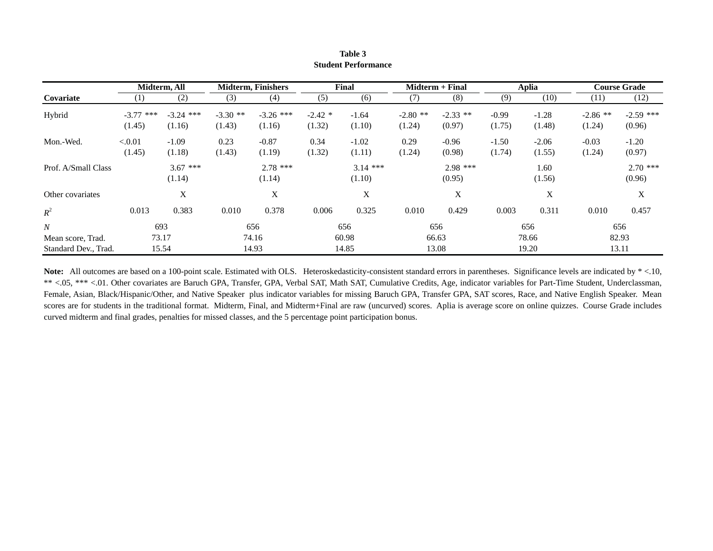|                      |                  | Midterm, All |            | <b>Midterm, Finishers</b> |           | Final      |            | Midterm + Final |         | Aplia   |            | <b>Course Grade</b> |
|----------------------|------------------|--------------|------------|---------------------------|-----------|------------|------------|-----------------|---------|---------|------------|---------------------|
| Covariate            | (1)              | (2)          | (3)        | (4)                       | (5)       | (6)        | (7)        | (8)             | (9)     | (10)    | (11)       | (12)                |
| Hybrid               | $***$<br>$-3.77$ | $-3.24$ ***  | $-3.30$ ** | $-3.26$ ***               | $-2.42$ * | $-1.64$    | $-2.80$ ** | $-2.33$ **      | $-0.99$ | $-1.28$ | $-2.86$ ** | $-2.59$ ***         |
|                      | (1.45)           | (1.16)       | (1.43)     | (1.16)                    | (1.32)    | (1.10)     | (1.24)     | (0.97)          | (1.75)  | (1.48)  | (1.24)     | (0.96)              |
| Mon.-Wed.            | < 0.01           | $-1.09$      | 0.23       | $-0.87$                   | 0.34      | $-1.02$    | 0.29       | $-0.96$         | $-1.50$ | $-2.06$ | $-0.03$    | $-1.20$             |
|                      | (1.45)           | (1.18)       | (1.43)     | (1.19)                    | (1.32)    | (1.11)     | (1.24)     | (0.98)          | (1.74)  | (1.55)  | (1.24)     | (0.97)              |
| Prof. A/Small Class  |                  | $3.67$ ***   |            | $2.78$ ***                |           | $3.14$ *** |            | $2.98$ ***      |         | 1.60    |            | $2.70$ ***          |
|                      |                  | (1.14)       |            | (1.14)                    |           | (1.10)     |            | (0.95)          |         | (1.56)  |            | (0.96)              |
| Other covariates     |                  | X            |            | X                         |           | X          |            | X               |         | X       |            | X                   |
| $R^2$                | 0.013            | 0.383        | 0.010      | 0.378                     | 0.006     | 0.325      | 0.010      | 0.429           | 0.003   | 0.311   | 0.010      | 0.457               |
| $\boldsymbol{N}$     |                  | 693          |            | 656                       |           | 656        |            | 656             |         | 656     |            | 656                 |
| Mean score, Trad.    | 73.17            |              |            | 74.16                     |           | 60.98      |            | 66.63           |         | 78.66   |            | 82.93               |
| Standard Dev., Trad. |                  | 15.54        |            | 14.93                     |           | 14.85      |            | 13.08           |         | 19.20   |            | 13.11               |

**Table 3 Student Performance**

Note: All outcomes are based on a 100-point scale. Estimated with OLS. Heteroskedasticity-consistent standard errors in parentheses. Significance levels are indicated by  $*$  <.10, \*\* <.05, \*\*\* <.01. Other covariates are Baruch GPA, Transfer, GPA, Verbal SAT, Math SAT, Cumulative Credits, Age, indicator variables for Part-Time Student, Underclassman, Female, Asian, Black/Hispanic/Other, and Native Speaker plus indicator variables for missing Baruch GPA, Transfer GPA, SAT scores, Race, and Native English Speaker. Mean scores are for students in the traditional format. Midterm, Final, and Midterm+Final are raw (uncurved) scores. Aplia is average score on online quizzes. Course Grade includes curved midterm and final grades, penalties for missed classes, and the 5 percentage point participation bonus.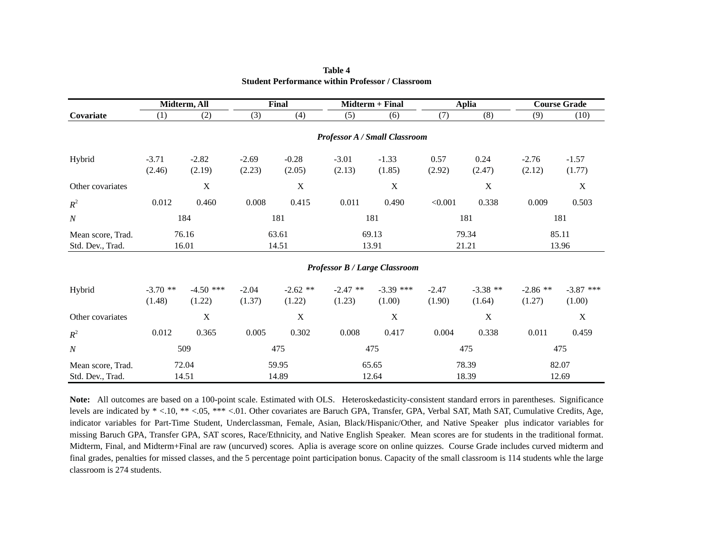|                                       |                      | Midterm, All          |                   | Final                |                      | Midterm + Final                      |                   | <b>Aplia</b>         | <b>Course Grade</b>  |                       |  |
|---------------------------------------|----------------------|-----------------------|-------------------|----------------------|----------------------|--------------------------------------|-------------------|----------------------|----------------------|-----------------------|--|
| Covariate                             | (1)                  | (2)                   | (3)               | (4)                  | (5)                  | (6)                                  | (7)               | (8)                  | (9)                  | (10)                  |  |
|                                       |                      |                       |                   |                      |                      | <b>Professor A / Small Classroom</b> |                   |                      |                      |                       |  |
| Hybrid                                | $-3.71$<br>(2.46)    | $-2.82$<br>(2.19)     | $-2.69$<br>(2.23) | $-0.28$<br>(2.05)    | $-3.01$<br>(2.13)    | $-1.33$<br>(1.85)                    | 0.57<br>(2.92)    | 0.24<br>(2.47)       | $-2.76$<br>(2.12)    | $-1.57$<br>(1.77)     |  |
| Other covariates                      |                      | $\mathbf X$           |                   | $\mathbf X$          |                      | $\mathbf X$                          |                   | $\mathbf X$          |                      | $\mathbf X$           |  |
| $R^2$                                 | 0.012                | 0.460                 | 0.008             | 0.415                | 0.011                | 0.490                                | < 0.001           | 0.338                | 0.009                | 0.503                 |  |
| $\boldsymbol{N}$                      | 184                  |                       | 181               |                      | 181                  |                                      | 181               |                      | 181                  |                       |  |
| Mean score, Trad.<br>Std. Dev., Trad. | 76.16<br>16.01       |                       | 63.61<br>14.51    |                      | 69.13<br>13.91       |                                      |                   | 79.34<br>21.21       |                      | 85.11<br>13.96        |  |
|                                       |                      |                       |                   |                      |                      | <b>Professor B / Large Classroom</b> |                   |                      |                      |                       |  |
| Hybrid                                | $-3.70$ **<br>(1.48) | $-4.50$ ***<br>(1.22) | $-2.04$<br>(1.37) | $-2.62$ **<br>(1.22) | $-2.47$ **<br>(1.23) | $-3.39$ ***<br>(1.00)                | $-2.47$<br>(1.90) | $-3.38$ **<br>(1.64) | $-2.86$ **<br>(1.27) | $-3.87$ ***<br>(1.00) |  |
| Other covariates                      |                      | $\mathbf X$           |                   | X                    |                      | $\mathbf X$                          |                   | X                    |                      | X                     |  |
| $R^2$                                 | 0.012                | 0.365                 | 0.005             | 0.302                | 0.008                | 0.417                                | 0.004             | 0.338                | 0.011                | 0.459                 |  |
| $\boldsymbol{N}$                      |                      | 509                   |                   | 475                  | 475                  |                                      | 475               |                      | 475                  |                       |  |
| Mean score, Trad.<br>Std. Dev., Trad. | 72.04<br>14.51       |                       | 59.95<br>14.89    |                      | 65.65<br>12.64       |                                      | 78.39<br>18.39    |                      | 82.07<br>12.69       |                       |  |

**Table 4 Student Performance within Professor / Classroom**

**Note:** All outcomes are based on a 100-point scale. Estimated with OLS. Heteroskedasticity-consistent standard errors in parentheses. Significance levels are indicated by  $* < 0.10$ ,  $** < 0.05$ ,  $** < 0.01$ . Other covariates are Baruch GPA, Transfer, GPA, Verbal SAT, Math SAT, Cumulative Credits, Age, indicator variables for Part-Time Student, Underclassman, Female, Asian, Black/Hispanic/Other, and Native Speaker plus indicator variables for missing Baruch GPA, Transfer GPA, SAT scores, Race/Ethnicity, and Native English Speaker. Mean scores are for students in the traditional format. Midterm, Final, and Midterm+Final are raw (uncurved) scores. Aplia is average score on online quizzes. Course Grade includes curved midterm and final grades, penalties for missed classes, and the 5 percentage point participation bonus. Capacity of the small classroom is 114 students whle the large classroom is 274 students.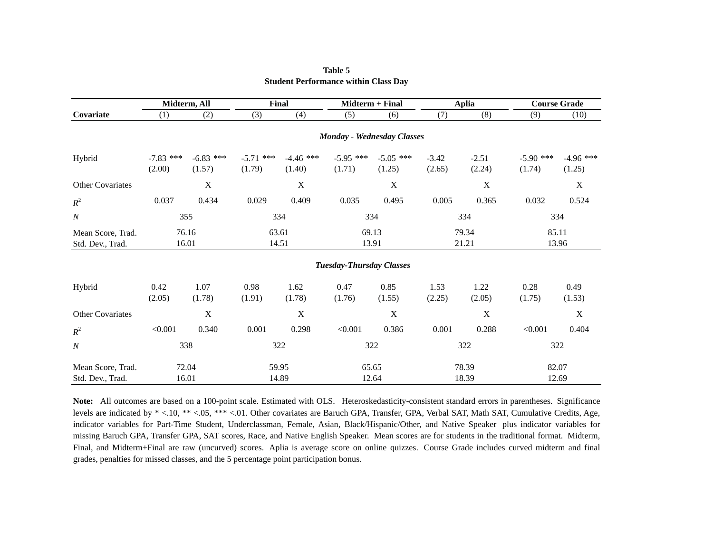|                                       |                       | Midterm, All          |                       | <b>Final</b>          |                                 | <b>Midterm + Final</b>            |                   | <b>Aplia</b>      | <b>Course Grade</b>   |                       |  |
|---------------------------------------|-----------------------|-----------------------|-----------------------|-----------------------|---------------------------------|-----------------------------------|-------------------|-------------------|-----------------------|-----------------------|--|
| Covariate                             | (1)                   | (2)                   | (3)                   | (4)                   | (5)                             | (6)                               | (7)               | (8)               | (9)                   | (10)                  |  |
|                                       |                       |                       |                       |                       |                                 | <b>Monday - Wednesday Classes</b> |                   |                   |                       |                       |  |
| Hybrid                                | $-7.83$ ***<br>(2.00) | $-6.83$ ***<br>(1.57) | $-5.71$ ***<br>(1.79) | $-4.46$ ***<br>(1.40) | $-5.95$ ***<br>(1.71)           | $-5.05$ ***<br>(1.25)             | $-3.42$<br>(2.65) | $-2.51$<br>(2.24) | $-5.90$ ***<br>(1.74) | $-4.96$ ***<br>(1.25) |  |
| Other Covariates                      |                       | X                     |                       | X                     |                                 | $\mathbf X$                       |                   | $\mathbf X$       |                       | X                     |  |
| $R^2$                                 | 0.037                 | 0.434                 | 0.029                 | 0.409                 | 0.035                           | 0.495                             | 0.005             | 0.365             | 0.032                 | 0.524                 |  |
| $\boldsymbol{N}$                      | 355                   |                       | 334                   |                       | 334                             |                                   | 334               |                   | 334                   |                       |  |
| Mean Score, Trad.<br>Std. Dev., Trad. | 76.16<br>16.01        |                       | 63.61<br>14.51        |                       | 69.13<br>13.91                  |                                   | 79.34<br>21.21    |                   | 85.11                 | 13.96                 |  |
|                                       |                       |                       |                       |                       | <b>Tuesday-Thursday Classes</b> |                                   |                   |                   |                       |                       |  |
| Hybrid                                | 0.42<br>(2.05)        | 1.07<br>(1.78)        | 0.98<br>(1.91)        | 1.62<br>(1.78)        | 0.47<br>(1.76)                  | 0.85<br>(1.55)                    | 1.53<br>(2.25)    | 1.22<br>(2.05)    | 0.28<br>(1.75)        | 0.49<br>(1.53)        |  |
| <b>Other Covariates</b>               |                       | $\mathbf X$           |                       | X                     |                                 | $\mathbf X$                       |                   | $\mathbf X$       |                       | X                     |  |
| $R^2$                                 | < 0.001               | 0.340                 | 0.001                 | 0.298                 | < 0.001                         | 0.386                             | 0.001             | 0.288             | < 0.001               | 0.404                 |  |
| $\boldsymbol{N}$                      |                       | 338                   | 322                   |                       | 322                             |                                   | 322               |                   | 322                   |                       |  |
| Mean Score, Trad.                     | 72.04                 |                       |                       | 59.95                 | 65.65                           |                                   | 78.39             |                   | 82.07                 |                       |  |
| Std. Dev., Trad.                      | 16.01                 |                       | 14.89                 |                       | 12.64                           |                                   |                   | 18.39             | 12.69                 |                       |  |

### **Table 5 Student Performance within Class Day**

Note: All outcomes are based on a 100-point scale. Estimated with OLS. Heteroskedasticity-consistent standard errors in parentheses. Significance levels are indicated by  $* < 0.10$ ,  $** < 0.05$ ,  $*** < 0.1$ . Other covariates are Baruch GPA, Transfer, GPA, Verbal SAT, Math SAT, Cumulative Credits, Age, indicator variables for Part-Time Student, Underclassman, Female, Asian, Black/Hispanic/Other, and Native Speaker plus indicator variables for missing Baruch GPA, Transfer GPA, SAT scores, Race, and Native English Speaker. Mean scores are for students in the traditional format. Midterm, Final, and Midterm+Final are raw (uncurved) scores. Aplia is average score on online quizzes. Course Grade includes curved midterm and final grades, penalties for missed classes, and the 5 percentage point participation bonus.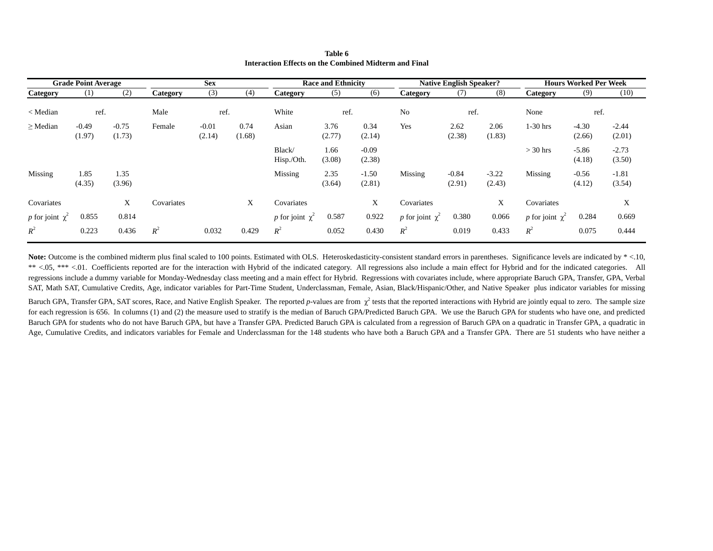|                      | <b>Grade Point Average</b> |                   |            | <b>Sex</b>        |                | <b>Native English Speaker?</b><br><b>Race and Ethnicity</b> |                |                   |                      | <b>Hours Worked Per Week</b> |                   |                      |                   |                   |
|----------------------|----------------------------|-------------------|------------|-------------------|----------------|-------------------------------------------------------------|----------------|-------------------|----------------------|------------------------------|-------------------|----------------------|-------------------|-------------------|
| Category             | $\left(1\right)$           | (2)               | Category   | (3)               | (4)            | Category                                                    | (5)            | (6)               | Category             | (7)                          | (8)               | Category             | (9)               | (10)              |
| < Median             | ref.                       |                   | Male       | ref.              |                | White                                                       | ref.           |                   | No                   | ref.                         |                   | None                 | ref.              |                   |
| $\geq$ Median        | $-0.49$<br>(1.97)          | $-0.75$<br>(1.73) | Female     | $-0.01$<br>(2.14) | 0.74<br>(1.68) | Asian                                                       | 3.76<br>(2.77) | 0.34<br>(2.14)    | Yes                  | 2.62<br>(2.38)               | 2.06<br>(1.83)    | $1-30$ hrs           | $-4.30$<br>(2.66) | $-2.44$<br>(2.01) |
|                      |                            |                   |            |                   |                | Black/<br>Hisp./Oth.                                        | 1.66<br>(3.08) | $-0.09$<br>(2.38) |                      |                              |                   | $>$ 30 hrs           | $-5.86$<br>(4.18) | $-2.73$<br>(3.50) |
| Missing              | 1.85<br>(4.35)             | 1.35<br>(3.96)    |            |                   |                | Missing                                                     | 2.35<br>(3.64) | $-1.50$<br>(2.81) | Missing              | $-0.84$<br>(2.91)            | $-3.22$<br>(2.43) | Missing              | $-0.56$<br>(4.12) | $-1.81$<br>(3.54) |
| Covariates           |                            | X                 | Covariates |                   | X              | Covariates                                                  |                | X                 | Covariates           |                              | X                 | Covariates           |                   | X                 |
| p for joint $\chi^2$ | 0.855                      | 0.814             |            |                   |                | p for joint $\chi^2$                                        | 0.587          | 0.922             | p for joint $\chi^2$ | 0.380                        | 0.066             | p for joint $\chi^2$ | 0.284             | 0.669             |
| $R^2$                | 0.223                      | 0.436             | $R^2$      | 0.032             | 0.429          | $R^2$                                                       | 0.052          | 0.430             | $R^2$                | 0.019                        | 0.433             | $R^2$                | 0.075             | 0.444             |

**Table 6 Interaction Effects on the Combined Midterm and Final**

Note: Outcome is the combined midterm plus final scaled to 100 points. Estimated with OLS. Heteroskedasticity-consistent standard errors in parentheses. Significance levels are indicated by \*<.10, \*\* <.05, \*\*\* <.01. Coefficients reported are for the interaction with Hybrid of the indicated category. All regressions also include a main effect for Hybrid and for the indicated categories. All regressions include a dummy variable for Monday-Wednesday class meeting and a main effect for Hybrid. Regressions with covariates include, where appropriate Baruch GPA, Transfer, GPA, Verbal SAT, Math SAT, Cumulative Credits, Age, indicator variables for Part-Time Student, Underclassman, Female, Asian, Black/Hispanic/Other, and Native Speaker plus indicator variables for missing

Baruch GPA, Transfer GPA, SAT scores, Race, and Native English Speaker. The reported *p*-values are from  $\chi^2$  tests that the reported interactions with Hybrid are jointly equal to zero. The sample size for each regression is 656. In columns (1) and (2) the measure used to stratify is the median of Baruch GPA/Predicted Baruch GPA. We use the Baruch GPA for students who have one, and predicted Baruch GPA for students who do not have Baruch GPA, but have a Transfer GPA. Predicted Baruch GPA is calculated from a regression of Baruch GPA on a quadratic in Transfer GPA, a quadratic in Age, Cumulative Credits, and indicators variables for Female and Underclassman for the 148 students who have both a Baruch GPA and a Transfer GPA. There are 51 students who have neither a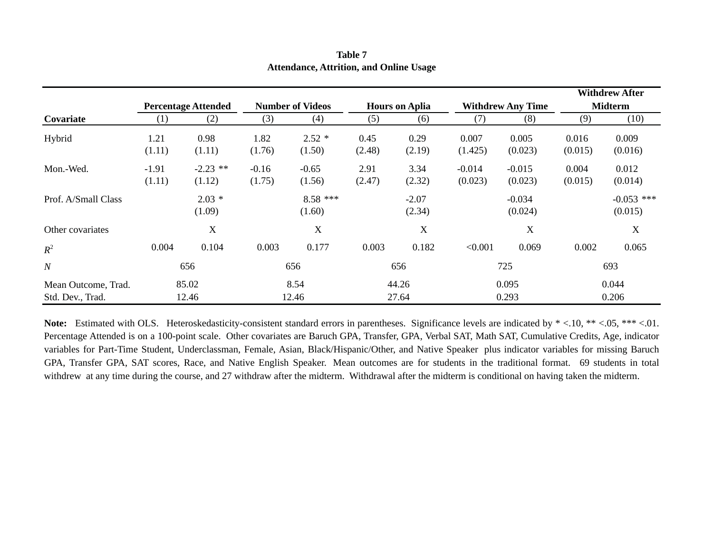|                                         |                            |                      |                   |                         |                |                       |                     |                          |                  | <b>Withdrew After</b>   |
|-----------------------------------------|----------------------------|----------------------|-------------------|-------------------------|----------------|-----------------------|---------------------|--------------------------|------------------|-------------------------|
|                                         | <b>Percentage Attended</b> |                      |                   | <b>Number of Videos</b> |                | <b>Hours on Aplia</b> |                     | <b>Withdrew Any Time</b> |                  | <b>Midterm</b>          |
| Covariate                               | (1)                        | (2)                  | (3)               | (4)                     | (5)            | (6)                   | (7)                 | (8)                      | (9)              | (10)                    |
| Hybrid                                  | 1.21<br>(1.11)             | 0.98<br>(1.11)       | 1.82<br>(1.76)    | $2.52*$<br>(1.50)       | 0.45<br>(2.48) | 0.29<br>(2.19)        | 0.007<br>(1.425)    | 0.005<br>(0.023)         | 0.016<br>(0.015) | 0.009<br>(0.016)        |
| Mon.-Wed.                               | $-1.91$<br>(1.11)          | $-2.23$ **<br>(1.12) | $-0.16$<br>(1.75) | $-0.65$<br>(1.56)       | 2.91<br>(2.47) | 3.34<br>(2.32)        | $-0.014$<br>(0.023) | $-0.015$<br>(0.023)      | 0.004<br>(0.015) | 0.012<br>(0.014)        |
| Prof. A/Small Class                     |                            | $2.03*$<br>(1.09)    |                   | $8.58$ ***<br>(1.60)    |                | $-2.07$<br>(2.34)     |                     | $-0.034$<br>(0.024)      |                  | $-0.053$ ***<br>(0.015) |
| Other covariates                        |                            | X                    |                   | $\boldsymbol{X}$        |                | X                     |                     | $\mathbf X$              |                  | X                       |
| $R^2$                                   | 0.004                      | 0.104                | 0.003             | 0.177                   | 0.003          | 0.182                 | < 0.001             | 0.069                    | 0.002            | 0.065                   |
| $\boldsymbol{N}$                        |                            | 656                  |                   | 656                     |                | 656                   |                     | 725                      |                  | 693                     |
| Mean Outcome, Trad.<br>Std. Dev., Trad. |                            | 85.02<br>12.46       |                   | 8.54<br>12.46           | 44.26<br>27.64 |                       | 0.095<br>0.293      |                          | 0.044<br>0.206   |                         |

**Table 7 Attendance, Attrition, and Online Usage**

Note: Estimated with OLS. Heteroskedasticity-consistent standard errors in parentheses. Significance levels are indicated by  $* < 0.01$ ,  $** < 0.05$ ,  $** < 0.01$ . Percentage Attended is on a 100-point scale. Other covariates are Baruch GPA, Transfer, GPA, Verbal SAT, Math SAT, Cumulative Credits, Age, indicator variables for Part-Time Student, Underclassman, Female, Asian, Black/Hispanic/Other, and Native Speaker plus indicator variables for missing Baruch GPA, Transfer GPA, SAT scores, Race, and Native English Speaker. Mean outcomes are for students in the traditional format. 69 students in total withdrew at any time during the course, and 27 withdraw after the midterm. Withdrawal after the midterm is conditional on having taken the midterm.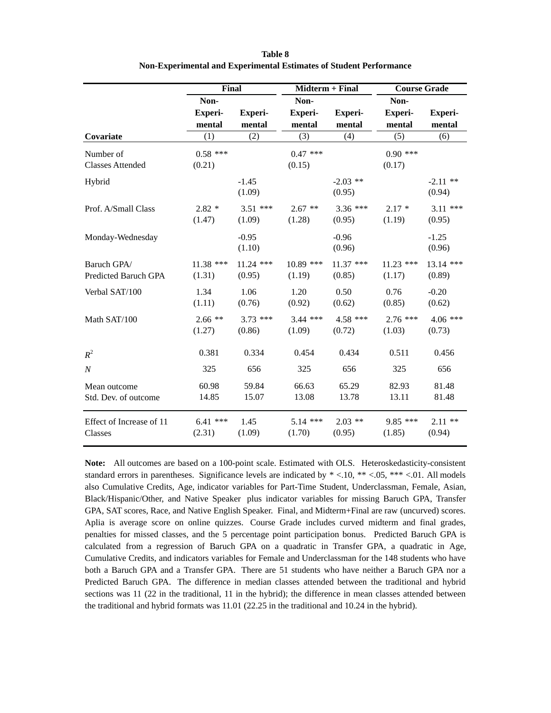|                          | Final          |                | Midterm + Final |                | <b>Course Grade</b> |                |
|--------------------------|----------------|----------------|-----------------|----------------|---------------------|----------------|
|                          | Non-           |                | Non-            |                | Non-                |                |
|                          | <b>Experi-</b> | <b>Experi-</b> | <b>Experi-</b>  | <b>Experi-</b> | <b>Experi-</b>      | <b>Experi-</b> |
|                          | mental         | mental         | mental          | mental         | mental              | mental         |
| Covariate                | (1)            | (2)            | (3)             | (4)            | (5)                 | (6)            |
| Number of                | $0.58$ ***     |                | $0.47$ ***      |                | $0.90$ ***          |                |
| <b>Classes Attended</b>  | (0.21)         |                | (0.15)          |                | (0.17)              |                |
| Hybrid                   |                | $-1.45$        |                 | $-2.03$ **     |                     | $-2.11$ **     |
|                          |                | (1.09)         |                 | (0.95)         |                     | (0.94)         |
| Prof. A/Small Class      | $2.82*$        | $3.51$ ***     | $2.67$ **       | $3.36$ ***     | $2.17*$             | $3.11$ ***     |
|                          | (1.47)         | (1.09)         | (1.28)          | (0.95)         | (1.19)              | (0.95)         |
| Monday-Wednesday         |                | $-0.95$        |                 | $-0.96$        |                     | $-1.25$        |
|                          |                | (1.10)         |                 | (0.96)         |                     | (0.96)         |
| Baruch GPA/              | $11.38$ ***    | $11.24$ ***    | $10.89$ ***     | $11.37$ ***    | $11.23$ ***         | 13.14 ***      |
| Predicted Baruch GPA     | (1.31)         | (0.95)         | (1.19)          | (0.85)         | (1.17)              | (0.89)         |
| Verbal SAT/100           | 1.34           | 1.06           | 1.20            | 0.50           | 0.76                | $-0.20$        |
|                          | (1.11)         | (0.76)         | (0.92)          | (0.62)         | (0.85)              | (0.62)         |
| Math SAT/100             | $2.66**$       | $3.73$ ***     | $3.44$ ***      | $4.58$ ***     | $2.76$ ***          | $4.06$ ***     |
|                          | (1.27)         | (0.86)         | (1.09)          | (0.72)         | (1.03)              | (0.73)         |
| $R^2$                    | 0.381          | 0.334          | 0.454           | 0.434          | 0.511               | 0.456          |
| $\cal N$                 | 325            | 656            | 325             | 656            | 325                 | 656            |
| Mean outcome             | 60.98          | 59.84          | 66.63           | 65.29          | 82.93               | 81.48          |
| Std. Dev. of outcome     | 14.85          | 15.07          | 13.08           | 13.78          | 13.11               | 81.48          |
| Effect of Increase of 11 | $6.41$ ***     | 1.45           | $5.14$ ***      | $2.03$ **      | $9.85$ ***          | $2.11**$       |
| Classes                  | (2.31)         | (1.09)         | (1.70)          | (0.95)         | (1.85)              | (0.94)         |

**Table 8 Non-Experimental and Experimental Estimates of Student Performance**

**Note:** All outcomes are based on a 100-point scale. Estimated with OLS. Heteroskedasticity-consistent standard errors in parentheses. Significance levels are indicated by \* <.10, \*\* <.05, \*\*\* <.01. All models also Cumulative Credits, Age, indicator variables for Part-Time Student, Underclassman, Female, Asian, Black/Hispanic/Other, and Native Speaker plus indicator variables for missing Baruch GPA, Transfer GPA, SAT scores, Race, and Native English Speaker. Final, and Midterm+Final are raw (uncurved) scores. Aplia is average score on online quizzes. Course Grade includes curved midterm and final grades, penalties for missed classes, and the 5 percentage point participation bonus. Predicted Baruch GPA is calculated from a regression of Baruch GPA on a quadratic in Transfer GPA, a quadratic in Age, Cumulative Credits, and indicators variables for Female and Underclassman for the 148 students who have both a Baruch GPA and a Transfer GPA. There are 51 students who have neither a Baruch GPA nor a Predicted Baruch GPA. The difference in median classes attended between the traditional and hybrid sections was 11 (22 in the traditional, 11 in the hybrid); the difference in mean classes attended between the traditional and hybrid formats was 11.01 (22.25 in the traditional and 10.24 in the hybrid).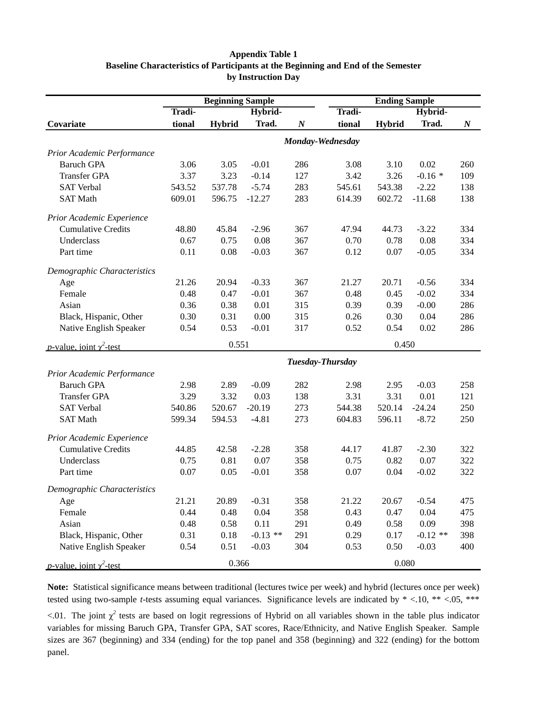### **Appendix Table 1 Baseline Characteristics of Participants at the Beginning and End of the Semester by Instruction Day**

|                                         |        | <b>Beginning Sample</b> |            |                  | <b>Ending Sample</b> |               |            |                  |  |
|-----------------------------------------|--------|-------------------------|------------|------------------|----------------------|---------------|------------|------------------|--|
|                                         | Tradi- |                         | Hybrid-    |                  | Tradi-               |               | Hybrid-    |                  |  |
| Covariate                               | tional | <b>Hybrid</b>           | Trad.      | $\boldsymbol{N}$ | tional               | <b>Hybrid</b> | Trad.      | $\boldsymbol{N}$ |  |
|                                         |        |                         |            |                  | Monday-Wednesday     |               |            |                  |  |
| Prior Academic Performance              |        |                         |            |                  |                      |               |            |                  |  |
| <b>Baruch GPA</b>                       | 3.06   | 3.05                    | $-0.01$    | 286              | 3.08                 | 3.10          | 0.02       | 260              |  |
| <b>Transfer GPA</b>                     | 3.37   | 3.23                    | $-0.14$    | 127              | 3.42                 | 3.26          | $-0.16*$   | 109              |  |
| <b>SAT Verbal</b>                       | 543.52 | 537.78                  | $-5.74$    | 283              | 545.61               | 543.38        | $-2.22$    | 138              |  |
| <b>SAT Math</b>                         | 609.01 | 596.75                  | $-12.27$   | 283              | 614.39               | 602.72        | $-11.68$   | 138              |  |
| Prior Academic Experience               |        |                         |            |                  |                      |               |            |                  |  |
| <b>Cumulative Credits</b>               | 48.80  | 45.84                   | $-2.96$    | 367              | 47.94                | 44.73         | $-3.22$    | 334              |  |
| Underclass                              | 0.67   | 0.75                    | 0.08       | 367              | 0.70                 | 0.78          | 0.08       | 334              |  |
| Part time                               | 0.11   | 0.08                    | $-0.03$    | 367              | 0.12                 | 0.07          | $-0.05$    | 334              |  |
| Demographic Characteristics             |        |                         |            |                  |                      |               |            |                  |  |
| Age                                     | 21.26  | 20.94                   | $-0.33$    | 367              | 21.27                | 20.71         | $-0.56$    | 334              |  |
| Female                                  | 0.48   | 0.47                    | $-0.01$    | 367              | 0.48                 | 0.45          | $-0.02$    | 334              |  |
| Asian                                   | 0.36   | 0.38                    | 0.01       | 315              | 0.39                 | 0.39          | $-0.00$    | 286              |  |
| Black, Hispanic, Other                  | 0.30   | 0.31                    | 0.00       | 315              | 0.26                 | 0.30          | 0.04       | 286              |  |
| Native English Speaker                  | 0.54   | 0.53                    | $-0.01$    | 317              | 0.52                 | 0.54          | 0.02       | 286              |  |
| <i>p</i> -value, joint $\gamma^2$ -test |        | 0.551                   |            |                  |                      | 0.450         |            |                  |  |
|                                         |        |                         |            |                  | Tuesday-Thursday     |               |            |                  |  |
| Prior Academic Performance              |        |                         |            |                  |                      |               |            |                  |  |
| <b>Baruch GPA</b>                       | 2.98   | 2.89                    | $-0.09$    | 282              | 2.98                 | 2.95          | $-0.03$    | 258              |  |
| <b>Transfer GPA</b>                     | 3.29   | 3.32                    | 0.03       | 138              | 3.31                 | 3.31          | 0.01       | 121              |  |
| <b>SAT Verbal</b>                       | 540.86 | 520.67                  | $-20.19$   | 273              | 544.38               | 520.14        | $-24.24$   | 250              |  |
| <b>SAT Math</b>                         | 599.34 | 594.53                  | $-4.81$    | 273              | 604.83               | 596.11        | $-8.72$    | 250              |  |
| Prior Academic Experience               |        |                         |            |                  |                      |               |            |                  |  |
| <b>Cumulative Credits</b>               | 44.85  | 42.58                   | $-2.28$    | 358              | 44.17                | 41.87         | $-2.30$    | 322              |  |
| Underclass                              | 0.75   | 0.81                    | 0.07       | 358              | 0.75                 | 0.82          | 0.07       | 322              |  |
| Part time                               | 0.07   | 0.05                    | $-0.01$    | 358              | 0.07                 | 0.04          | $-0.02$    | 322              |  |
| Demographic Characteristics             |        |                         |            |                  |                      |               |            |                  |  |
| Age                                     | 21.21  | 20.89                   | $-0.31$    | 358              | 21.22                | 20.67         | $-0.54$    | 475              |  |
| Female                                  | 0.44   | 0.48                    | 0.04       | 358              | 0.43                 | 0.47          | 0.04       | 475              |  |
| Asian                                   | 0.48   | 0.58                    | 0.11       | 291              | 0.49                 | 0.58          | 0.09       | 398              |  |
| Black, Hispanic, Other                  | 0.31   | 0.18                    | $-0.13$ ** | 291              | 0.29                 | 0.17          | $-0.12$ ** | 398              |  |
| Native English Speaker                  | 0.54   | 0.51                    | $-0.03$    | 304              | 0.53                 | 0.50          | $-0.03$    | 400              |  |
| <i>p</i> -value, joint $\gamma^2$ -test |        | 0.366                   |            |                  | 0.080                |               |            |                  |  |

**Note:** Statistical significance means between traditional (lectures twice per week) and hybrid (lectures once per week) tested using two-sample *t*-tests assuming equal variances. Significance levels are indicated by  $* < 0.10, ** < 0.05, ***$ 

 $\lt$ .01. The joint  $\chi^2$  tests are based on logit regressions of Hybrid on all variables shown in the table plus indicator variables for missing Baruch GPA, Transfer GPA, SAT scores, Race/Ethnicity, and Native English Speaker. Sample sizes are 367 (beginning) and 334 (ending) for the top panel and 358 (beginning) and 322 (ending) for the bottom panel.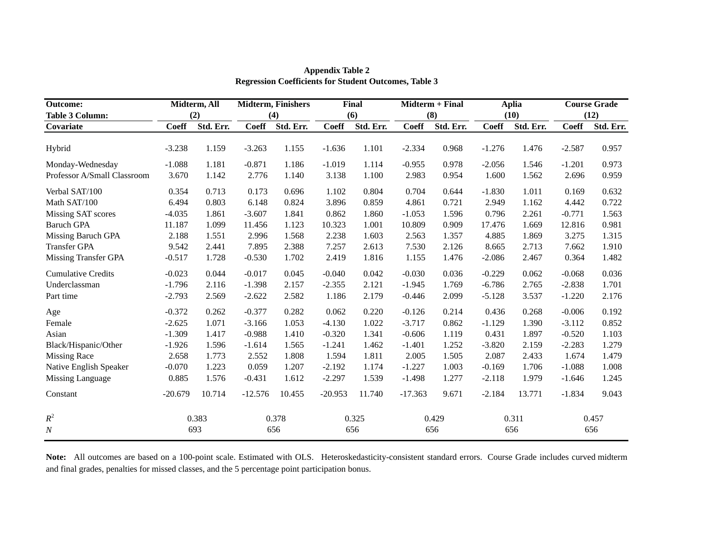| <b>Outcome:</b>             |              | Midterm, All |              | <b>Midterm, Finishers</b> |              | Final     |              | <b>Midterm + Final</b> |              | <b>Aplia</b> |              | <b>Course Grade</b> |
|-----------------------------|--------------|--------------|--------------|---------------------------|--------------|-----------|--------------|------------------------|--------------|--------------|--------------|---------------------|
| <b>Table 3 Column:</b>      |              | (2)          |              | (4)                       |              | (6)       |              | (8)                    |              | (10)         |              | (12)                |
| Covariate                   | <b>Coeff</b> | Std. Err.    | <b>Coeff</b> | Std. Err.                 | <b>Coeff</b> | Std. Err. | <b>Coeff</b> | Std. Err.              | <b>Coeff</b> | Std. Err.    | <b>Coeff</b> | Std. Err.           |
|                             |              |              |              |                           |              |           |              |                        |              |              |              |                     |
| Hybrid                      | $-3.238$     | 1.159        | $-3.263$     | 1.155                     | $-1.636$     | 1.101     | $-2.334$     | 0.968                  | $-1.276$     | 1.476        | $-2.587$     | 0.957               |
| Monday-Wednesday            | $-1.088$     | 1.181        | $-0.871$     | 1.186                     | $-1.019$     | 1.114     | $-0.955$     | 0.978                  | $-2.056$     | 1.546        | $-1.201$     | 0.973               |
| Professor A/Small Classroom | 3.670        | 1.142        | 2.776        | 1.140                     | 3.138        | 1.100     | 2.983        | 0.954                  | 1.600        | 1.562        | 2.696        | 0.959               |
| Verbal SAT/100              | 0.354        | 0.713        | 0.173        | 0.696                     | 1.102        | 0.804     | 0.704        | 0.644                  | $-1.830$     | 1.011        | 0.169        | 0.632               |
| Math SAT/100                | 6.494        | 0.803        | 6.148        | 0.824                     | 3.896        | 0.859     | 4.861        | 0.721                  | 2.949        | 1.162        | 4.442        | 0.722               |
| Missing SAT scores          | $-4.035$     | 1.861        | $-3.607$     | 1.841                     | 0.862        | 1.860     | $-1.053$     | 1.596                  | 0.796        | 2.261        | $-0.771$     | 1.563               |
| <b>Baruch GPA</b>           | 11.187       | 1.099        | 11.456       | 1.123                     | 10.323       | 1.001     | 10.809       | 0.909                  | 17.476       | 1.669        | 12.816       | 0.981               |
| Missing Baruch GPA          | 2.188        | 1.551        | 2.996        | 1.568                     | 2.238        | 1.603     | 2.563        | 1.357                  | 4.885        | 1.869        | 3.275        | 1.315               |
| <b>Transfer GPA</b>         | 9.542        | 2.441        | 7.895        | 2.388                     | 7.257        | 2.613     | 7.530        | 2.126                  | 8.665        | 2.713        | 7.662        | 1.910               |
| <b>Missing Transfer GPA</b> | $-0.517$     | 1.728        | $-0.530$     | 1.702                     | 2.419        | 1.816     | 1.155        | 1.476                  | $-2.086$     | 2.467        | 0.364        | 1.482               |
| <b>Cumulative Credits</b>   | $-0.023$     | 0.044        | $-0.017$     | 0.045                     | $-0.040$     | 0.042     | $-0.030$     | 0.036                  | $-0.229$     | 0.062        | $-0.068$     | 0.036               |
| Underclassman               | $-1.796$     | 2.116        | $-1.398$     | 2.157                     | $-2.355$     | 2.121     | $-1.945$     | 1.769                  | $-6.786$     | 2.765        | $-2.838$     | 1.701               |
| Part time                   | $-2.793$     | 2.569        | $-2.622$     | 2.582                     | 1.186        | 2.179     | $-0.446$     | 2.099                  | $-5.128$     | 3.537        | $-1.220$     | 2.176               |
| Age                         | $-0.372$     | 0.262        | $-0.377$     | 0.282                     | 0.062        | 0.220     | $-0.126$     | 0.214                  | 0.436        | 0.268        | $-0.006$     | 0.192               |
| Female                      | $-2.625$     | 1.071        | $-3.166$     | 1.053                     | $-4.130$     | 1.022     | $-3.717$     | 0.862                  | $-1.129$     | 1.390        | $-3.112$     | 0.852               |
| Asian                       | $-1.309$     | 1.417        | $-0.988$     | 1.410                     | $-0.320$     | 1.341     | $-0.606$     | 1.119                  | 0.431        | 1.897        | $-0.520$     | 1.103               |
| Black/Hispanic/Other        | $-1.926$     | 1.596        | $-1.614$     | 1.565                     | $-1.241$     | 1.462     | $-1.401$     | 1.252                  | $-3.820$     | 2.159        | $-2.283$     | 1.279               |
| <b>Missing Race</b>         | 2.658        | 1.773        | 2.552        | 1.808                     | 1.594        | 1.811     | 2.005        | 1.505                  | 2.087        | 2.433        | 1.674        | 1.479               |
| Native English Speaker      | $-0.070$     | 1.223        | 0.059        | 1.207                     | $-2.192$     | 1.174     | $-1.227$     | 1.003                  | $-0.169$     | 1.706        | $-1.088$     | 1.008               |
| Missing Language            | 0.885        | 1.576        | $-0.431$     | 1.612                     | $-2.297$     | 1.539     | $-1.498$     | 1.277                  | $-2.118$     | 1.979        | $-1.646$     | 1.245               |
| Constant                    | $-20.679$    | 10.714       | $-12.576$    | 10.455                    | $-20.953$    | 11.740    | $-17.363$    | 9.671                  | $-2.184$     | 13.771       | $-1.834$     | 9.043               |
| $R^2$                       |              | 0.383        |              | 0.378                     |              | 0.325     |              | 0.429                  |              | 0.311        |              | 0.457               |
| $\overline{N}$              |              | 693          |              | 656                       |              | 656       |              | 656                    |              | 656          |              | 656                 |

**Appendix Table 2 Regression Coefficients for Student Outcomes, Table 3**

**Note:** All outcomes are based on a 100-point scale. Estimated with OLS. Heteroskedasticity-consistent standard errors. Course Grade includes curved midterm and final grades, penalties for missed classes, and the 5 percentage point participation bonus.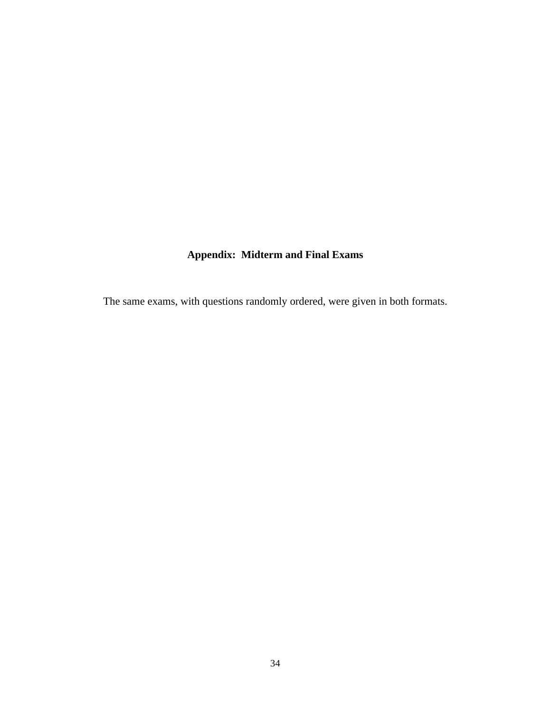# **Appendix: Midterm and Final Exams**

The same exams, with questions randomly ordered, were given in both formats.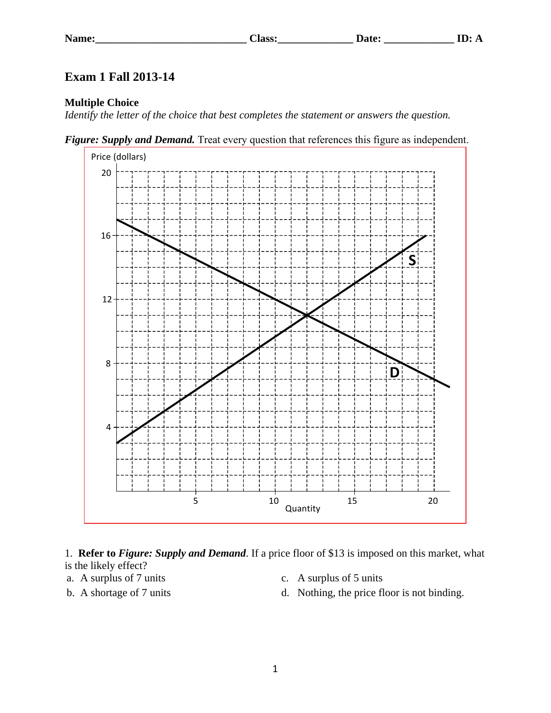## **Exam 1 Fall 2013-14**

## **Multiple Choice**

*Identify the letter of the choice that best completes the statement or answers the question.*





1. **Refer to** *Figure: Supply and Demand*. If a price floor of \$13 is imposed on this market, what is the likely effect?

- a. A surplus of 7 units c. A surplus of 5 units
- 
- 
- b. A shortage of 7 units d. Nothing, the price floor is not binding.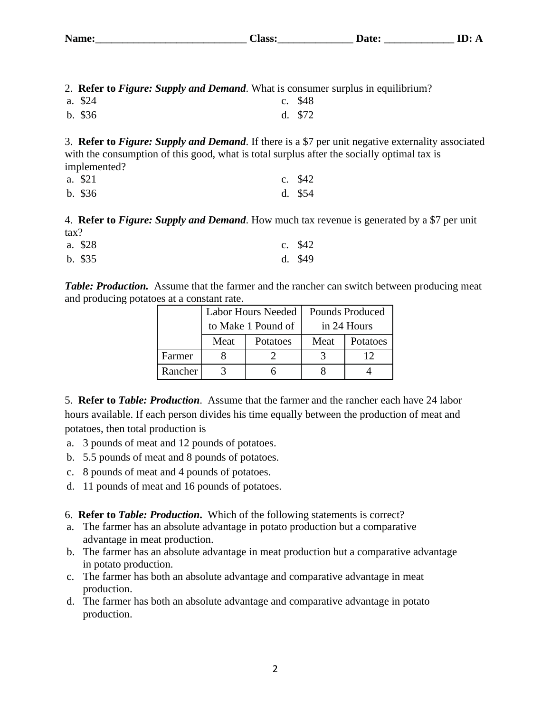| Name: | ---<br>1993.<br>__ |  |
|-------|--------------------|--|
|       |                    |  |

2. **Refer to** *Figure: Supply and Demand*. What is consumer surplus in equilibrium?

- a. \$24 c. \$48
- b. \$36 d. \$72

3. **Refer to** *Figure: Supply and Demand*. If there is a \$7 per unit negative externality associated with the consumption of this good, what is total surplus after the socially optimal tax is implemented?

| a. \$21   | c. $$42$ |
|-----------|----------|
| $b.$ \$36 | d. $$54$ |

4. **Refer to** *Figure: Supply and Demand*. How much tax revenue is generated by a \$7 per unit tax?

| a. \$28   | c. $$42$ |
|-----------|----------|
| $b.$ \$35 | d. $$49$ |

*Table: Production.* Assume that the farmer and the rancher can switch between producing meat and producing potatoes at a constant rate.

|         | Labor Hours Needed |          | <b>Pounds Produced</b> |             |
|---------|--------------------|----------|------------------------|-------------|
|         | to Make 1 Pound of |          |                        | in 24 Hours |
|         | Meat               | Potatoes | Meat                   | Potatoes    |
| Farmer  |                    |          |                        |             |
| Rancher |                    |          |                        |             |

5. **Refer to** *Table: Production*. Assume that the farmer and the rancher each have 24 labor hours available. If each person divides his time equally between the production of meat and potatoes, then total production is

- a. 3 pounds of meat and 12 pounds of potatoes.
- b. 5.5 pounds of meat and 8 pounds of potatoes.
- c. 8 pounds of meat and 4 pounds of potatoes.
- d. 11 pounds of meat and 16 pounds of potatoes.

6. **Refer to** *Table: Production***.** Which of the following statements is correct?

- a. The farmer has an absolute advantage in potato production but a comparative advantage in meat production.
- b. The farmer has an absolute advantage in meat production but a comparative advantage in potato production.
- c. The farmer has both an absolute advantage and comparative advantage in meat production.
- d. The farmer has both an absolute advantage and comparative advantage in potato production.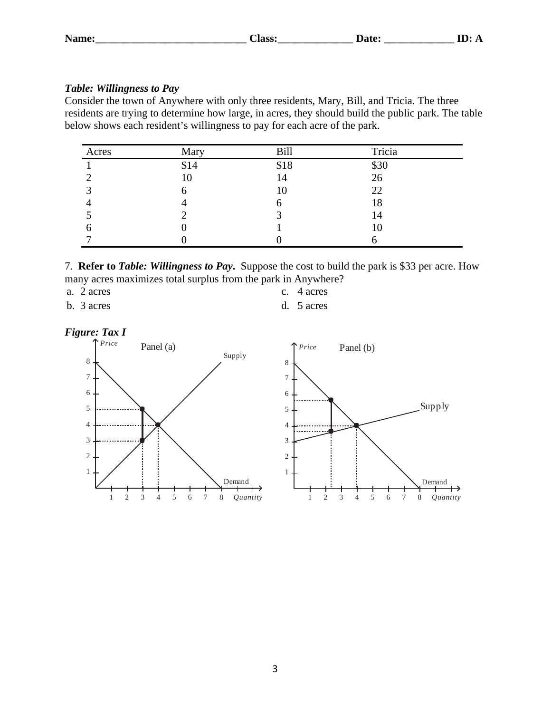## *Table: Willingness to Pay*

Consider the town of Anywhere with only three residents, Mary, Bill, and Tricia. The three residents are trying to determine how large, in acres, they should build the public park. The table below shows each resident's willingness to pay for each acre of the park.

| Acres | Mary | <b>Bill</b> | Tricia |  |
|-------|------|-------------|--------|--|
|       | \$14 | \$18        | \$30   |  |
|       | 10   | 14          | 26     |  |
|       |      | 10          | 22     |  |
|       |      |             | 18     |  |
|       |      |             | 14     |  |
| O     |      |             | 10     |  |
|       |      |             | r      |  |

7. **Refer to** *Table: Willingness to Pay***.** Suppose the cost to build the park is \$33 per acre. How many acres maximizes total surplus from the park in Anywhere?

a. 2 acres c. 4 acres

b. 3 acres d. 5 acres

*Figure: Tax I*



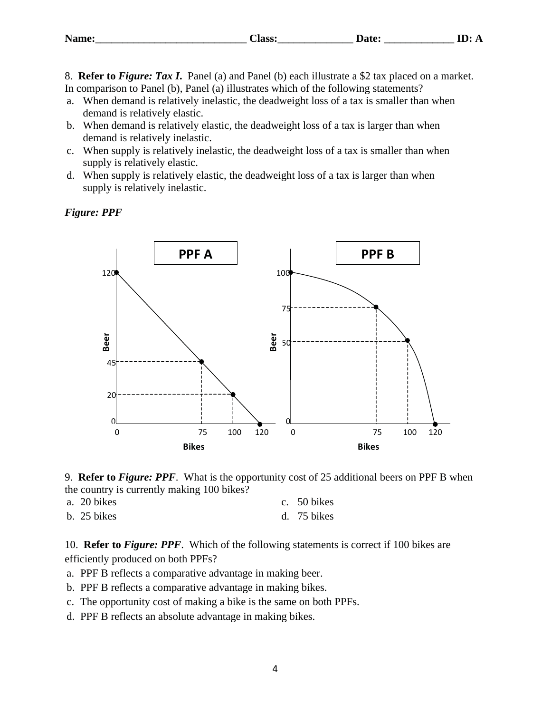| Name: | --<br>lass: | $- + -$ |  |
|-------|-------------|---------|--|
|       |             |         |  |

8. **Refer to** *Figure: Tax I***.** Panel (a) and Panel (b) each illustrate a \$2 tax placed on a market. In comparison to Panel (b), Panel (a) illustrates which of the following statements?

- a. When demand is relatively inelastic, the deadweight loss of a tax is smaller than when demand is relatively elastic.
- b. When demand is relatively elastic, the deadweight loss of a tax is larger than when demand is relatively inelastic.
- c. When supply is relatively inelastic, the deadweight loss of a tax is smaller than when supply is relatively elastic.
- d. When supply is relatively elastic, the deadweight loss of a tax is larger than when supply is relatively inelastic.

*Figure: PPF* 





| a. 20 bikes   | c. $50 \text{ bikes}$ |
|---------------|-----------------------|
| $b. 25$ bikes | d. $75 \text{ bikes}$ |

10. **Refer to** *Figure: PPF*. Which of the following statements is correct if 100 bikes are efficiently produced on both PPFs?

- a. PPF B reflects a comparative advantage in making beer.
- b. PPF B reflects a comparative advantage in making bikes.
- c. The opportunity cost of making a bike is the same on both PPFs.
-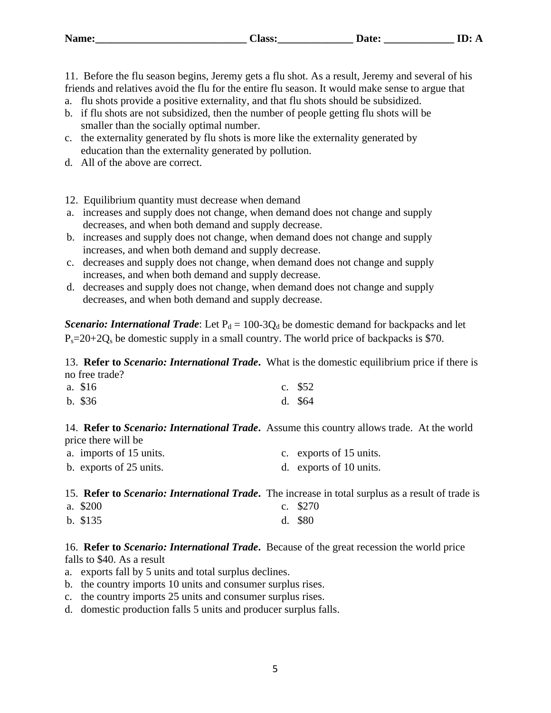| <b>Name:</b> | --<br>1995 |  |
|--------------|------------|--|
|              |            |  |

11. Before the flu season begins, Jeremy gets a flu shot. As a result, Jeremy and several of his friends and relatives avoid the flu for the entire flu season. It would make sense to argue that

- a. flu shots provide a positive externality, and that flu shots should be subsidized.
- b. if flu shots are not subsidized, then the number of people getting flu shots will be smaller than the socially optimal number.
- c. the externality generated by flu shots is more like the externality generated by education than the externality generated by pollution.
- d. All of the above are correct.

12. Equilibrium quantity must decrease when demand

- a. increases and supply does not change, when demand does not change and supply decreases, and when both demand and supply decrease.
- b. increases and supply does not change, when demand does not change and supply increases, and when both demand and supply decrease.
- c. decreases and supply does not change, when demand does not change and supply increases, and when both demand and supply decrease.
- d. decreases and supply does not change, when demand does not change and supply decreases, and when both demand and supply decrease.

*Scenario: International Trade*: Let  $P_d = 100-3Q_d$  be domestic demand for backpacks and let  $P_s = 20 + 2Q_s$  be domestic supply in a small country. The world price of backpacks is \$70.

13. **Refer to** *Scenario: International Trade***.** What is the domestic equilibrium price if there is no free trade?

| a. \$16   | c. $$52$ |
|-----------|----------|
| $b.$ \$36 | d. $$64$ |

14. **Refer to** *Scenario: International Trade***.** Assume this country allows trade. At the world price there will be

| a. imports of 15 units. | c. exports of 15 units. |
|-------------------------|-------------------------|
| b. exports of 25 units. | d. exports of 10 units. |

15. **Refer to** *Scenario: International Trade***.** The increase in total surplus as a result of trade is

| a. \$200   | c. $$270$ |
|------------|-----------|
| $b. \$135$ | $d.$ \$80 |

16. **Refer to** *Scenario: International Trade***.** Because of the great recession the world price falls to \$40. As a result

- a. exports fall by 5 units and total surplus declines.
- b. the country imports 10 units and consumer surplus rises.
- c. the country imports 25 units and consumer surplus rises.
- d. domestic production falls 5 units and producer surplus falls.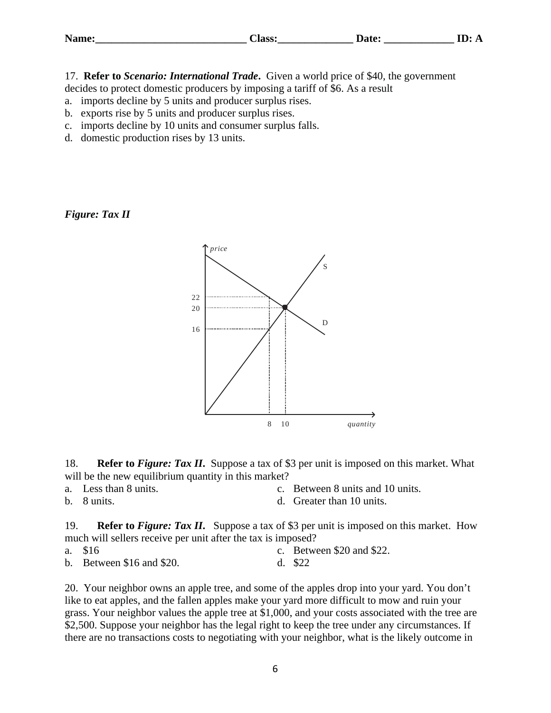| Name:<br>---<br>1966.<br>----- |  | --- |
|--------------------------------|--|-----|
|--------------------------------|--|-----|

17. **Refer to** *Scenario: International Trade***.** Given a world price of \$40, the government decides to protect domestic producers by imposing a tariff of \$6. As a result

- a. imports decline by 5 units and producer surplus rises.
- b. exports rise by 5 units and producer surplus rises.
- c. imports decline by 10 units and consumer surplus falls.
- d. domestic production rises by 13 units.

## *Figure: Tax II*



18. **Refer to** *Figure: Tax II***.** Suppose a tax of \$3 per unit is imposed on this market. What will be the new equilibrium quantity in this market?

- 
- a. Less than 8 units. c. Between 8 units and 10 units.
- 
- b. 8 units.  $\alpha$  and 8 units.

19. **Refer to** *Figure: Tax II***.** Suppose a tax of \$3 per unit is imposed on this market. How much will sellers receive per unit after the tax is imposed?

a. \$16 c. Between \$20 and \$22. b. Between \$16 and \$20. d. \$22

20. Your neighbor owns an apple tree, and some of the apples drop into your yard. You don't like to eat apples, and the fallen apples make your yard more difficult to mow and ruin your grass. Your neighbor values the apple tree at \$1,000, and your costs associated with the tree are \$2,500. Suppose your neighbor has the legal right to keep the tree under any circumstances. If there are no transactions costs to negotiating with your neighbor, what is the likely outcome in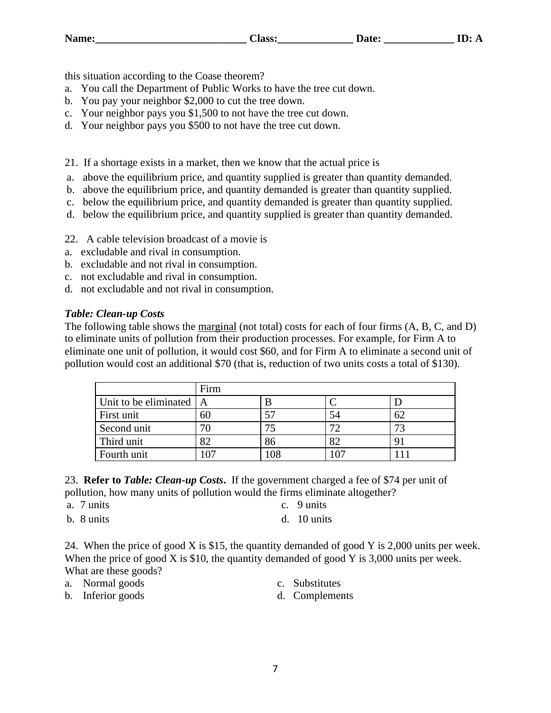this situation according to the Coase theorem?

- a. You call the Department of Public Works to have the tree cut down.
- b. You pay your neighbor \$2,000 to cut the tree down.
- c. Your neighbor pays you \$1,500 to not have the tree cut down.
- d. Your neighbor pays you \$500 to not have the tree cut down.

21. If a shortage exists in a market, then we know that the actual price is

- a. above the equilibrium price, and quantity supplied is greater than quantity demanded.
- b. above the equilibrium price, and quantity demanded is greater than quantity supplied.
- c. below the equilibrium price, and quantity demanded is greater than quantity supplied.
- d. below the equilibrium price, and quantity supplied is greater than quantity demanded.
- 22. A cable television broadcast of a movie is
- a. excludable and rival in consumption.
- b. excludable and not rival in consumption.
- c. not excludable and rival in consumption.
- d. not excludable and not rival in consumption.

## *Table: Clean-up Costs*

The following table shows the marginal (not total) costs for each of four firms (A, B, C, and D) to eliminate units of pollution from their production processes. For example, for Firm A to eliminate one unit of pollution, it would cost \$60, and for Firm A to eliminate a second unit of pollution would cost an additional \$70 (that is, reduction of two units costs a total of \$130).

|                             | Firm |     |    |    |
|-----------------------------|------|-----|----|----|
| Unit to be eliminated $ A $ |      |     |    |    |
| First unit                  |      |     | 54 | 62 |
| Second unit                 |      | 74  | 72 | 73 |
| Third unit                  |      | 86  | 82 |    |
| Fourth unit                 |      | 108 |    |    |

23. **Refer to** *Table: Clean-up Costs***.** If the government charged a fee of \$74 per unit of pollution, how many units of pollution would the firms eliminate altogether?

- a. 7 units c. 9 units
- b. 8 units d. 10 units
- -

24. When the price of good X is \$15, the quantity demanded of good Y is 2,000 units per week. When the price of good X is \$10, the quantity demanded of good Y is 3,000 units per week. What are these goods?

- a. Normal goods c. Substitutes
- b. Inferior goods d. Complements
- -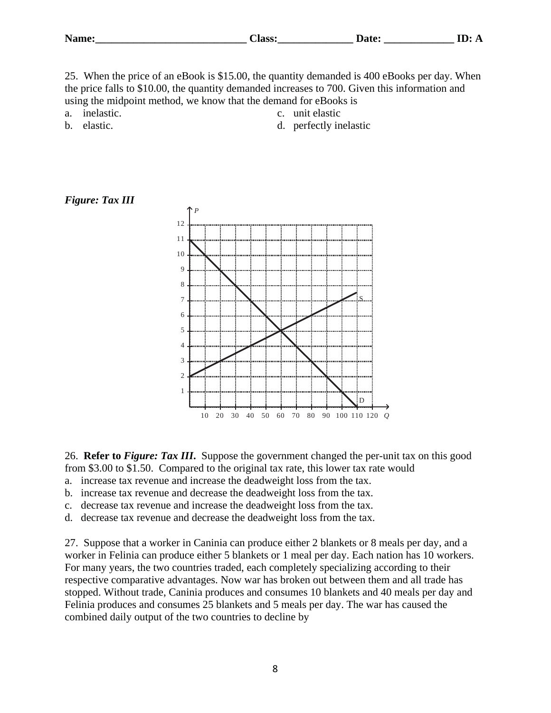| <b>Name:</b> | $\sim$<br>. .<br><b>OO</b><br>נוכו. | ure،<br>. . | ᅭ<br>. . |
|--------------|-------------------------------------|-------------|----------|
|--------------|-------------------------------------|-------------|----------|

25. When the price of an eBook is \$15.00, the quantity demanded is 400 eBooks per day. When the price falls to \$10.00, the quantity demanded increases to 700. Given this information and using the midpoint method, we know that the demand for eBooks is

a. inelastic.  $\qquad \qquad c.$  unit elastic

- b. elastic.  $\qquad \qquad d.$  perfectly inelastic
- *Figure: Tax III*



26. **Refer to** *Figure: Tax III***.** Suppose the government changed the per-unit tax on this good from \$3.00 to \$1.50. Compared to the original tax rate, this lower tax rate would

- a. increase tax revenue and increase the deadweight loss from the tax.
- b. increase tax revenue and decrease the deadweight loss from the tax.
- c. decrease tax revenue and increase the deadweight loss from the tax.
- d. decrease tax revenue and decrease the deadweight loss from the tax.

27. Suppose that a worker in Caninia can produce either 2 blankets or 8 meals per day, and a worker in Felinia can produce either 5 blankets or 1 meal per day. Each nation has 10 workers. For many years, the two countries traded, each completely specializing according to their respective comparative advantages. Now war has broken out between them and all trade has stopped. Without trade, Caninia produces and consumes 10 blankets and 40 meals per day and Felinia produces and consumes 25 blankets and 5 meals per day. The war has caused the combined daily output of the two countries to decline by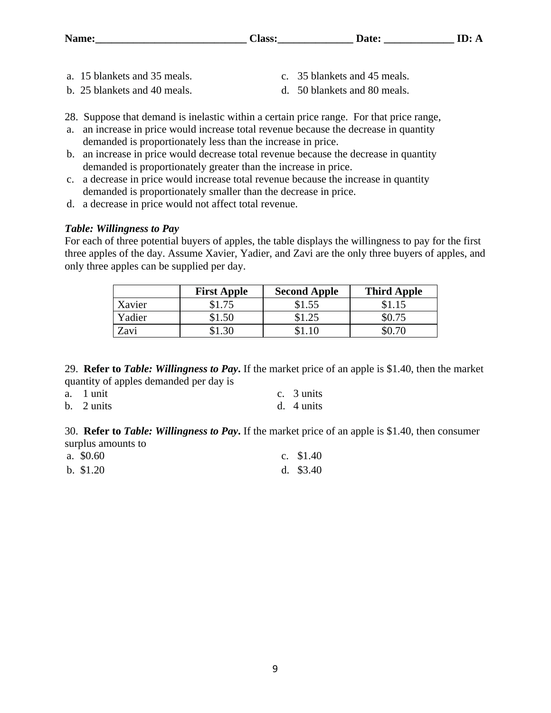| Name:<br>---<br>lass: | Date: |  |
|-----------------------|-------|--|
|-----------------------|-------|--|

- a. 15 blankets and 35 meals. c. 35 blankets and 45 meals.
- b. 25 blankets and 40 meals. d. 50 blankets and 80 meals.
- -
- 28. Suppose that demand is inelastic within a certain price range. For that price range,
- a. an increase in price would increase total revenue because the decrease in quantity demanded is proportionately less than the increase in price.
- b. an increase in price would decrease total revenue because the decrease in quantity demanded is proportionately greater than the increase in price.
- c. a decrease in price would increase total revenue because the increase in quantity demanded is proportionately smaller than the decrease in price.
- d. a decrease in price would not affect total revenue.

## *Table: Willingness to Pay*

For each of three potential buyers of apples, the table displays the willingness to pay for the first three apples of the day. Assume Xavier, Yadier, and Zavi are the only three buyers of apples, and only three apples can be supplied per day.

|        | <b>First Apple</b> | <b>Second Apple</b> | <b>Third Apple</b> |
|--------|--------------------|---------------------|--------------------|
| Xavier | \$1.75             | \$1.55              |                    |
| Yadier | \$1.50             | \$1.25              | \$0.75             |
| Zavi   | 1.30ء              |                     |                    |

29. **Refer to** *Table: Willingness to Pay***.** If the market price of an apple is \$1.40, then the market quantity of apples demanded per day is

| a. 1 unit  | c. 3 units           |
|------------|----------------------|
| b. 2 units | d. $4 \text{ units}$ |

30. **Refer to** *Table: Willingness to Pay***.** If the market price of an apple is \$1.40, then consumer surplus amounts to

| a. $$0.60$ | c. $$1.40$ |
|------------|------------|
| b. $$1.20$ | d. $$3.40$ |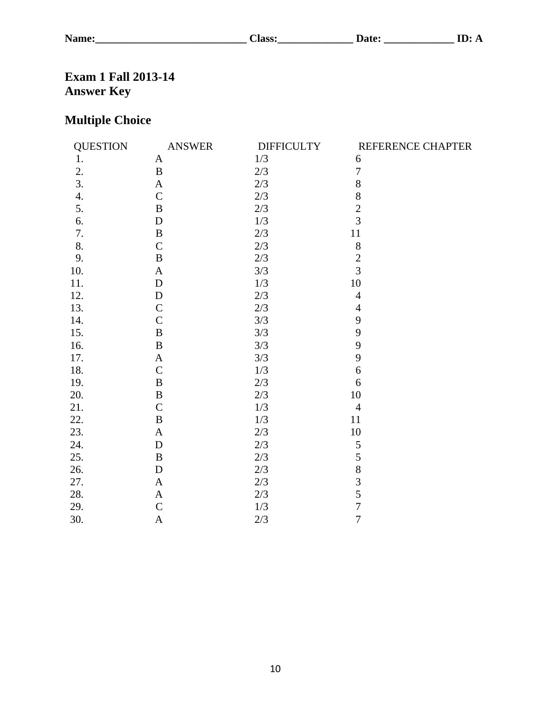**Name:\_\_\_\_\_\_\_\_\_\_\_\_\_\_\_\_\_\_\_\_\_\_\_\_\_\_\_\_ Class:\_\_\_\_\_\_\_\_\_\_\_\_\_\_ Date: \_\_\_\_\_\_\_\_\_\_\_\_\_ ID: A**

# **Exam 1 Fall 2013-14 Answer Key**

# **Multiple Choice**

| <b>QUESTION</b>  | <b>ANSWER</b> | <b>DIFFICULTY</b> | REFERENCE CHAPTER |
|------------------|---------------|-------------------|-------------------|
| 1.               | A             | 1/3               | 6                 |
| 2.               | $\, {\bf B}$  | 2/3               | $\overline{7}$    |
| 3.               | $\mathbf{A}$  | 2/3               | 8                 |
| $\overline{4}$ . | $\mathcal{C}$ | 2/3               | 8                 |
| 5.               | $\bf{B}$      | 2/3               | $\overline{2}$    |
| 6.               | D             | 1/3               | 3                 |
| 7.               | $\bf{B}$      | 2/3               | 11                |
| 8.               | $\mathcal{C}$ | 2/3               | $8\,$             |
| 9.               | $\bf{B}$      | $2/3$             | $\overline{c}$    |
| 10.              | A             | 3/3               | $\overline{3}$    |
| 11.              | $\mathbf D$   | $1/3$             | $10\,$            |
| 12.              | D             | 2/3               | $\overline{4}$    |
| 13.              | $\mathcal{C}$ | 2/3               | $\overline{4}$    |
| 14.              | $\mathcal{C}$ | 3/3               | 9                 |
| 15.              | B             | 3/3               | 9                 |
| 16.              | B             | 3/3               | 9                 |
| 17.              | A             | 3/3               | 9                 |
| 18.              | $\mathcal{C}$ | 1/3               | 6                 |
| 19.              | $\bf{B}$      | $2/3$             | 6                 |
| 20.              | $\, {\bf B}$  | $2/3$             | 10                |
| 21.              | $\mathcal{C}$ | $1/3$             | $\overline{4}$    |
| 22.              | B             | 1/3               | 11                |
| 23.              | $\mathbf{A}$  | 2/3               | 10                |
| 24.              | D             | 2/3               | $\sqrt{5}$        |
| 25.              | B             | 2/3               | 5                 |
| 26.              | D             | 2/3               | 8                 |
| 27.              | $\mathbf{A}$  | 2/3               | $\overline{3}$    |
| 28.              | $\mathbf{A}$  | 2/3               | 5                 |
| 29.              | $\mathsf{C}$  | $1/3$             | $\overline{7}$    |
| 30.              | $\mathbf{A}$  | 2/3               | $\overline{7}$    |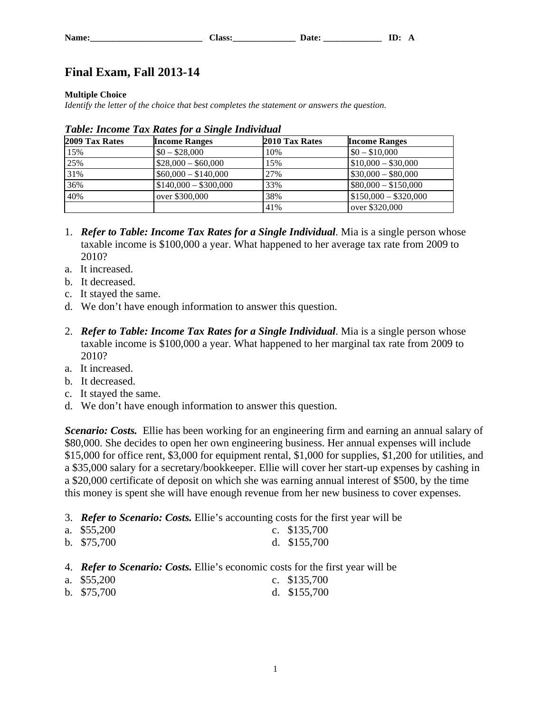## **Final Exam, Fall 2013-14**

### **Multiple Choice**

*Identify the letter of the choice that best completes the statement or answers the question.*

| 2009 Tax Rates | <b>Income Ranges</b>  | 2010 Tax Rates | <b>Income Ranges</b>  |
|----------------|-----------------------|----------------|-----------------------|
| 15%            | $$0 - $28,000$        | 10%            | $$0 - $10,000$        |
| 25%            | $$28,000 - $60,000$   | 15%            | $$10,000 - $30,000$   |
| 31%            | $$60,000 - $140,000$  | 27%            | $$30,000 - $80,000$   |
| 36%            | $$140,000 - $300,000$ | 33%            | $$80,000 - $150,000$  |
| 40%            | over \$300,000        | 38%            | $$150,000 - $320,000$ |
|                |                       | 41%            | over \$320,000        |

|  |  |  | Table: Income Tax Rates for a Single Individual |
|--|--|--|-------------------------------------------------|

- 1. *Refer to Table: Income Tax Rates for a Single Individual*. Mia is a single person whose taxable income is \$100,000 a year. What happened to her average tax rate from 2009 to 2010?
- a. It increased.
- b. It decreased.
- c. It stayed the same.
- d. We don't have enough information to answer this question.
- 2. *Refer to Table: Income Tax Rates for a Single Individual*. Mia is a single person whose taxable income is \$100,000 a year. What happened to her marginal tax rate from 2009 to 2010?
- a. It increased.
- b. It decreased.
- c. It stayed the same.
- d. We don't have enough information to answer this question.

*Scenario: Costs.* Ellie has been working for an engineering firm and earning an annual salary of \$80,000. She decides to open her own engineering business. Her annual expenses will include \$15,000 for office rent, \$3,000 for equipment rental, \$1,000 for supplies, \$1,200 for utilities, and a \$35,000 salary for a secretary/bookkeeper. Ellie will cover her start-up expenses by cashing in a \$20,000 certificate of deposit on which she was earning annual interest of \$500, by the time this money is spent she will have enough revenue from her new business to cover expenses.

3. *Refer to Scenario: Costs.* Ellie's accounting costs for the first year will be

| a. $$55,200$ | c. $$135,700$ |
|--------------|---------------|
| b. $$75,700$ | d. $$155,700$ |

- 4. *Refer to Scenario: Costs.* Ellie's economic costs for the first year will be
- a. \$55,200 c. \$135,700
- b. \$75,700 d. \$155,700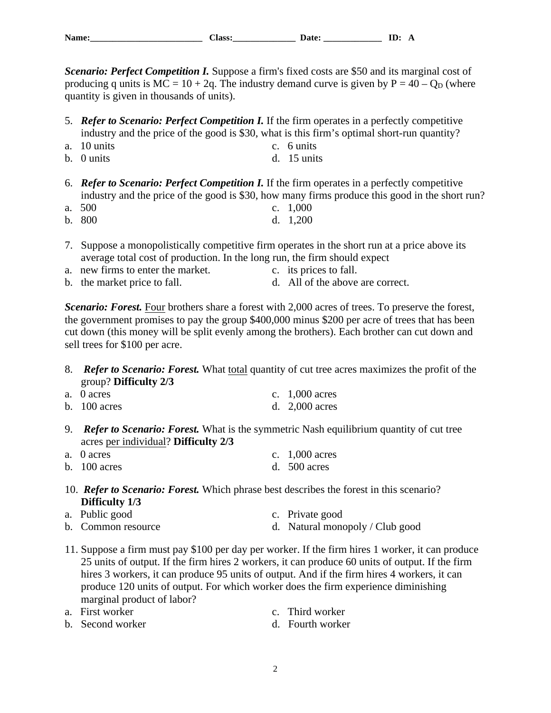| $-$<br><b>NT</b> |  | $-$<br>--<br>. . |
|------------------|--|------------------|
|------------------|--|------------------|

*Scenario: Perfect Competition I. Suppose a firm's fixed costs are \$50 and its marginal cost of* producing q units is  $MC = 10 + 2q$ . The industry demand curve is given by  $P = 40 - Q_D$  (where quantity is given in thousands of units).

- 5. *Refer to Scenario: Perfect Competition I.* If the firm operates in a perfectly competitive industry and the price of the good is \$30, what is this firm's optimal short-run quantity?
- a. 10 units c. 6 units
- b. 0 units d. 15 units
- 6. *Refer to Scenario: Perfect Competition I.* If the firm operates in a perfectly competitive industry and the price of the good is \$30, how many firms produce this good in the short run?
- a. 500 c. 1,000
- b. 800 d. 1,200
- 7. Suppose a monopolistically competitive firm operates in the short run at a price above its average total cost of production. In the long run, the firm should expect
- a. new firms to enter the market. c. its prices to fall.
- b. the market price to fall.  $\qquad \qquad d. \quad \text{All of the above are correct.}$

*Scenario: Forest.* Four brothers share a forest with 2,000 acres of trees. To preserve the forest, the government promises to pay the group \$400,000 minus \$200 per acre of trees that has been cut down (this money will be split evenly among the brothers). Each brother can cut down and sell trees for \$100 per acre.

8. *Refer to Scenario: Forest.* What total quantity of cut tree acres maximizes the profit of the group? **Difficulty 2/3**

| a. 0 acres     | c. $1,000$ acres |
|----------------|------------------|
| b. $100$ acres | d. $2,000$ acres |

9. *Refer to Scenario: Forest.* What is the symmetric Nash equilibrium quantity of cut tree acres per individual? **Difficulty 2/3**

| a. 0 acres     | c. $1,000$ acres |
|----------------|------------------|
| b. $100$ acres | d. $500$ acres   |

10. *Refer to Scenario: Forest.* Which phrase best describes the forest in this scenario? **Difficulty 1/3**

| a. Public good | c. Private good |  |
|----------------|-----------------|--|
|                |                 |  |

- b. Common resource d. Natural monopoly / Club good
- 11. Suppose a firm must pay \$100 per day per worker. If the firm hires 1 worker, it can produce 25 units of output. If the firm hires 2 workers, it can produce 60 units of output. If the firm hires 3 workers, it can produce 95 units of output. And if the firm hires 4 workers, it can produce 120 units of output. For which worker does the firm experience diminishing marginal product of labor?
- a. First worker c. Third worker
- b. Second worker d. Fourth worker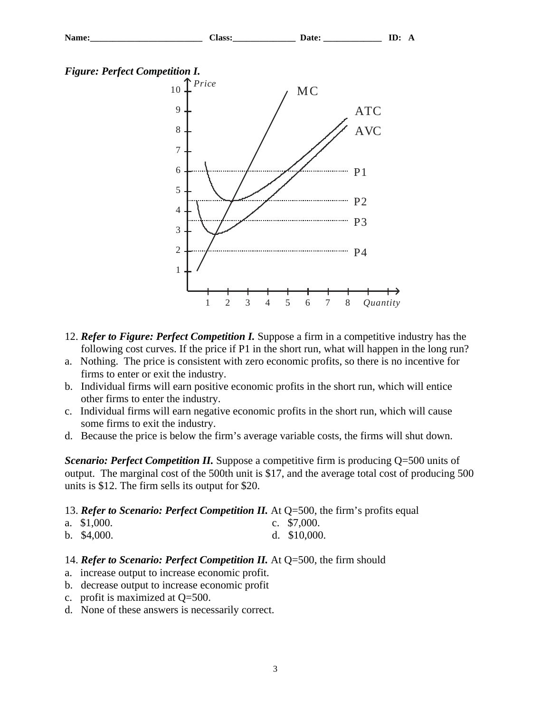



- 12. *Refer to Figure: Perfect Competition I.* Suppose a firm in a competitive industry has the following cost curves. If the price if P1 in the short run, what will happen in the long run?
- a. Nothing. The price is consistent with zero economic profits, so there is no incentive for firms to enter or exit the industry.
- b. Individual firms will earn positive economic profits in the short run, which will entice other firms to enter the industry.
- c. Individual firms will earn negative economic profits in the short run, which will cause some firms to exit the industry.
- d. Because the price is below the firm's average variable costs, the firms will shut down.

*Scenario: Perfect Competition II.* Suppose a competitive firm is producing  $Q=500$  units of output. The marginal cost of the 500th unit is \$17, and the average total cost of producing 500 units is \$12. The firm sells its output for \$20.

### 13. *Refer to Scenario: Perfect Competition II.* At Q=500, the firm's profits equal

| a. $$1,000$ . | c. $$7,000$ .  |
|---------------|----------------|
| b. $$4,000$ . | d. $$10,000$ . |

### 14. *Refer to Scenario: Perfect Competition II.* At Q=500, the firm should

- a. increase output to increase economic profit.
- b. decrease output to increase economic profit
- c. profit is maximized at Q=500.
- d. None of these answers is necessarily correct.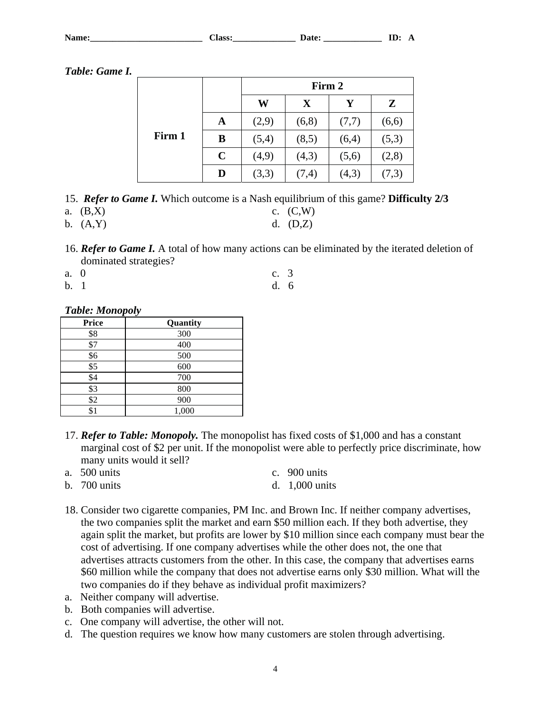| <b>N</b> L<br> | $- - -$<br>$\sim$<br>. | - | ---<br>— |  |
|----------------|------------------------|---|----------|--|
|                |                        |   |          |  |

*Table: Game I.*

|        |             | Firm 2 |             |       |       |
|--------|-------------|--------|-------------|-------|-------|
|        |             | W      | $\mathbf X$ | Y     | Z     |
|        | A           | (2,9)  | (6,8)       | (7,7) | (6,6) |
| Firm 1 | B           | (5,4)  | (8,5)       | (6,4) | (5,3) |
|        | $\mathbf C$ | (4,9)  | (4,3)       | (5,6) | (2,8) |
|        | D           | (3,3)  | (7,4)       | (4,3) | (7,3) |

- 15. *Refer to Game I.* Which outcome is a Nash equilibrium of this game? **Difficulty 2/3**
- a.  $(B,X)$  c.  $(C,W)$
- b. (A,Y) d. (D,Z)
- 16. *Refer to Game I.* A total of how many actions can be eliminated by the iterated deletion of dominated strategies?
- a. 0 c. 3
- b. 1 d. 6

## *Table: Monopoly*

| <b>Price</b>    | Quantity |
|-----------------|----------|
| \$8             | 300      |
| \$7             | 400      |
| \$6             | 500      |
| $\overline{$5}$ | 600      |
| \$4             | 700      |
| \$3             | 800      |
| \$2             | 900      |
| \$1             | 1,000    |

- 17. *Refer to Table: Monopoly.* The monopolist has fixed costs of \$1,000 and has a constant marginal cost of \$2 per unit. If the monopolist were able to perfectly price discriminate, how many units would it sell?
- a. 500 units c. 900 units b. 700 units d. 1,000 units
- 18. Consider two cigarette companies, PM Inc. and Brown Inc. If neither company advertises, the two companies split the market and earn \$50 million each. If they both advertise, they again split the market, but profits are lower by \$10 million since each company must bear the cost of advertising. If one company advertises while the other does not, the one that advertises attracts customers from the other. In this case, the company that advertises earns \$60 million while the company that does not advertise earns only \$30 million. What will the two companies do if they behave as individual profit maximizers?
- a. Neither company will advertise. b. Both companies will advertise.
- c. One company will advertise, the other will not.
- d. The question requires we know how many customers are stolen through advertising.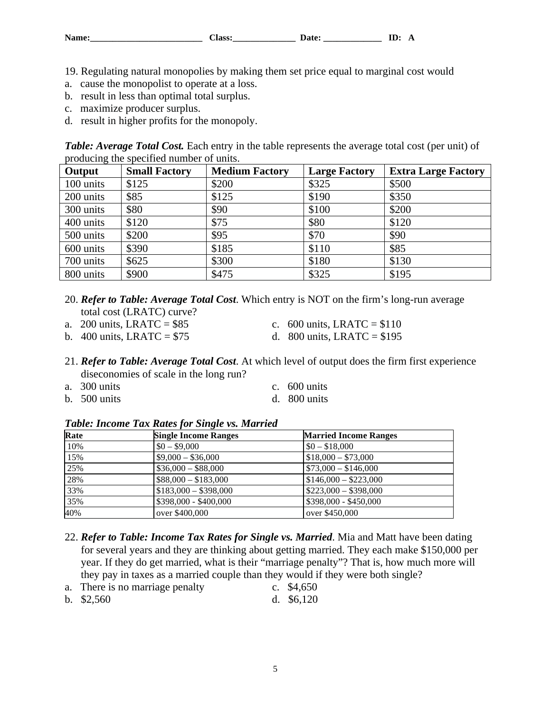19. Regulating natural monopolies by making them set price equal to marginal cost would

- a. cause the monopolist to operate at a loss.
- b. result in less than optimal total surplus.
- c. maximize producer surplus.
- d. result in higher profits for the monopoly.

*Table: Average Total Cost.* Each entry in the table represents the average total cost (per unit) of producing the specified number of units.

| Output    | <b>Small Factory</b> | <b>Medium Factory</b> | <b>Large Factory</b> | <b>Extra Large Factory</b> |
|-----------|----------------------|-----------------------|----------------------|----------------------------|
| 100 units | \$125                | \$200                 | \$325                | \$500                      |
| 200 units | \$85                 | \$125                 | \$190                | \$350                      |
| 300 units | \$80                 | \$90                  | \$100                | \$200                      |
| 400 units | \$120                | \$75                  | \$80                 | \$120                      |
| 500 units | \$200                | \$95                  | \$70                 | \$90                       |
| 600 units | \$390                | \$185                 | \$110                | \$85                       |
| 700 units | \$625                | \$300                 | \$180                | \$130                      |
| 800 units | \$900                | \$475                 | \$325                | \$195                      |

- 20. *Refer to Table: Average Total Cost*. Which entry is NOT on the firm's long-run average total cost (LRATC) curve?
- a. 200 units, LRATC =  $$85$  c. 600 units, LRATC =  $$110$ 
	-
- b. 400 units, LRATC =  $$75$  d. 800 units, LRATC =  $$195$
- 
- 21. *Refer to Table: Average Total Cost*. At which level of output does the firm first experience diseconomies of scale in the long run?
- a. 300 units c. 600 units
- b. 500 units d. 800 units
- -

### *Table: Income Tax Rates for Single vs. Married*

| Rate | <b>Single Income Ranges</b> | <b>Married Income Ranges</b>        |
|------|-----------------------------|-------------------------------------|
| 10%  | $$0 - $9,000$               | $$0 - $18,000$                      |
| 15%  | $$9,000 - $36,000$          | $$18,000 - $73,000$                 |
| 25%  | $$36,000 - $88,000$         | $$73,000 - $146,000$                |
| 28%  | $$88,000 - $183,000$        | $\frac{1}{2}$ \$146,000 - \$223,000 |
| 33%  | $$183,000 - $398,000$       | $$223,000 - $398,000$               |
| 35%  | $$398,000 - $400,000$       | $$398,000 - $450,000$               |
| 40%  | over \$400,000              | over \$450,000                      |

- 22. *Refer to Table: Income Tax Rates for Single vs. Married*. Mia and Matt have been dating for several years and they are thinking about getting married. They each make \$150,000 per year. If they do get married, what is their "marriage penalty"? That is, how much more will they pay in taxes as a married couple than they would if they were both single?
- a. There is no marriage penalty c. \$4,650
- b. \$2,560 d. \$6,120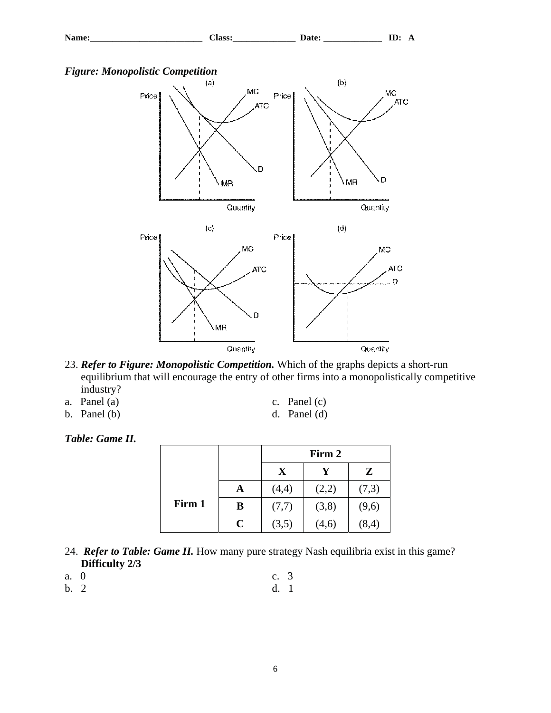



- 23. *Refer to Figure: Monopolistic Competition.* Which of the graphs depicts a short-run equilibrium that will encourage the entry of other firms into a monopolistically competitive industry?
- a. Panel (a) c. Panel (c)
- b. Panel (b) d. Panel (d)

## *Table: Game II.*

|        |             | Firm 2 |       |        |  |
|--------|-------------|--------|-------|--------|--|
|        |             | X      |       | Z      |  |
|        | A           | (4,4)  | (2,2) | (7,3)  |  |
| Firm 1 | B           | (7,7)  | (3,8) | (9,6)  |  |
|        | $\mathbf C$ | (3,5)  | (4,6) | (8, 4) |  |

- 24. *Refer to Table: Game II.* How many pure strategy Nash equilibria exist in this game? **Difficulty 2/3**
- a. 0 c. 3
- b. 2 d. 1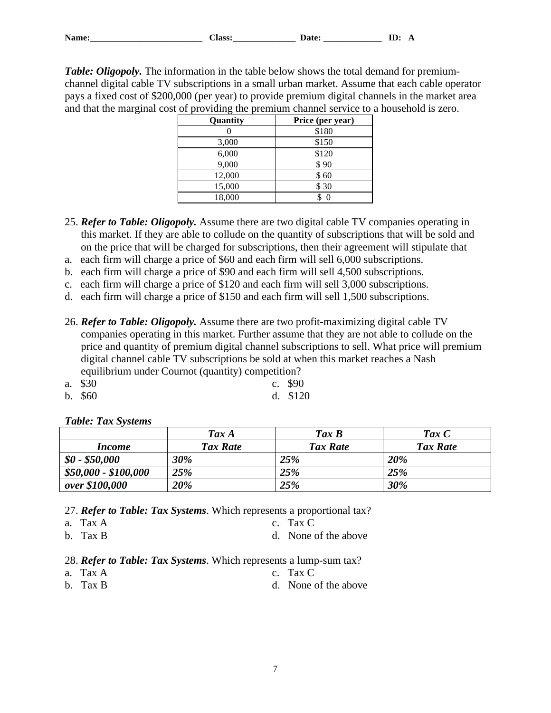*Table: Oligopoly.* The information in the table below shows the total demand for premiumchannel digital cable TV subscriptions in a small urban market. Assume that each cable operator pays a fixed cost of \$200,000 (per year) to provide premium digital channels in the market area and that the marginal cost of providing the premium channel service to a household is zero.

| Quantity | Price (per year) |
|----------|------------------|
|          | \$180            |
| 3,000    | \$150            |
| 6,000    | \$120            |
| 9,000    | \$90             |
| 12,000   | \$60             |
| 15,000   | \$30             |
| 18,000   |                  |

- 25. *Refer to Table: Oligopoly.* Assume there are two digital cable TV companies operating in this market. If they are able to collude on the quantity of subscriptions that will be sold and on the price that will be charged for subscriptions, then their agreement will stipulate that
- a. each firm will charge a price of \$60 and each firm will sell 6,000 subscriptions.
- b. each firm will charge a price of \$90 and each firm will sell 4,500 subscriptions.
- c. each firm will charge a price of \$120 and each firm will sell 3,000 subscriptions.
- d. each firm will charge a price of \$150 and each firm will sell 1,500 subscriptions.
- 26. *Refer to Table: Oligopoly.* Assume there are two profit-maximizing digital cable TV companies operating in this market. Further assume that they are not able to collude on the price and quantity of premium digital channel subscriptions to sell. What price will premium digital channel cable TV subscriptions be sold at when this market reaches a Nash equilibrium under Cournot (quantity) competition?
- a. \$30 c. \$90
- b. \$60 d. \$120

| <b>Table: Tax Systems</b> |                 |                   |                    |
|---------------------------|-----------------|-------------------|--------------------|
|                           | Tax A           | $\textit{Tax } B$ | $\textit{Tax} \ C$ |
| <i>Income</i>             | <b>Tax Rate</b> | <b>Tax Rate</b>   | Tax Rate           |
| $$0 - $50,000$            | 30%             | 25%               | 20%                |
| \$50,000 - \$100,000      | 25%             | 25%               | 25%                |
| over \$100,000            | 20%             | 25%               | 30%                |

### *Table: Tax Systems*

27. *Refer to Table: Tax Systems*. Which represents a proportional tax?

- a. Tax A c. Tax C
- b. Tax B d. None of the above

28. *Refer to Table: Tax Systems*. Which represents a lump-sum tax?

- a. Tax A c. Tax C
	- b. Tax B d. None of the above

- 
-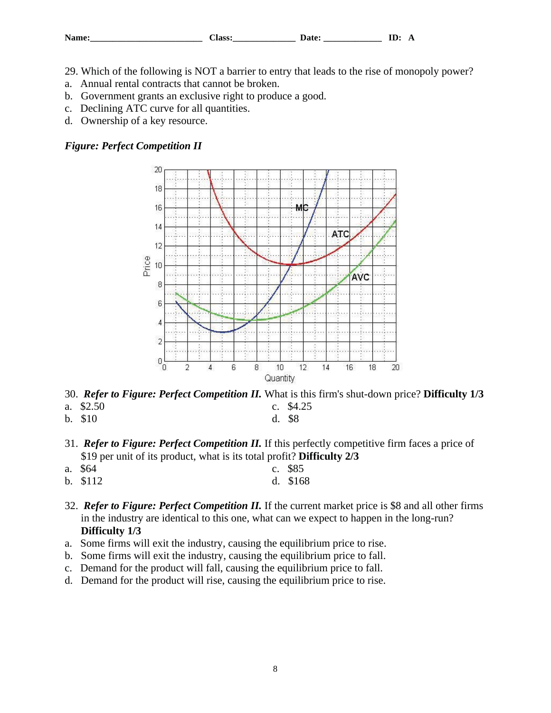| $-$<br><b>NT</b><br>. . | $-$<br>---<br>. . |  |
|-------------------------|-------------------|--|
|-------------------------|-------------------|--|

- 29. Which of the following is NOT a barrier to entry that leads to the rise of monopoly power?
- a. Annual rental contracts that cannot be broken.
- b. Government grants an exclusive right to produce a good.
- c. Declining ATC curve for all quantities.
- d. Ownership of a key resource.

## *Figure: Perfect Competition II*



30. *Refer to Figure: Perfect Competition II.* What is this firm's shut-down price? **Difficulty 1/3** a. \$2.50 c. \$4.25

- 
- b. \$10 d. \$8
- 31. *Refer to Figure: Perfect Competition II.* If this perfectly competitive firm faces a price of \$19 per unit of its product, what is its total profit? **Difficulty 2/3**
- a. \$64 c. \$85
- b. \$112 d. \$168
- 32. *Refer to Figure: Perfect Competition II.* If the current market price is \$8 and all other firms in the industry are identical to this one, what can we expect to happen in the long-run? **Difficulty 1/3**
- a. Some firms will exit the industry, causing the equilibrium price to rise.
- b. Some firms will exit the industry, causing the equilibrium price to fall.
- c. Demand for the product will fall, causing the equilibrium price to fall.
- d. Demand for the product will rise, causing the equilibrium price to rise.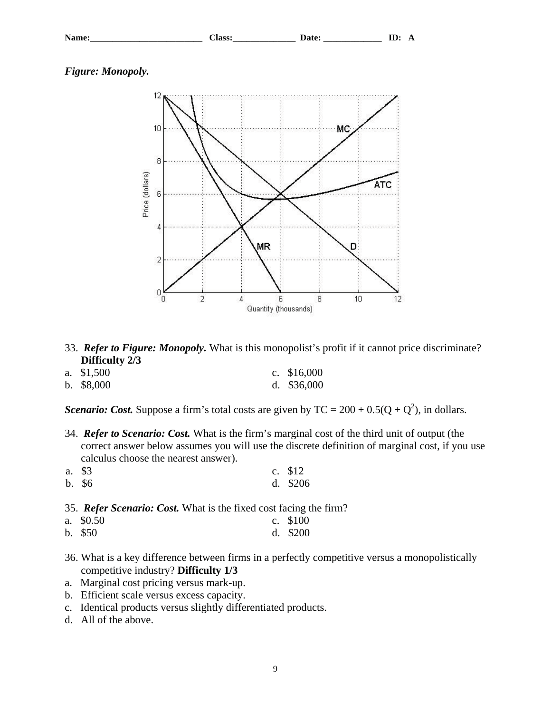| $N_{\alpha m \alpha}$<br>,,,, | $-$<br><b>CCC</b><br><br>. .<br>----<br>__ | - | . .<br>— |  |
|-------------------------------|--------------------------------------------|---|----------|--|
|                               |                                            |   |          |  |

*Figure: Monopoly.*



- 33. *Refer to Figure: Monopoly.* What is this monopolist's profit if it cannot price discriminate? **Difficulty 2/3**
- a. \$1,500 c. \$16,000
- b. \$8,000 d. \$36,000

*Scenario: Cost.* Suppose a firm's total costs are given by  $TC = 200 + 0.5(Q + Q^2)$ , in dollars.

- 34. *Refer to Scenario: Cost.* What is the firm's marginal cost of the third unit of output (the correct answer below assumes you will use the discrete definition of marginal cost, if you use calculus choose the nearest answer).
- a. \$3 c. \$12 b. \$6 d. \$206

35. *Refer Scenario: Cost.* What is the fixed cost facing the firm?

- a. \$0.50 c. \$100
- b. \$50 d. \$200
- 36. What is a key difference between firms in a perfectly competitive versus a monopolistically competitive industry? **Difficulty 1/3**
- a. Marginal cost pricing versus mark-up.
- b. Efficient scale versus excess capacity.
- c. Identical products versus slightly differentiated products.
- d. All of the above.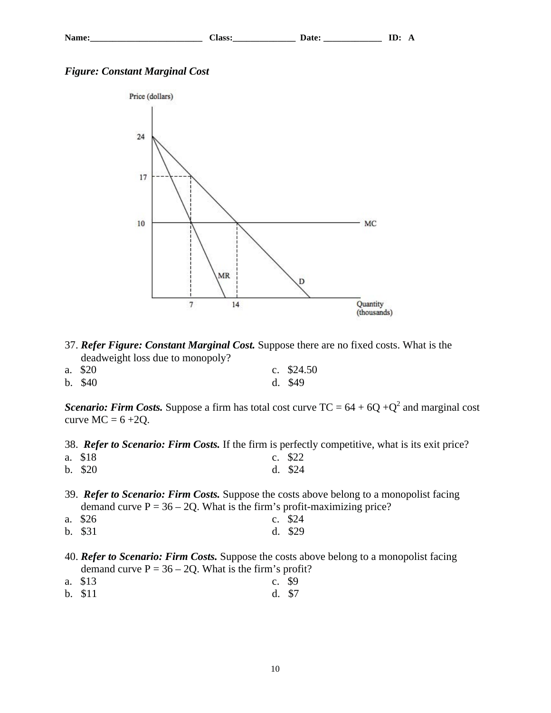### *Figure: Constant Marginal Cost*



- 37. *Refer Figure: Constant Marginal Cost.* Suppose there are no fixed costs. What is the deadweight loss due to monopoly?
- a. \$20 c. \$24.50 b. \$40 d. \$49

*Scenario: Firm Costs.* Suppose a firm has total cost curve  $TC = 64 + 6Q + Q^2$  and marginal cost curve  $MC = 6 + 2Q$ .

38. *Refer to Scenario: Firm Costs.* If the firm is perfectly competitive, what is its exit price?

- a. \$18 c. \$22 b. \$20 d. \$24
- 39. *Refer to Scenario: Firm Costs.* Suppose the costs above belong to a monopolist facing demand curve  $P = 36 - 2Q$ . What is the firm's profit-maximizing price?
- a. \$26 c. \$24
- b. \$31 d. \$29
- 40. *Refer to Scenario: Firm Costs.* Suppose the costs above belong to a monopolist facing demand curve  $P = 36 - 2Q$ . What is the firm's profit?
- a. \$13 c. \$9
- b. \$11 d. \$7